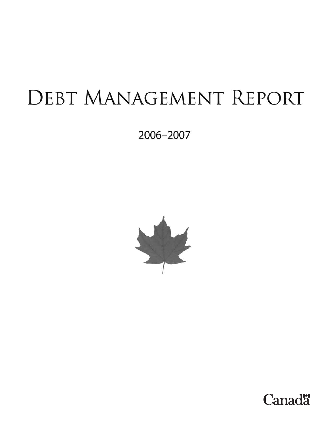# DEBT MANAGEMENT REPORT

2006-2007



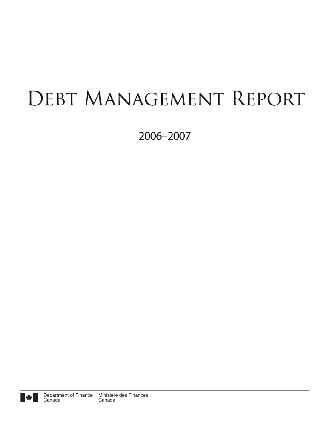## **DEBT MANAGEMENT REPORT**

2006-2007

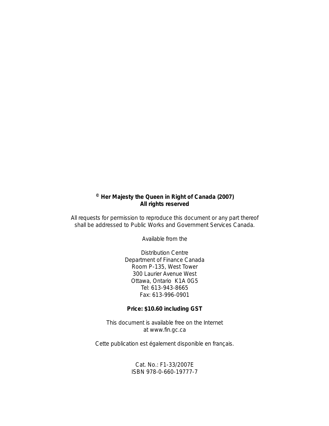## **© Her Majesty the Queen in Right of Canada (2007) All rights reserved**

All requests for permission to reproduce this document or any part thereof shall be addressed to Public Works and Government Services Canada.

Available from the

Distribution Centre Department of Finance Canada Room P-135, West Tower 300 Laurier Avenue West Ottawa, Ontario K1A 0G5 Tel: 613-943-8665 Fax: 613-996-0901

### **Price: \$10.60 including GST**

This document is available free on the Internet at www.fin.gc.ca

*Cette publication est également disponible en français.*

Cat. No.: F1-33/2007E ISBN 978-0-660-19777-7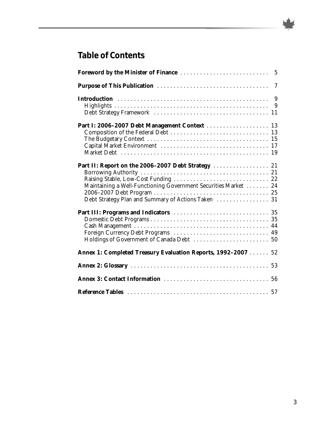## **Table of Contents**

| Part I: 2006-2007 Debt Management Context  13                   |  |
|-----------------------------------------------------------------|--|
| Maintaining a Well-Functioning Government Securities Market  24 |  |
| Foreign Currency Debt Programs  49                              |  |
| Annex 1: Completed Treasury Evaluation Reports, 1992-2007  52   |  |
|                                                                 |  |
|                                                                 |  |
|                                                                 |  |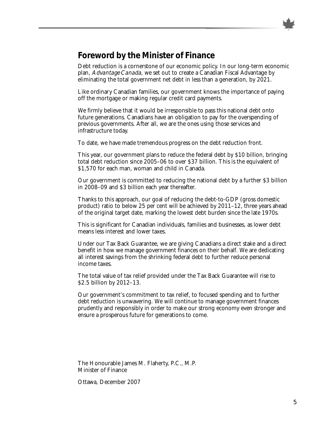## **Foreword by the Minister of Finance**

Debt reduction is a cornerstone of our economic policy. In our long-term economic plan, Advantage Canada, we set out to create a Canadian Fiscal Advantage by eliminating the total government net debt in less than a generation, by 2021.

Like ordinary Canadian families, our government knows the importance of paying off the mortgage or making regular credit card payments.

We firmly believe that it would be irresponsible to pass this national debt onto future generations. Canadians have an obligation to pay for the overspending of previous governments. After all, we are the ones using those services and infrastructure today.

To date, we have made tremendous progress on the debt reduction front.

This year, our government plans to reduce the federal debt by \$10 billion, bringing total debt reduction since 2005–06 to over \$37 billion. This is the equivalent of \$1,570 for each man, woman and child in Canada.

Our government is committed to reducing the national debt by a further \$3 billion in 2008–09 and \$3 billion each year thereafter.

Thanks to this approach, our goal of reducing the debt-to-GDP (gross domestic product) ratio to below 25 per cent will be achieved by 2011–12, three years ahead of the original target date, marking the lowest debt burden since the late 1970s.

This is significant for Canadian individuals, families and businesses, as lower debt means less interest and lower taxes.

Under our Tax Back Guarantee, we are giving Canadians a direct stake and a direct benefit in how we manage government finances on their behalf. We are dedicating all interest savings from the shrinking federal debt to further reduce personal income taxes.

The total value of tax relief provided under the Tax Back Guarantee will rise to \$2.5 billion by 2012–13.

Our government's commitment to tax relief, to focused spending and to further debt reduction is unwavering. We will continue to manage government finances prudently and responsibly in order to make our strong economy even stronger and ensure a prosperous future for generations to come.

The Honourable James M. Flaherty, P.C., M.P. Minister of Finance

Ottawa, December 2007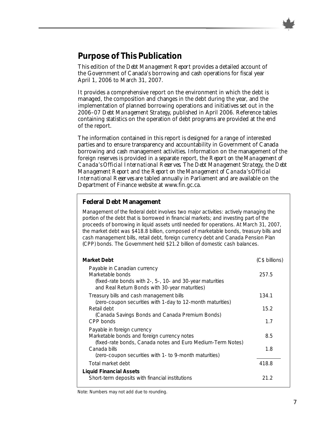## **Purpose of This Publication**

This edition of the *Debt Management Report* provides a detailed account of the Government of Canada's borrowing and cash operations for fiscal year April 1, 2006 to March 31, 2007.

It provides a comprehensive report on the environment in which the debt is managed, the composition and changes in the debt during the year, and the implementation of planned borrowing operations and initiatives set out in the 2006–07 *Debt Management Strategy*, published in April 2006. Reference tables containing statistics on the operation of debt programs are provided at the end of the report.

The information contained in this report is designed for a range of interested parties and to ensure transparency and accountability in Government of Canada borrowing and cash management activities. Information on the management of the foreign reserves is provided in a separate report, the *Report on the Management of Canada's Official International Reserves*. The *Debt Management Strategy*, the *Debt Management Report* and the *Report on the Management of Canada's Official International Reserves* are tabled annually in Parliament and are available on the Department of Finance website at www.fin.gc.ca.

## **Federal Debt Management**

Management of the federal debt involves two major activities: actively managing the portion of the debt that is borrowed in financial markets; and investing part of the proceeds of borrowing in liquid assets until needed for operations. At March 31, 2007, the market debt was \$418.8 billion, composed of marketable bonds, treasury bills and cash management bills, retail debt, foreign currency debt and Canada Pension Plan (CPP) bonds. The Government held \$21.2 billion of domestic cash balances.

| Market Debt                                                                                                                                                     | (C\$ billions) |
|-----------------------------------------------------------------------------------------------------------------------------------------------------------------|----------------|
| Payable in Canadian currency<br>Marketable bonds<br>(fixed-rate bonds with 2-, 5-, 10- and 30-year maturities<br>and Real Return Bonds with 30-year maturities) | 257.5          |
| Treasury bills and cash management bills                                                                                                                        | 134.1          |
| (zero-coupon securities with 1-day to 12-month maturities)<br>Retail debt                                                                                       | 15.2           |
| (Canada Savings Bonds and Canada Premium Bonds)<br>CPP bonds                                                                                                    | 1.7            |
| Payable in foreign currency<br>Marketable bonds and foreign currency notes<br>(fixed-rate bonds, Canada notes and Euro Medium-Term Notes)                       | 8.5            |
| Canada bills<br>(zero-coupon securities with 1- to 9-month maturities)                                                                                          | 1.8            |
| Total market debt                                                                                                                                               | 418.8          |
| Liquid Financial Assets                                                                                                                                         |                |
| Short-term deposits with financial institutions                                                                                                                 | 21.2           |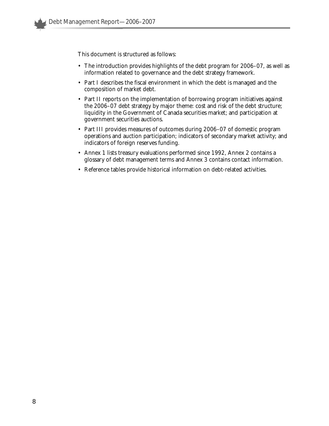This document is structured as follows:

- The introduction provides highlights of the debt program for 2006–07, as well as information related to governance and the debt strategy framework.
- Part I describes the fiscal environment in which the debt is managed and the composition of market debt.
- Part II reports on the implementation of borrowing program initiatives against the 2006–07 debt strategy by major theme: cost and risk of the debt structure; liquidity in the Government of Canada securities market; and participation at government securities auctions.
- Part III provides measures of outcomes during 2006–07 of domestic program operations and auction participation; indicators of secondary market activity; and indicators of foreign reserves funding.
- Annex 1 lists treasury evaluations performed since 1992, Annex 2 contains a glossary of debt management terms and Annex 3 contains contact information.
- Reference tables provide historical information on debt-related activities.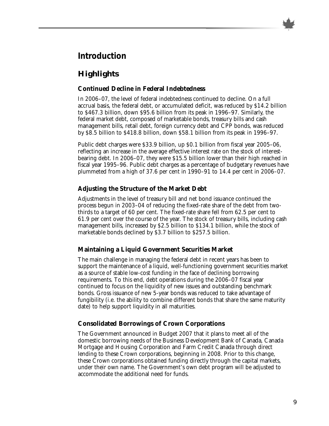

## **Introduction**

## **Highlights**

## **Continued Decline in Federal Indebtedness**

In 2006–07, the level of federal indebtedness continued to decline. On a full accrual basis, the federal debt, or accumulated deficit, was reduced by \$14.2 billion to \$467.3 billion, down \$95.6 billion from its peak in 1996–97. Similarly, the federal market debt, composed of marketable bonds, treasury bills and cash management bills, retail debt, foreign currency debt and CPP bonds, was reduced by \$8.5 billion to \$418.8 billion, down \$58.1 billion from its peak in 1996–97.

Public debt charges were \$33.9 billion, up \$0.1 billion from fiscal year 2005–06, reflecting an increase in the average effective interest rate on the stock of interestbearing debt. In 2006–07, they were \$15.5 billion lower than their high reached in fiscal year 1995–96. Public debt charges as a percentage of budgetary revenues have plummeted from a high of 37.6 per cent in 1990–91 to 14.4 per cent in 2006–07.

## **Adjusting the Structure of the Market Debt**

Adjustments in the level of treasury bill and net bond issuance continued the process begun in 2003–04 of reducing the fixed-rate share of the debt from twothirds to a target of 60 per cent. The fixed-rate share fell from 62.5 per cent to 61.9 per cent over the course of the year. The stock of treasury bills, including cash management bills, increased by \$2.5 billion to \$134.1 billion, while the stock of marketable bonds declined by \$3.7 billion to \$257.5 billion.

## **Maintaining a Liquid Government Securities Market**

The main challenge in managing the federal debt in recent years has been to support the maintenance of a liquid, well-functioning government securities market as a source of stable low-cost funding in the face of declining borrowing requirements. To this end, debt operations during the 2006–07 fiscal year continued to focus on the liquidity of new issues and outstanding benchmark bonds. Gross issuance of new 5-year bonds was reduced to take advantage of fungibility (i.e. the ability to combine different bonds that share the same maturity date) to help support liquidity in all maturities.

## **Consolidated Borrowings of Crown Corporations**

The Government announced in Budget 2007 that it plans to meet all of the domestic borrowing needs of the Business Development Bank of Canada, Canada Mortgage and Housing Corporation and Farm Credit Canada through direct lending to these Crown corporations, beginning in 2008. Prior to this change, these Crown corporations obtained funding directly through the capital markets, under their own name. The Government's own debt program will be adjusted to accommodate the additional need for funds.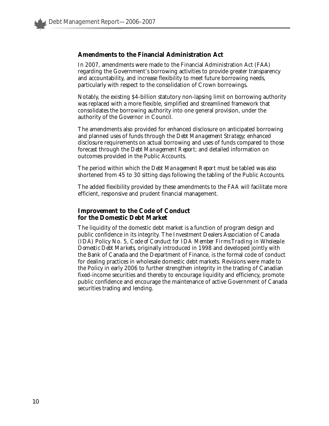#### **Amendments to the Financial Administration Act**

In 2007, amendments were made to the Financial Administration Act (FAA) regarding the Government's borrowing activities to provide greater transparency and accountability, and increase flexibility to meet future borrowing needs, particularly with respect to the consolidation of Crown borrowings.

Notably, the existing \$4-billion statutory non-lapsing limit on borrowing authority was replaced with a more flexible, simplified and streamlined framework that consolidates the borrowing authority into one general provision, under the authority of the Governor in Council.

The amendments also provided for enhanced disclosure on anticipated borrowing and planned uses of funds through the *Debt Management Strategy*; enhanced disclosure requirements on actual borrowing and uses of funds compared to those forecast through the *Debt Management Report*; and detailed information on outcomes provided in the Public Accounts.

The period within which the *Debt Management Report* must be tabled was also shortened from 45 to 30 sitting days following the tabling of the Public Accounts.

The added flexibility provided by these amendments to the FAA will facilitate more efficient, responsive and prudent financial management.

### **Improvement to the Code of Conduct for the Domestic Debt Market**

The liquidity of the domestic debt market is a function of program design and public confidence in its integrity. The Investment Dealers Association of Canada (IDA) Policy No. 5, *Code of Conduct for IDA Member Firms Trading in Wholesale Domestic Debt Markets*, originally introduced in 1998 and developed jointly with the Bank of Canada and the Department of Finance, is the formal code of conduct for dealing practices in wholesale domestic debt markets. Revisions were made to the Policy in early 2006 to further strengthen integrity in the trading of Canadian fixed-income securities and thereby to encourage liquidity and efficiency, promote public confidence and encourage the maintenance of active Government of Canada securities trading and lending.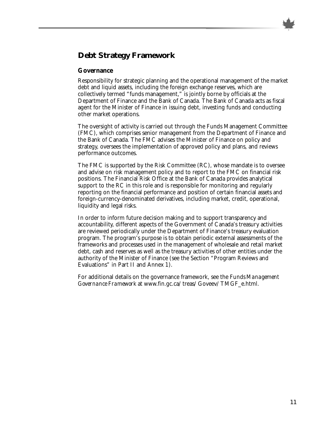## **Debt Strategy Framework**

#### **Governance**

Responsibility for strategic planning and the operational management of the market debt and liquid assets, including the foreign exchange reserves, which are collectively termed "funds management," is jointly borne by officials at the Department of Finance and the Bank of Canada. The Bank of Canada acts as fiscal agent for the Minister of Finance in issuing debt, investing funds and conducting other market operations.

The oversight of activity is carried out through the Funds Management Committee (FMC), which comprises senior management from the Department of Finance and the Bank of Canada. The FMC advises the Minister of Finance on policy and strategy, oversees the implementation of approved policy and plans, and reviews performance outcomes.

The FMC is supported by the Risk Committee (RC), whose mandate is to oversee and advise on risk management policy and to report to the FMC on financial risk positions. The Financial Risk Office at the Bank of Canada provides analytical support to the RC in this role and is responsible for monitoring and regularly reporting on the financial performance and position of certain financial assets and foreign-currency-denominated derivatives, including market, credit, operational, liquidity and legal risks.

In order to inform future decision making and to support transparency and accountability, different aspects of the Government of Canada's treasury activities are reviewed periodically under the Department of Finance's treasury evaluation program. The program's purpose is to obtain periodic external assessments of the frameworks and processes used in the management of wholesale and retail market debt, cash and reserves as well as the treasury activities of other entities under the authority of the Minister of Finance (see the Section "Program Reviews and Evaluations" in Part II and Annex 1).

For additional details on the governance framework, see the *Funds Management Governance Framework* at www.fin.gc.ca/treas/Goveev/TMGF\_e.html.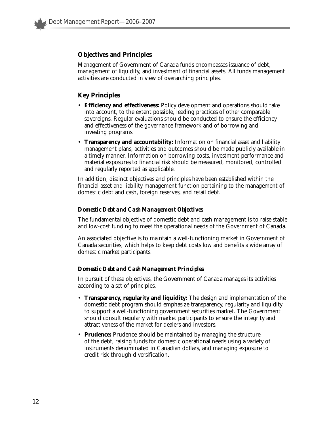## **Objectives and Principles**

Management of Government of Canada funds encompasses issuance of debt, management of liquidity, and investment of financial assets. All funds management activities are conducted in view of overarching principles.

## **Key Principles**

- **Efficiency and effectiveness:** Policy development and operations should take into account, to the extent possible, leading practices of other comparable sovereigns. Regular evaluations should be conducted to ensure the efficiency and effectiveness of the governance framework and of borrowing and investing programs.
- **Transparency and accountability:** Information on financial asset and liability management plans, activities and outcomes should be made publicly available in a timely manner. Information on borrowing costs, investment performance and material exposures to financial risk should be measured, monitored, controlled and regularly reported as applicable.

In addition, distinct objectives and principles have been established within the financial asset and liability management function pertaining to the management of domestic debt and cash, foreign reserves, and retail debt.

#### *Domestic Debt and Cash Management Objectives*

The fundamental objective of domestic debt and cash management is to raise stable and low-cost funding to meet the operational needs of the Government of Canada.

An associated objective is to maintain a well-functioning market in Government of Canada securities, which helps to keep debt costs low and benefits a wide array of domestic market participants.

#### *Domestic Debt and Cash Management Principles*

In pursuit of these objectives, the Government of Canada manages its activities according to a set of principles.

- **Transparency, regularity and liquidity:** The design and implementation of the domestic debt program should emphasize transparency, regularity and liquidity to support a well-functioning government securities market. The Government should consult regularly with market participants to ensure the integrity and attractiveness of the market for dealers and investors.
- **Prudence:** Prudence should be maintained by managing the structure of the debt, raising funds for domestic operational needs using a variety of instruments denominated in Canadian dollars, and managing exposure to credit risk through diversification.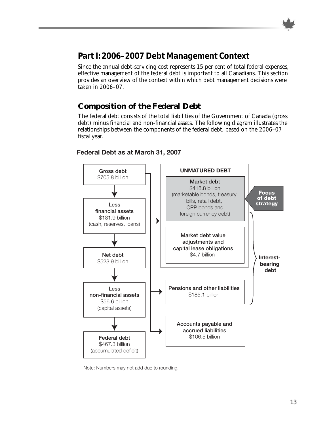

## **Part I: 2006–2007 Debt Management Context**

Since the annual debt-servicing cost represents 15 per cent of total federal expenses, effective management of the federal debt is important to all Canadians. This section provides an overview of the context within which debt management decisions were taken in 2006–07.

## **Composition of the Federal Debt**

The federal debt consists of the total liabilities of the Government of Canada (gross debt) minus financial and non-financial assets. The following diagram illustrates the relationships between the components of the federal debt, based on the 2006–07 fiscal year.



## **Federal Debt as at March 31, 2007**

Note: Numbers may not add due to rounding.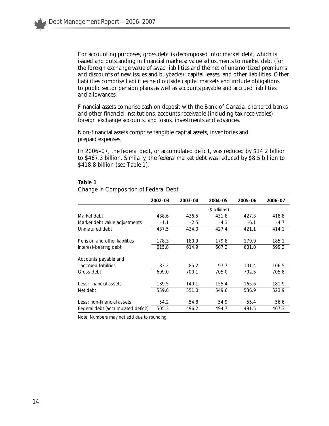For accounting purposes, gross debt is decomposed into: market debt, which is issued and outstanding in financial markets; value adjustments to market debt (for the foreign exchange value of swap liabilities and the net of unamortized premiums and discounts of new issues and buybacks); capital leases; and other liabilities. Other liabilities comprise liabilities held outside capital markets and include obligations to public sector pension plans as well as accounts payable and accrued liabilities and allowances.

Financial assets comprise cash on deposit with the Bank of Canada, chartered banks and other financial institutions, accounts receivable (including tax receivables), foreign exchange accounts, and loans, investments and advances.

Non-financial assets comprise tangible capital assets, inventories and prepaid expenses.

In 2006–07, the federal debt, or accumulated deficit, was reduced by \$14.2 billion to \$467.3 billion. Similarly, the federal market debt was reduced by \$8.5 billion to \$418.8 billion (see Table 1).

|                                    | 2002-03 | 2003-04 | 2004-05       | 2005-06 | 2006-07 |
|------------------------------------|---------|---------|---------------|---------|---------|
|                                    |         |         | (\$ billions) |         |         |
| Market debt                        | 438.6   | 436.5   | 431.8         | 427.3   | 418.8   |
| Market debt value adjustments      | $-1.1$  | $-2.5$  | $-4.3$        | $-6.1$  | $-4.7$  |
| Unmatured debt                     | 437.5   | 434.0   | 427.4         | 421.1   | 414.1   |
| Pension and other liabilities      | 178.3   | 180.9   | 179.8         | 179.9   | 185.1   |
| Interest-bearing debt              | 615.8   | 614.9   | 607.2         | 601.0   | 599.2   |
| Accounts payable and               |         |         |               |         |         |
| accrued liabilities                | 83.2    | 85.2    | 97.7          | 101.4   | 106.5   |
| Gross debt                         | 699.0   | 700.1   | 705.0         | 702.5   | 705.8   |
| Less: financial assets             | 139.5   | 149.1   | 155.4         | 165.6   | 181.9   |
| Net debt                           | 559.6   | 551.0   | 549.6         | 536.9   | 523.9   |
| Less: non-financial assets         | 54.2    | 54.8    | 54.9          | 55.4    | 56.6    |
| Federal debt (accumulated deficit) | 505.3   | 496.2   | 494.7         | 481.5   | 467.3   |

#### **Table 1**

*Change in Composition of Federal Debt* 

Note: Numbers may not add due to rounding.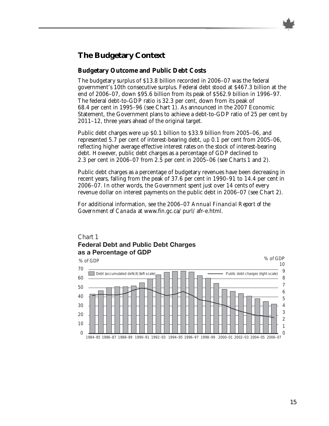## **The Budgetary Context**

## **Budgetary Outcome and Public Debt Costs**

The budgetary surplus of \$13.8 billion recorded in 2006–07 was the federal government's 10th consecutive surplus. Federal debt stood at \$467.3 billion at the end of 2006–07, down \$95.6 billion from its peak of \$562.9 billion in 1996–97. The federal debt-to-GDP ratio is 32.3 per cent, down from its peak of 68.4 per cent in 1995–96 (see Chart 1). As announced in the 2007 Economic Statement, the Government plans to achieve a debt-to-GDP ratio of 25 per cent by 2011–12, three years ahead of the original target.

Public debt charges were up \$0.1 billion to \$33.9 billion from 2005–06, and represented 5.7 per cent of interest-bearing debt, up 0.1 per cent from 2005–06, reflecting higher average effective interest rates on the stock of interest-bearing debt. However, public debt charges as a percentage of GDP declined to 2.3 per cent in 2006–07 from 2.5 per cent in 2005–06 (see Charts 1 and 2).

Public debt charges as a percentage of budgetary revenues have been decreasing in recent years, falling from the peak of 37.6 per cent in 1990–91 to 14.4 per cent in 2006–07. In other words, the Government spent just over 14 cents of every revenue dollar on interest payments on the public debt in 2006–07 (see Chart 2).

For additional information, see the 2006–07 *Annual Financial Report of the Government of Canada* at www.fin.gc.ca/purl/afr-e.html.



# Chart 1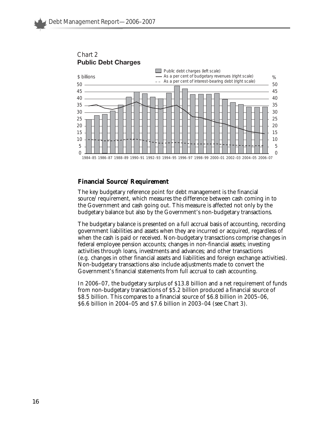

Chart 2 **Public Debt Charges**

## **Financial Source/Requirement**

The key budgetary reference point for debt management is the financial source/requirement, which measures the difference between cash coming in to the Government and cash going out. This measure is affected not only by the budgetary balance but also by the Government's non-budgetary transactions.

The budgetary balance is presented on a full accrual basis of accounting, recording government liabilities and assets when they are incurred or acquired, regardless of when the cash is paid or received. Non-budgetary transactions comprise changes in federal employee pension accounts; changes in non-financial assets; investing activities through loans, investments and advances; and other transactions (e.g. changes in other financial assets and liabilities and foreign exchange activities). Non-budgetary transactions also include adjustments made to convert the Government's financial statements from full accrual to cash accounting.

In 2006–07, the budgetary surplus of \$13.8 billion and a net requirement of funds from non-budgetary transactions of \$5.2 billion produced a financial source of \$8.5 billion. This compares to a financial source of \$6.8 billion in 2005–06, \$6.6 billion in 2004–05 and \$7.6 billion in 2003–04 (see Chart 3).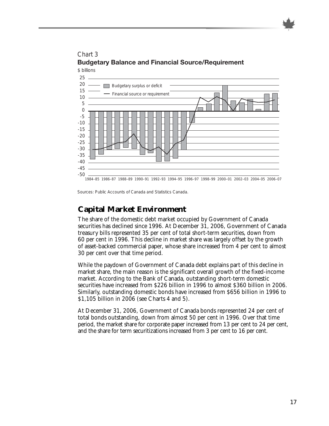

Chart 3 **Budgetary Balance and Financial Source/Requirement** \$ billions

Sources: *Public Accounts of Canada* and Statistics Canada.

## **Capital Market Environment**

The share of the domestic debt market occupied by Government of Canada securities has declined since 1996. At December 31, 2006, Government of Canada treasury bills represented 35 per cent of total short-term securities, down from 60 per cent in 1996. This decline in market share was largely offset by the growth of asset-backed commercial paper, whose share increased from 4 per cent to almost 30 per cent over that time period.

While the paydown of Government of Canada debt explains part of this decline in market share, the main reason is the significant overall growth of the fixed-income market. According to the Bank of Canada, outstanding short-term domestic securities have increased from \$226 billion in 1996 to almost \$360 billion in 2006. Similarly, outstanding domestic bonds have increased from \$656 billion in 1996 to \$1,105 billion in 2006 (see Charts 4 and 5).

At December 31, 2006, Government of Canada bonds represented 24 per cent of total bonds outstanding, down from almost 50 per cent in 1996. Over that time period, the market share for corporate paper increased from 13 per cent to 24 per cent, and the share for term securitizations increased from 3 per cent to 16 per cent.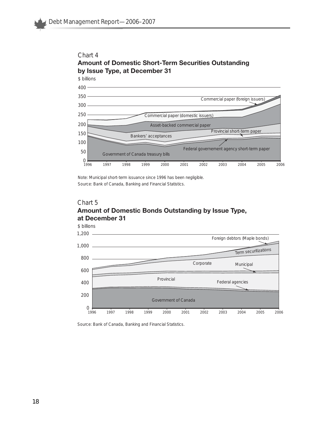

## Chart 4 **Amount of Domestic Short-Term Securities Outstanding**

Note: Municipal short-term issuance since 1996 has been negligible. Source: Bank of Canada, *Banking and Financial Statistics.*

## Chart 5 **Amount of Domestic Bonds Outstanding by Issue Type, at December 31**



Source: Bank of Canada, *Banking and Financial Statistics.*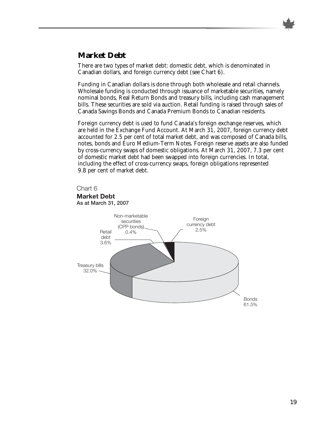

## **Market Debt**

There are two types of market debt: domestic debt, which is denominated in Canadian dollars, and foreign currency debt (see Chart 6).

Funding in Canadian dollars is done through both wholesale and retail channels. Wholesale funding is conducted through issuance of marketable securities, namely nominal bonds, Real Return Bonds and treasury bills, including cash management bills. These securities are sold via auction. Retail funding is raised through sales of Canada Savings Bonds and Canada Premium Bonds to Canadian residents.

Foreign currency debt is used to fund Canada's foreign exchange reserves, which are held in the Exchange Fund Account. At March 31, 2007, foreign currency debt accounted for 2.5 per cent of total market debt, and was composed of Canada bills, notes, bonds and Euro Medium-Term Notes. Foreign reserve assets are also funded by cross-currency swaps of domestic obligations. At March 31, 2007, 7.3 per cent of domestic market debt had been swapped into foreign currencies. In total, including the effect of cross-currency swaps, foreign obligations represented 9.8 per cent of market debt.

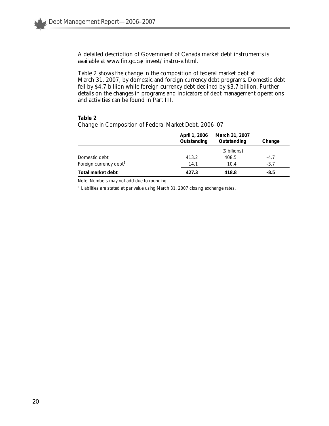A detailed description of Government of Canada market debt instruments is available at www.fin.gc.ca/invest/instru-e.html.

Table 2 shows the change in the composition of federal market debt at March 31, 2007, by domestic and foreign currency debt programs. Domestic debt fell by \$4.7 billion while foreign currency debt declined by \$3.7 billion. Further details on the changes in programs and indicators of debt management operations and activities can be found in Part III.

#### **Table 2**

|                                    | April 1, 2006<br>Outstanding | March 31, 2007<br>Outstanding | Change |
|------------------------------------|------------------------------|-------------------------------|--------|
|                                    |                              | (\$ billions)                 |        |
| Domestic debt                      | 413.2                        | 408.5                         | $-4.7$ |
| Foreign currency debt <sup>1</sup> | 14.1                         | 10.4                          | $-3.7$ |
| Total market debt                  | 427.3                        | 418.8                         | -8.5   |

*Change in Composition of Federal Market Debt, 2006–07*

Note: Numbers may not add due to rounding.

<sup>1</sup> Liabilities are stated at par value using March 31, 2007 closing exchange rates.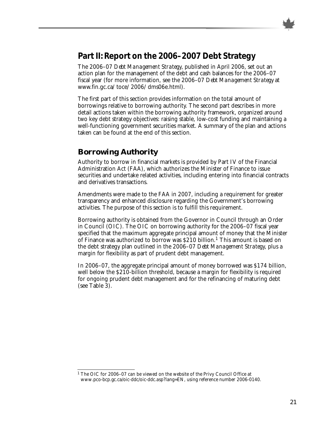

## **Part II: Report on the 2006–2007 Debt Strategy**

The 2006–07 *Debt Management Strategy*, published in April 2006, set out an action plan for the management of the debt and cash balances for the 2006–07 fiscal year (for more information, see the 2006–07 *Debt Management Strategy* at www.fin.gc.ca/toce/2006/dms06e.html).

The first part of this section provides information on the total amount of borrowings relative to borrowing authority. The second part describes in more detail actions taken within the borrowing authority framework, organized around two key debt strategy objectives: raising stable, low-cost funding and maintaining a well-functioning government securities market. A summary of the plan and actions taken can be found at the end of this section.

## **Borrowing Authority**

Authority to borrow in financial markets is provided by Part IV of the Financial Administration Act (FAA), which authorizes the Minister of Finance to issue securities and undertake related activities, including entering into financial contracts and derivatives transactions.

Amendments were made to the FAA in 2007, including a requirement for greater transparency and enhanced disclosure regarding the Government's borrowing activities. The purpose of this section is to fulfill this requirement.

Borrowing authority is obtained from the Governor in Council through an Order in Council (OIC). The OIC on borrowing authority for the 2006–07 fiscal year specified that the maximum aggregate principal amount of money that the Minister of Finance was authorized to borrow was \$210 billion.<sup>1</sup> This amount is based on the debt strategy plan outlined in the 2006–07 *Debt Management Strategy*, plus a margin for flexibility as part of prudent debt management.

In 2006–07, the aggregate principal amount of money borrowed was \$174 billion, well below the \$210-billion threshold, because a margin for flexibility is required for ongoing prudent debt management and for the refinancing of maturing debt (see Table 3).

<sup>&</sup>lt;sup>1</sup> The OIC for 2006-07 can be viewed on the website of the Privy Council Office at www.pco-bcp.gc.ca/oic-ddc/oic-ddc.asp?lang=EN, using reference number 2006-0140.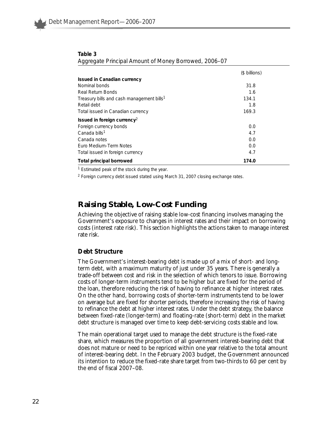|                                                       | (\$ billions) |
|-------------------------------------------------------|---------------|
| Issued in Canadian currency                           |               |
| Nominal bonds                                         | 31.8          |
| <b>Real Return Bonds</b>                              | 1.6           |
| Treasury bills and cash management bills <sup>1</sup> | 134.1         |
| Retail debt                                           | 1.8           |
| Total issued in Canadian currency                     | 169.3         |
| Issued in foreign currency <sup>2</sup>               |               |
| Foreign currency bonds                                | 0.0           |
| Canada bills <sup>1</sup>                             | 4.7           |
| Canada notes                                          | 0.0           |
| Euro Medium-Term Notes                                | 0.0           |
| Total issued in foreign currency                      | 4.7           |
| <b>Total principal borrowed</b>                       | 174.0         |

| Table 3                                               |  |
|-------------------------------------------------------|--|
| Aggregate Principal Amount of Money Borrowed, 2006-07 |  |

<sup>1</sup> Estimated peak of the stock during the year.

<sup>2</sup> Foreign currency debt issued stated using March 31, 2007 closing exchange rates.

## **Raising Stable, Low-Cost Funding**

Achieving the objective of raising stable low-cost financing involves managing the Government's exposure to changes in interest rates and their impact on borrowing costs (interest rate risk). This section highlights the actions taken to manage interest rate risk.

#### **Debt Structure**

The Government's interest-bearing debt is made up of a mix of short- and longterm debt, with a maximum maturity of just under 35 years. There is generally a trade-off between cost and risk in the selection of which tenors to issue. Borrowing costs of longer-term instruments tend to be higher but are fixed for the period of the loan, therefore reducing the risk of having to refinance at higher interest rates. On the other hand, borrowing costs of shorter-term instruments tend to be lower on average but are fixed for shorter periods, therefore increasing the risk of having to refinance the debt at higher interest rates. Under the debt strategy, the balance between fixed-rate (longer-term) and floating-rate (short-term) debt in the market debt structure is managed over time to keep debt-servicing costs stable and low.

The main operational target used to manage the debt structure is the fixed-rate share, which measures the proportion of all government interest-bearing debt that does not mature or need to be repriced within one year relative to the total amount of interest-bearing debt. In the February 2003 budget, the Government announced its intention to reduce the fixed-rate share target from two-thirds to 60 per cent by the end of fiscal 2007–08.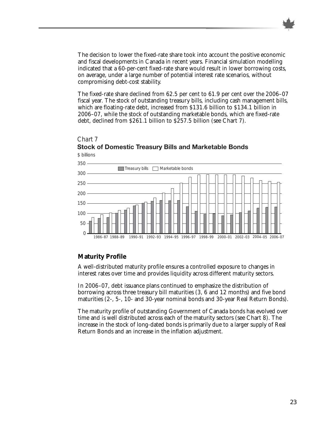The decision to lower the fixed-rate share took into account the positive economic and fiscal developments in Canada in recent years. Financial simulation modelling indicated that a 60-per-cent fixed-rate share would result in lower borrowing costs, on average, under a large number of potential interest rate scenarios, without compromising debt-cost stability.

The fixed-rate share declined from 62.5 per cent to 61.9 per cent over the 2006–07 fiscal year. The stock of outstanding treasury bills, including cash management bills, which are floating-rate debt, increased from \$131.6 billion to \$134.1 billion in 2006–07, while the stock of outstanding marketable bonds, which are fixed-rate debt, declined from \$261.1 billion to \$257.5 billion (see Chart 7).

## Chart 7 **Stock of Domestic Treasury Bills and Marketable Bonds**



## **Maturity Profile**

A well-distributed maturity profile ensures a controlled exposure to changes in interest rates over time and provides liquidity across different maturity sectors.

In 2006–07, debt issuance plans continued to emphasize the distribution of borrowing across three treasury bill maturities (3, 6 and 12 months) and five bond maturities (2-, 5-, 10- and 30-year nominal bonds and 30-year Real Return Bonds).

The maturity profile of outstanding Government of Canada bonds has evolved over time and is well distributed across each of the maturity sectors (see Chart 8). The increase in the stock of long-dated bonds is primarily due to a larger supply of Real Return Bonds and an increase in the inflation adjustment.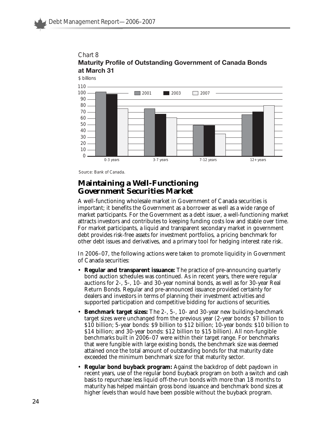



Source: Bank of Canada.

## **Maintaining a Well-Functioning Government Securities Market**

A well-functioning wholesale market in Government of Canada securities is important; it benefits the Government as a borrower as well as a wide range of market participants. For the Government as a debt issuer, a well-functioning market attracts investors and contributes to keeping funding costs low and stable over time. For market participants, a liquid and transparent secondary market in government debt provides risk-free assets for investment portfolios, a pricing benchmark for other debt issues and derivatives, and a primary tool for hedging interest rate risk.

In 2006–07, the following actions were taken to promote liquidity in Government of Canada securities:

- **Regular and transparent issuance:** The practice of pre-announcing quarterly bond auction schedules was continued. As in recent years, there were regular auctions for 2-, 5-, 10- and 30-year nominal bonds, as well as for 30-year Real Return Bonds. Regular and pre-announced issuance provided certainty for dealers and investors in terms of planning their investment activities and supported participation and competitive bidding for auctions of securities.
- **Benchmark target sizes:** The 2-, 5-, 10- and 30-year new building-benchmark target sizes were unchanged from the previous year (2-year bonds: \$7 billion to \$10 billion; 5-year bonds: \$9 billion to \$12 billion; 10-year bonds: \$10 billion to \$14 billion; and 30-year bonds: \$12 billion to \$15 billion). All non-fungible benchmarks built in 2006–07 were within their target range. For benchmarks that were fungible with large existing bonds, the benchmark size was deemed attained once the total amount of outstanding bonds for that maturity date exceeded the minimum benchmark size for that maturity sector.
- **Regular bond buyback program:** Against the backdrop of debt paydown in recent years, use of the regular bond buyback program on both a switch and cash basis to repurchase less liquid off-the-run bonds with more than 18 months to maturity has helped maintain gross bond issuance and benchmark bond sizes at higher levels than would have been possible without the buyback program.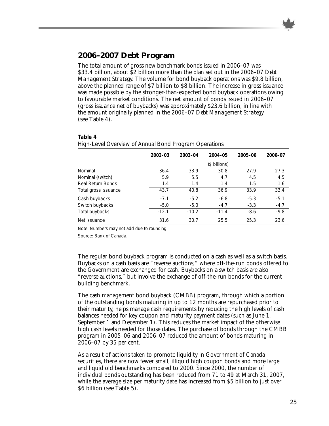

## **2006–2007 Debt Program**

The total amount of gross new benchmark bonds issued in 2006–07 was \$33.4 billion, about \$2 billion more than the plan set out in the 2006–07 *Debt Management Strategy*. The volume for bond buyback operations was \$9.8 billion, above the planned range of \$7 billion to \$8 billion. The increase in gross issuance was made possible by the stronger-than-expected bond buyback operations owing to favourable market conditions. The net amount of bonds issued in 2006–07 (gross issuance net of buybacks) was approximately \$23.6 billion, in line with the amount originally planned in the 2006–07 *Debt Management Strategy* (see Table 4).

| ◡                    |         | ◡       |               |         |         |
|----------------------|---------|---------|---------------|---------|---------|
|                      | 2002-03 | 2003-04 | 2004-05       | 2005-06 | 2006-07 |
|                      |         |         | (\$ billions) |         |         |
| Nominal              | 36.4    | 33.9    | 30.8          | 27.9    | 27.3    |
| Nominal (switch)     | 5.9     | 5.5     | 4.7           | 4.5     | 4.5     |
| Real Return Bonds    | 1.4     | 1.4     | 1.4           | 1.5     | 1.6     |
| Total gross issuance | 43.7    | 40.8    | 36.9          | 33.9    | 33.4    |
| Cash buybacks        | $-7.1$  | $-5.2$  | $-6.8$        | $-5.3$  | $-5.1$  |
| Switch buybacks      | $-5.0$  | $-5.0$  | $-4.7$        | $-3.3$  | $-4.7$  |
| Total buybacks       | $-12.1$ | $-10.2$ | $-11.4$       | $-8.6$  | $-9.8$  |
| Net issuance         | 31.6    | 30.7    | 25.5          | 25.3    | 23.6    |

#### **Table 4** *High-Level Overview of Annual Bond Program Operations*

Note: Numbers may not add due to rounding.

Source: Bank of Canada.

The regular bond buyback program is conducted on a cash as well as a switch basis. Buybacks on a cash basis are "reverse auctions," where off-the-run bonds offered to the Government are exchanged for cash. Buybacks on a switch basis are also "reverse auctions," but involve the exchange of off-the-run bonds for the current building benchmark.

The cash management bond buyback (CMBB) program, through which a portion of the outstanding bonds maturing in up to 12 months are repurchased prior to their maturity, helps manage cash requirements by reducing the high levels of cash balances needed for key coupon and maturity payment dates (such as June 1, September 1 and December 1). This reduces the market impact of the otherwise high cash levels needed for those dates. The purchase of bonds through the CMBB program in 2005–06 and 2006–07 reduced the amount of bonds maturing in 2006–07 by 35 per cent.

As a result of actions taken to promote liquidity in Government of Canada securities, there are now fewer small, illiquid high coupon bonds and more large and liquid old benchmarks compared to 2000. Since 2000, the number of individual bonds outstanding has been reduced from 71 to 49 at March 31, 2007, while the average size per maturity date has increased from \$5 billion to just over \$6 billion (see Table 5).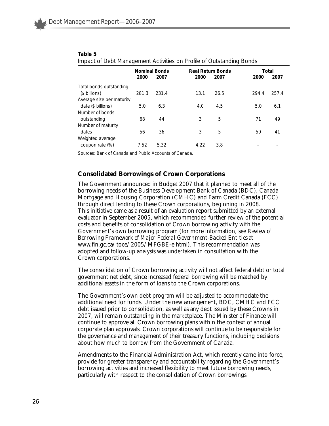|                           | ັ     |                      |      |                          | ັ     |       |
|---------------------------|-------|----------------------|------|--------------------------|-------|-------|
|                           |       | <b>Nominal Bonds</b> |      | <b>Real Return Bonds</b> |       | Total |
|                           | 2000  | 2007                 | 2000 | 2007                     | 2000  | 2007  |
| Total bonds outstanding   |       |                      |      |                          |       |       |
| (\$ billions)             | 281.3 | 231.4                | 13.1 | 26.5                     | 294.4 | 257.4 |
| Average size per maturity |       |                      |      |                          |       |       |
| date (\$ billions)        | 5.0   | 6.3                  | 4.0  | 4.5                      | 5.0   | 6.1   |
| Number of bonds           |       |                      |      |                          |       |       |
| outstanding               | 68    | 44                   | 3    | 5                        | 71    | 49    |
| Number of maturity        |       |                      |      |                          |       |       |
| dates                     | 56    | 36                   | 3    | 5                        | 59    | 41    |
| Weighted average          |       |                      |      |                          |       |       |
| coupon rate (%)           | 7.52  | 5.32                 | 4.22 | 3.8                      |       |       |

#### **Table 5**

*Impact of Debt Management Activities on Profile of Outstanding Bonds*

Sources: Bank of Canada and *Public Accounts of Canada*.

### **Consolidated Borrowings of Crown Corporations**

The Government announced in Budget 2007 that it planned to meet all of the borrowing needs of the Business Development Bank of Canada (BDC), Canada Mortgage and Housing Corporation (CMHC) and Farm Credit Canada (FCC) through direct lending to these Crown corporations, beginning in 2008. This initiative came as a result of an evaluation report submitted by an external evaluator in September 2005, which recommended further review of the potential costs and benefits of consolidation of Crown borrowing activity with the Government's own borrowing program (for more information, see *Review of Borrowing Framework of Major Federal Government-Backed Entities* at www.fin.gc.ca/toce/2005/MFGBE-e.html). This recommendation was adopted and follow-up analysis was undertaken in consultation with the Crown corporations.

The consolidation of Crown borrowing activity will not affect federal debt or total government net debt, since increased federal borrowing will be matched by additional assets in the form of loans to the Crown corporations.

The Government's own debt program will be adjusted to accommodate the additional need for funds. Under the new arrangement, BDC, CMHC and FCC debt issued prior to consolidation, as well as any debt issued by these Crowns in 2007, will remain outstanding in the marketplace. The Minister of Finance will continue to approve all Crown borrowing plans within the context of annual corporate plan approvals. Crown corporations will continue to be responsible for the governance and management of their treasury functions, including decisions about how much to borrow from the Government of Canada.

Amendments to the Financial Administration Act, which recently came into force, provide for greater transparency and accountability regarding the Government's borrowing activities and increased flexibility to meet future borrowing needs, particularly with respect to the consolidation of Crown borrowings.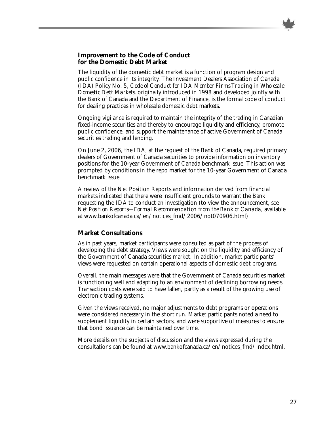## **Improvement to the Code of Conduct for the Domestic Debt Market**

The liquidity of the domestic debt market is a function of program design and public confidence in its integrity. The Investment Dealers Association of Canada (IDA) Policy No. 5, *Code of Conduct for IDA Member Firms Trading in Wholesale Domestic Debt Markets*, originally introduced in 1998 and developed jointly with the Bank of Canada and the Department of Finance, is the formal code of conduct for dealing practices in wholesale domestic debt markets.

Ongoing vigilance is required to maintain the integrity of the trading in Canadian fixed-income securities and thereby to encourage liquidity and efficiency, promote public confidence, and support the maintenance of active Government of Canada securities trading and lending.

On June 2, 2006, the IDA, at the request of the Bank of Canada, required primary dealers of Government of Canada securities to provide information on inventory positions for the 10-year Government of Canada benchmark issue. This action was prompted by conditions in the repo market for the 10-year Government of Canada benchmark issue.

A review of the Net Position Reports and information derived from financial markets indicated that there were insufficient grounds to warrant the Bank requesting the IDA to conduct an investigation (to view the announcement, see *Net Position Reports—Formal Recommendation from the Bank of Canada,* available at www.bankofcanada.ca/en/notices\_fmd/2006/not070906.html).

### **Market Consultations**

As in past years, market participants were consulted as part of the process of developing the debt strategy. Views were sought on the liquidity and efficiency of the Government of Canada securities market. In addition, market participants' views were requested on certain operational aspects of domestic debt programs.

Overall, the main messages were that the Government of Canada securities market is functioning well and adapting to an environment of declining borrowing needs. Transaction costs were said to have fallen, partly as a result of the growing use of electronic trading systems.

Given the views received, no major adjustments to debt programs or operations were considered necessary in the short run. Market participants noted a need to supplement liquidity in certain sectors, and were supportive of measures to ensure that bond issuance can be maintained over time.

More details on the subjects of discussion and the views expressed during the consultations can be found at www.bankofcanada.ca/en/notices\_fmd/index.html.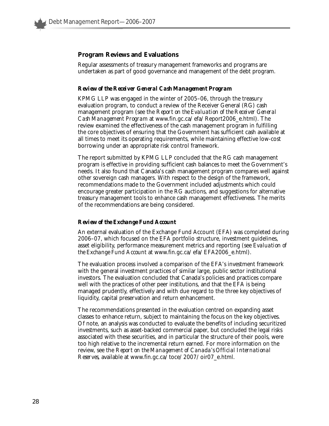## **Program Reviews and Evaluations**

Regular assessments of treasury management frameworks and programs are undertaken as part of good governance and management of the debt program.

#### *Review of the Receiver General Cash Management Program*

KPMG LLP was engaged in the winter of 2005–06, through the treasury evaluation program, to conduct a review of the Receiver General (RG) cash management program (see the *Report on the Evaluation of the Receiver General Cash Management Program* at www.fin.gc.ca/efa/Report2006\_e.html). The review examined the effectiveness of the cash management program in fulfilling the core objectives of ensuring that the Government has sufficient cash available at all times to meet its operating requirements, while maintaining effective low-cost borrowing under an appropriate risk control framework.

The report submitted by KPMG LLP concluded that the RG cash management program is effective in providing sufficient cash balances to meet the Government's needs. It also found that Canada's cash management program compares well against other sovereign cash managers. With respect to the design of the framework, recommendations made to the Government included adjustments which could encourage greater participation in the RG auctions, and suggestions for alternative treasury management tools to enhance cash management effectiveness. The merits of the recommendations are being considered.

#### *Review of the Exchange Fund Account*

An external evaluation of the Exchange Fund Account (EFA) was completed during 2006–07, which focused on the EFA portfolio structure, investment guidelines, asset eligibility, performance measurement metrics and reporting (see *Evaluation of the Exchange Fund Account* at www.fin.gc.ca/efa/EFA2006\_e.html).

The evaluation process involved a comparison of the EFA's investment framework with the general investment practices of similar large, public sector institutional investors. The evaluation concluded that Canada's policies and practices compare well with the practices of other peer institutions, and that the EFA is being managed prudently, effectively and with due regard to the three key objectives of liquidity, capital preservation and return enhancement.

The recommendations presented in the evaluation centred on expanding asset classes to enhance return, subject to maintaining the focus on the key objectives. Of note, an analysis was conducted to evaluate the benefits of including securitized investments, such as asset-backed commercial paper, but concluded the legal risks associated with these securities, and in particular the structure of their pools, were too high relative to the incremental return earned. For more information on the review, see the *Report on the Management of Canada's Official International Reserves*, available at www.fin.gc.ca/toce/2007/oir07\_e.html.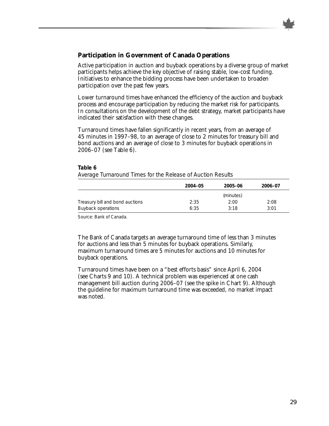## **Participation in Government of Canada Operations**

Active participation in auction and buyback operations by a diverse group of market participants helps achieve the key objective of raising stable, low-cost funding. Initiatives to enhance the bidding process have been undertaken to broaden participation over the past few years.

Lower turnaround times have enhanced the efficiency of the auction and buyback process and encourage participation by reducing the market risk for participants. In consultations on the development of the debt strategy, market participants have indicated their satisfaction with these changes.

Turnaround times have fallen significantly in recent years, from an average of 45 minutes in 1997–98, to an average of close to 2 minutes for treasury bill and bond auctions and an average of close to 3 minutes for buyback operations in 2006–07 (see Table 6).

|                                 | 2004-05 | 2005-06   | 2006-07 |
|---------------------------------|---------|-----------|---------|
|                                 |         | (minutes) |         |
| Treasury bill and bond auctions | 2:35    | 2:00      | 2:08    |
| <b>Buyback operations</b>       | 6:35    | 3:18      | 3:01    |

#### **Table 6** *Average Turnaround Times for the Release of Auction Results*

Source: Bank of Canada.

The Bank of Canada targets an average turnaround time of less than 3 minutes for auctions and less than 5 minutes for buyback operations. Similarly, maximum turnaround times are 5 minutes for auctions and 10 minutes for buyback operations.

Turnaround times have been on a "best efforts basis" since April 6, 2004 (see Charts 9 and 10). A technical problem was experienced at one cash management bill auction during 2006–07 (see the spike in Chart 9). Although the guideline for maximum turnaround time was exceeded, no market impact was noted.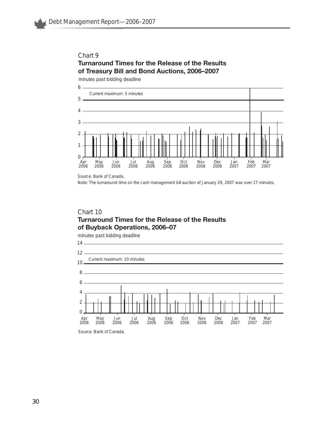## Chart 9 **Turnaround Times for the Release of the Results of Treasury Bill and Bond Auctions, 2006–2007**

minutes past bidding deadline



Source: Bank of Canada.

Note: The turnaround time on the cash management bill auction of January 29, 2007 was over 17 minutes.

## Chart 10 **Turnaround Times for the Release of the Results of Buyback Operations, 2006–07**

minutes past bidding deadline



Source: Bank of Canada.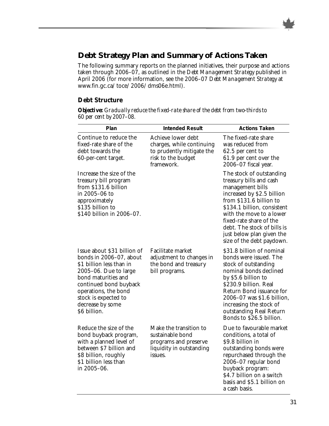

## **Debt Strategy Plan and Summary of Actions Taken**

The following summary reports on the planned initiatives, their purpose and actions taken through 2006–07, as outlined in the *Debt Management Strategy* published in April 2006 (for more information, see the 2006–07 *Debt Management Strategy* at www.fin.gc.ca/toce/2006/dms06e.html).

## **Debt Structure**

*Objective: Gradually reduce the fixed-rate share of the debt from two-thirds to 60 per cent by 2007–08.*

| Plan                                                                                                                                                                                                                                                | <b>Intended Result</b>                                                                                           | <b>Actions Taken</b>                                                                                                                                                                                                                                                                                            |
|-----------------------------------------------------------------------------------------------------------------------------------------------------------------------------------------------------------------------------------------------------|------------------------------------------------------------------------------------------------------------------|-----------------------------------------------------------------------------------------------------------------------------------------------------------------------------------------------------------------------------------------------------------------------------------------------------------------|
| Continue to reduce the<br>fixed-rate share of the<br>debt towards the<br>60-per-cent target.                                                                                                                                                        | Achieve lower debt<br>charges, while continuing<br>to prudently mitigate the<br>risk to the budget<br>framework. | The fixed-rate share<br>was reduced from<br>62.5 per cent to<br>61.9 per cent over the<br>2006-07 fiscal year.                                                                                                                                                                                                  |
| Increase the size of the<br>treasury bill program<br>from \$131.6 billion<br>in 2005-06 to<br>approximately<br>\$135 billion to<br>\$140 billion in 2006-07.                                                                                        |                                                                                                                  | The stock of outstanding<br>treasury bills and cash<br>management bills<br>increased by \$2.5 billion<br>from \$131.6 billion to<br>\$134.1 billion, consistent<br>with the move to a lower<br>fixed-rate share of the<br>debt. The stock of bills is<br>just below plan given the<br>size of the debt paydown. |
| Issue about \$31 billion of<br>bonds in 2006–07, about<br>\$1 billion less than in<br>$2005-06$ . Due to large<br>bond maturities and<br>continued bond buyback<br>operations, the bond<br>stock is expected to<br>decrease by some<br>\$6 billion. | Facilitate market<br>adjustment to changes in<br>the bond and treasury<br>bill programs.                         | \$31.8 billion of nominal<br>bonds were issued. The<br>stock of outstanding<br>nominal bonds declined<br>by \$5.6 billion to<br>\$230.9 billion. Real<br>Return Bond issuance for<br>2006-07 was \$1.6 billion,<br>increasing the stock of<br>outstanding Real Return<br>Bonds to \$26.5 billion.               |
| Reduce the size of the<br>bond buyback program,<br>with a planned level of<br>between \$7 billion and<br>\$8 billion, roughly<br>\$1 billion less than<br>in 2005-06.                                                                               | Make the transition to<br>sustainable bond<br>programs and preserve<br>liquidity in outstanding<br>issues.       | Due to favourable market<br>conditions, a total of<br>\$9.8 billion in<br>outstanding bonds were<br>repurchased through the<br>2006-07 regular bond<br>buyback program:<br>\$4.7 billion on a switch<br>basis and \$5.1 billion on<br>a cash basis.                                                             |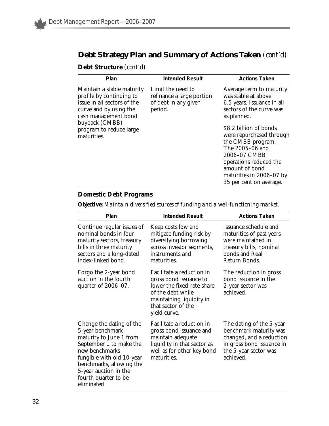## **Debt Strategy Plan and Summary of Actions Taken** *(cont'd)*

**Debt Structure** *(cont'd)*

| <b>Actions Taken</b>                                                                                                                                                                                                                                                                                                                      |
|-------------------------------------------------------------------------------------------------------------------------------------------------------------------------------------------------------------------------------------------------------------------------------------------------------------------------------------------|
| Average term to maturity<br>was stable at above<br>6.5 years. Issuance in all<br>sectors of the curve was<br>as planned.<br>\$8.2 billion of bonds<br>were repurchased through<br>the CMBB program.<br>The 2005-06 and<br>2006-07 CMBB<br>operations reduced the<br>amount of bond<br>maturities in 2006–07 by<br>35 per cent on average. |
|                                                                                                                                                                                                                                                                                                                                           |

## **Domestic Debt Programs**

*Objective: Maintain diversified sources of funding and a well-functioning market.*

| Plan                                                                                                                                                                                                                                          | <b>Intended Result</b>                                                                                                                                                   | <b>Actions Taken</b>                                                                                                                              |
|-----------------------------------------------------------------------------------------------------------------------------------------------------------------------------------------------------------------------------------------------|--------------------------------------------------------------------------------------------------------------------------------------------------------------------------|---------------------------------------------------------------------------------------------------------------------------------------------------|
| Continue regular issues of<br>nominal bonds in four<br>maturity sectors, treasury<br>bills in three maturity<br>sectors and a long-dated<br>index-linked bond.                                                                                | Keep costs low and<br>mitigate funding risk by<br>diversifying borrowing<br>across investor segments,<br>instruments and<br>maturities.                                  | Issuance schedule and<br>maturities of past years<br>were maintained in<br>treasury bills, nominal<br>bonds and Real<br>Return Bonds.             |
| Forgo the 2-year bond<br>auction in the fourth<br>quarter of 2006-07.                                                                                                                                                                         | Facilitate a reduction in<br>gross bond issuance to<br>lower the fixed-rate share<br>of the debt while<br>maintaining liquidity in<br>that sector of the<br>yield curve. | The reduction in gross<br>bond issuance in the<br>2-year sector was<br>achieved.                                                                  |
| Change the dating of the<br>5-year benchmark<br>maturity to June 1 from<br>September 1 to make the<br>new benchmarks<br>fungible with old 10-year<br>benchmarks, allowing the<br>5-year auction in the<br>fourth quarter to be<br>eliminated. | Facilitate a reduction in<br>gross bond issuance and<br>maintain adequate<br>liquidity in that sector as<br>well as for other key bond<br>maturities.                    | The dating of the 5-year<br>benchmark maturity was<br>changed, and a reduction<br>in gross bond issuance in<br>the 5-year sector was<br>achieved. |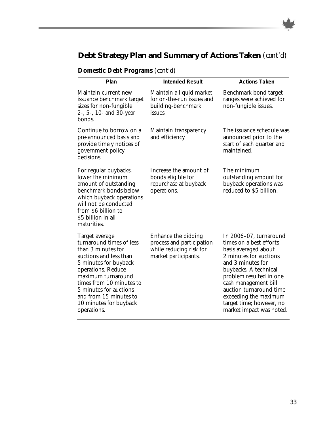## **Debt Strategy Plan and Summary of Actions Taken** *(cont'd)*

| Plan                                                                                                                                                                                                                                                                                     | <b>Intended Result</b>                                                                              | <b>Actions Taken</b>                                                                                                                                                                                                                                                                                             |  |  |
|------------------------------------------------------------------------------------------------------------------------------------------------------------------------------------------------------------------------------------------------------------------------------------------|-----------------------------------------------------------------------------------------------------|------------------------------------------------------------------------------------------------------------------------------------------------------------------------------------------------------------------------------------------------------------------------------------------------------------------|--|--|
| Maintain current new<br>issuance benchmark target<br>sizes for non-fungible<br>2-, 5-, 10- and 30-year<br>bonds.                                                                                                                                                                         | Maintain a liquid market<br>for on-the-run issues and<br>building-benchmark<br>issues.              | Benchmark bond target<br>ranges were achieved for<br>non-fungible issues.                                                                                                                                                                                                                                        |  |  |
| Continue to borrow on a<br>pre-announced basis and<br>provide timely notices of<br>government policy<br>decisions.                                                                                                                                                                       | Maintain transparency<br>and efficiency.                                                            | The issuance schedule was<br>announced prior to the<br>start of each quarter and<br>maintained.                                                                                                                                                                                                                  |  |  |
| For regular buybacks,<br>lower the minimum<br>amount of outstanding<br>benchmark bonds below<br>which buyback operations<br>will not be conducted<br>from \$6 billion to<br>\$5 billion in all<br>maturities.                                                                            | Increase the amount of<br>bonds eligible for<br>repurchase at buyback<br>operations.                | The minimum<br>outstanding amount for<br>buyback operations was<br>reduced to \$5 billion.                                                                                                                                                                                                                       |  |  |
| Target average<br>turnaround times of less<br>than 3 minutes for<br>auctions and less than<br>5 minutes for buyback<br>operations. Reduce<br>maximum turnaround<br>times from 10 minutes to<br>5 minutes for auctions<br>and from 15 minutes to<br>10 minutes for buyback<br>operations. | Enhance the bidding<br>process and participation<br>while reducing risk for<br>market participants. | In 2006-07, turnaround<br>times on a best efforts<br>basis averaged about<br>2 minutes for auctions<br>and 3 minutes for<br>buybacks. A technical<br>problem resulted in one<br>cash management bill<br>auction turnaround time<br>exceeding the maximum<br>target time; however, no<br>market impact was noted. |  |  |

## **Domestic Debt Programs** *(cont'd)*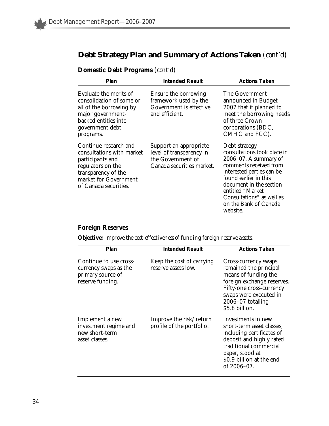## **Debt Strategy Plan and Summary of Actions Taken** *(cont'd)*

| Plan                                                                                                                                                                 | <b>Intended Result</b>                                                                               | <b>Actions Taken</b>                                                                                                                                                                                                                                                      |  |  |
|----------------------------------------------------------------------------------------------------------------------------------------------------------------------|------------------------------------------------------------------------------------------------------|---------------------------------------------------------------------------------------------------------------------------------------------------------------------------------------------------------------------------------------------------------------------------|--|--|
| Evaluate the merits of<br>consolidation of some or<br>all of the borrowing by<br>major government-<br>backed entities into<br>government debt<br>programs.           | Ensure the borrowing<br>framework used by the<br>Government is effective<br>and efficient.           | The Government<br>announced in Budget<br>2007 that it planned to<br>meet the borrowing needs<br>of three Crown<br>corporations (BDC,<br>CMHC and FCC).                                                                                                                    |  |  |
| Continue research and<br>consultations with market<br>participants and<br>regulators on the<br>transparency of the<br>market for Government<br>of Canada securities. | Support an appropriate<br>level of transparency in<br>the Government of<br>Canada securities market. | Debt strategy<br>consultations took place in<br>$2006-07$ . A summary of<br>comments received from<br>interested parties can be<br>found earlier in this<br>document in the section<br>entitled "Market<br>Consultations" as well as<br>on the Bank of Canada<br>website. |  |  |

## **Domestic Debt Programs** *(cont'd)*

## **Foreign Reserves**

*Objective: Improve the cost-effectiveness of funding foreign reserve assets.*

| Plan                                                                                     | <b>Intended Result</b>                               | <b>Actions Taken</b>                                                                                                                                                                              |  |  |
|------------------------------------------------------------------------------------------|------------------------------------------------------|---------------------------------------------------------------------------------------------------------------------------------------------------------------------------------------------------|--|--|
| Continue to use cross-<br>currency swaps as the<br>primary source of<br>reserve funding. | Keep the cost of carrying<br>reserve assets low.     | Cross-currency swaps<br>remained the principal<br>means of funding the<br>foreign exchange reserves.<br>Fifty-one cross-currency<br>swaps were executed in<br>2006-07 totalling<br>\$5.8 billion. |  |  |
| Implement a new<br>investment regime and<br>new short-term<br>asset classes.             | Improve the risk/return<br>profile of the portfolio. | Investments in new<br>short-term asset classes,<br>including certificates of<br>deposit and highly rated<br>traditional commercial<br>paper, stood at<br>\$0.9 billion at the end<br>of 2006-07.  |  |  |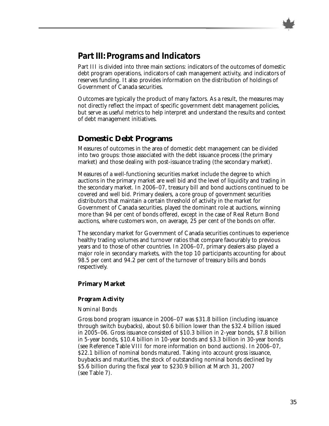## **Part III: Programs and Indicators**

Part III is divided into three main sections: indicators of the outcomes of domestic debt program operations, indicators of cash management activity, and indicators of reserves funding. It also provides information on the distribution of holdings of Government of Canada securities.

Outcomes are typically the product of many factors. As a result, the measures may not directly reflect the impact of specific government debt management policies, but serve as useful metrics to help interpret and understand the results and context of debt management initiatives.

## **Domestic Debt Programs**

Measures of outcomes in the area of domestic debt management can be divided into two groups: those associated with the debt issuance process (the primary market) and those dealing with post-issuance trading (the secondary market).

Measures of a well-functioning securities market include the degree to which auctions in the primary market are well bid and the level of liquidity and trading in the secondary market. In 2006–07, treasury bill and bond auctions continued to be covered and well bid. Primary dealers, a core group of government securities distributors that maintain a certain threshold of activity in the market for Government of Canada securities, played the dominant role at auctions, winning more than 94 per cent of bonds offered, except in the case of Real Return Bond auctions, where customers won, on average, 25 per cent of the bonds on offer.

The secondary market for Government of Canada securities continues to experience healthy trading volumes and turnover ratios that compare favourably to previous years and to those of other countries. In 2006–07, primary dealers also played a major role in secondary markets, with the top 10 participants accounting for about 98.5 per cent and 94.2 per cent of the turnover of treasury bills and bonds respectively.

## **Primary Market**

### *Program Activity*

#### *Nominal Bonds*

Gross bond program issuance in 2006–07 was \$31.8 billion (including issuance through switch buybacks), about \$0.6 billion lower than the \$32.4 billion issued in 2005–06. Gross issuance consisted of \$10.3 billion in 2-year bonds, \$7.8 billion in 5-year bonds, \$10.4 billion in 10-year bonds and \$3.3 billion in 30-year bonds (see Reference Table VIII for more information on bond auctions). In 2006–07, \$22.1 billion of nominal bonds matured. Taking into account gross issuance, buybacks and maturities, the stock of outstanding nominal bonds declined by \$5.6 billion during the fiscal year to \$230.9 billion at March 31, 2007 (see Table 7).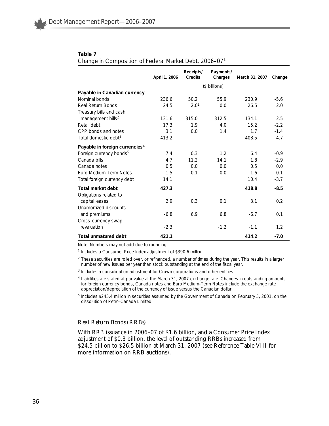#### **Table 7**

*Change in Composition of Federal Market Debt, 2006–071*

|                                             | April 1, 2006 | Receipts/<br>Credits | Payments/<br>Charges | March 31, 2007 | Change |  |
|---------------------------------------------|---------------|----------------------|----------------------|----------------|--------|--|
|                                             | (\$ billions) |                      |                      |                |        |  |
| Payable in Canadian currency                |               |                      |                      |                |        |  |
| Nominal bonds                               | 236.6         | 50.2                 | 55.9                 | 230.9          | $-5.6$ |  |
| Real Return Bonds                           | 24.5          | 2.0 <sup>1</sup>     | 0.0                  | 26.5           | 2.0    |  |
| Treasury bills and cash                     |               |                      |                      |                |        |  |
| management bills <sup>2</sup>               | 131.6         | 315.0                | 312.5                | 134.1          | 2.5    |  |
| Retail debt                                 | 17.3          | 1.9                  | 4.0                  | 15.2           | $-2.2$ |  |
| CPP bonds and notes                         | 3.1           | 0.0                  | 1.4                  | 1.7            | $-1.4$ |  |
| Total domestic debt <sup>3</sup>            | 413.2         |                      |                      | 408.5          | $-4.7$ |  |
| Payable in foreign currencies <sup>4</sup>  |               |                      |                      |                |        |  |
| Foreign currency bonds <sup>5</sup>         | 7.4           | 0.3                  | 1.2                  | 6.4            | $-0.9$ |  |
| Canada bills                                | 4.7           | 11.2                 | 14.1                 | 1.8            | $-2.9$ |  |
| Canada notes                                | 0.5           | 0.0                  | 0.0                  | 0.5            | 0.0    |  |
| Euro Medium-Term Notes                      | 1.5           | 0.1                  | 0.0                  | 1.6            | 0.1    |  |
| Total foreign currency debt                 | 14.1          |                      |                      | 10.4           | $-3.7$ |  |
| Total market debt<br>Obligations related to | 427.3         |                      |                      | 418.8          | $-8.5$ |  |
| capital leases                              | 2.9           | 0.3                  | 0.1                  | 3.1            | 0.2    |  |
| Unamortized discounts                       |               |                      |                      |                |        |  |
| and premiums                                | $-6.8$        | 6.9                  | 6.8                  | $-6.7$         | 0.1    |  |
| Cross-currency swap                         |               |                      |                      |                |        |  |
| revaluation                                 | $-2.3$        |                      | $-1.2$               | $-1.1$         | 1.2    |  |
| Total unmatured debt                        | 421.1         |                      |                      | 414.2          | $-7.0$ |  |

Note: Numbers may not add due to rounding.

<sup>1</sup> Includes a Consumer Price Index adjustment of \$390.6 million.

<sup>2</sup> These securities are rolled over, or refinanced, a number of times during the year. This results in a larger number of new issues per year than stock outstanding at the end of the fiscal year.

- <sup>3</sup> Includes a consolidation adjustment for Crown corporations and other entities.
- <sup>4</sup> Liabilities are stated at par value at the March 31, 2007 exchange rate. Changes in outstanding amounts for foreign currency bonds, Canada notes and Euro Medium-Term Notes include the exchange rate appreciation/depreciation of the currency of issue versus the Canadian dollar.

<sup>5</sup> Includes \$245.4 million in securities assumed by the Government of Canada on February 5, 2001, on the dissolution of Petro-Canada Limited.

#### *Real Return Bonds (RRBs)*

With RRB issuance in 2006–07 of \$1.6 billion, and a Consumer Price Index adjustment of \$0.3 billion, the level of outstanding RRBs increased from \$24.5 billion to \$26.5 billion at March 31, 2007 (see Reference Table VIII for more information on RRB auctions).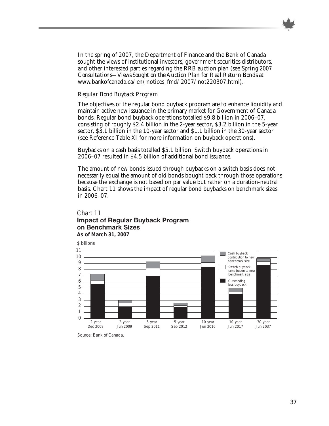In the spring of 2007, the Department of Finance and the Bank of Canada sought the views of institutional investors, government securities distributors, and other interested parties regarding the RRB auction plan (see *Spring 2007 Consultations—Views Sought on the Auction Plan for Real Return Bonds* at www.bankofcanada.ca/en/notices\_fmd/2007/not220307.html).

#### *Regular Bond Buyback Program*

The objectives of the regular bond buyback program are to enhance liquidity and maintain active new issuance in the primary market for Government of Canada bonds. Regular bond buyback operations totalled \$9.8 billion in 2006–07, consisting of roughly \$2.4 billion in the 2-year sector, \$3.2 billion in the 5-year sector, \$3.1 billion in the 10-year sector and \$1.1 billion in the 30-year sector (see Reference Table XI for more information on buyback operations).

Buybacks on a cash basis totalled \$5.1 billion. Switch buyback operations in 2006–07 resulted in \$4.5 billion of additional bond issuance.

The amount of new bonds issued through buybacks on a switch basis does not necessarily equal the amount of old bonds bought back through those operations because the exchange is not based on par value but rather on a duration-neutral basis. Chart 11 shows the impact of regular bond buybacks on benchmark sizes in 2006–07.

#### Chart 11 **Impact of Regular Buyback Program on Benchmark Sizes As of March 31, 2007**

\$ billions 11 Cash buyback 10 contribution to new benchmark size 9 Switch buyback 8  $\mathbf{I}$ contribution to new benchmark size 7 **Outstanding** 6 less buyback5 4 3 2 1 0 2-year 2-year 5-year 5-year 10-year 10-year 30-year Dec 2008 Jun 2009 Sep 2012 Sep 2011 Jun 2016 Jun 2017 Jun 2037

Source: Bank of Canada.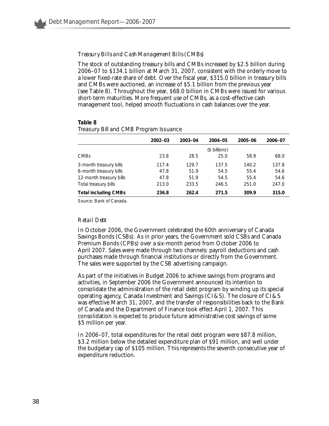#### *Treasury Bills and Cash Management Bills (CMBs)*

The stock of outstanding treasury bills and CMBs increased by \$2.5 billion during 2006–07 to \$134.1 billion at March 31, 2007, consistent with the orderly move to a lower fixed-rate share of debt. Over the fiscal year, \$315.0 billion in treasury bills and CMBs were auctioned, an increase of \$5.1 billion from the previous year (see Table 8). Throughout the year, \$68.0 billion in CMBs were issued for various short-term maturities. More frequent use of CMBs, as a cost-effective cash management tool, helped smooth fluctuations in cash balances over the year.

#### **Table 8**

|  | $\ldots$ cacer, $\qquad \ldots$ can can construct the contract of $\ldots$ |         |  |  |  |
|--|----------------------------------------------------------------------------|---------|--|--|--|
|  |                                                                            |         |  |  |  |
|  | $2002 - 03$                                                                | 2003-04 |  |  |  |

*Treasury Bill and CMB Program Issuance* 

|                             | 2002-03 | 2003-04 | 2004-05       | 2005-06 | 2006-07 |
|-----------------------------|---------|---------|---------------|---------|---------|
|                             |         |         | (\$ billions) |         |         |
| <b>CMBs</b>                 | 23.8    | 28.5    | 25.0          | 58.9    | 68.0    |
| 3-month treasury bills      | 117.4   | 129.7   | 137.5         | 140.2   | 137.8   |
| 6-month treasury bills      | 47.8    | 51.9    | 54.5          | 55.4    | 54.6    |
| 12-month treasury bills     | 47.8    | 51.9    | 54.5          | 55.4    | 54.6    |
| Total treasury bills        | 213.0   | 233.5   | 246.5         | 251.0   | 247.0   |
| <b>Total including CMBs</b> | 236.8   | 262.4   | 271.5         | 309.9   | 315.0   |

Source: Bank of Canada.

#### *Retail Debt*

In October 2006, the Government celebrated the 60th anniversary of Canada Savings Bonds (CSBs). As in prior years, the Government sold CSBs and Canada Premium Bonds (CPBs) over a six-month period from October 2006 to April 2007. Sales were made through two channels: payroll deductions and cash purchases made through financial institutions or directly from the Government. The sales were supported by the CSB advertising campaign.

As part of the initiatives in Budget 2006 to achieve savings from programs and activities, in September 2006 the Government announced its intention to consolidate the administration of the retail debt program by winding up its special operating agency, Canada Investment and Savings (CI&S). The closure of CI&S was effective March 31, 2007, and the transfer of responsibilities back to the Bank of Canada and the Department of Finance took effect April 1, 2007. This consolidation is expected to produce future administrative cost savings of some \$5 million per year.

In 2006–07, total expenditures for the retail debt program were \$87.8 million, \$3.2 million below the detailed expenditure plan of \$91 million, and well under the budgetary cap of \$105 million. This represents the seventh consecutive year of expenditure reduction.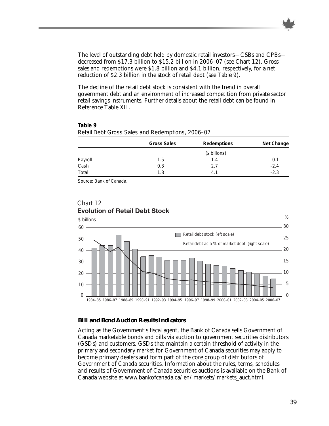The level of outstanding debt held by domestic retail investors—CSBs and CPBs decreased from \$17.3 billion to \$15.2 billion in 2006–07 (see Chart 12). Gross sales and redemptions were \$1.8 billion and \$4.1 billion, respectively, for a net reduction of \$2.3 billion in the stock of retail debt (see Table 9).

The decline of the retail debt stock is consistent with the trend in overall government debt and an environment of increased competition from private sector retail savings instruments. Further details about the retail debt can be found in Reference Table XII.

**Table 9**

|                 | Gross Sales | Redemptions   | Net Change |
|-----------------|-------------|---------------|------------|
|                 |             | (\$ billions) |            |
|                 | 1.5         | 1.4           | 0.1        |
| Payroll<br>Cash | 0.3         | 2.7           | $-2.4$     |
| Total           | 1.8         | 4.1           | $-2.3$     |

*Retail Debt Gross Sales and Redemptions, 2006–07*

Source: Bank of Canada.



## Chart 12 **Evolution of Retail Debt Stock**

#### *Bill and Bond Auction Results Indicators*

Acting as the Government's fiscal agent, the Bank of Canada sells Government of Canada marketable bonds and bills via auction to government securities distributors (GSDs) and customers. GSDs that maintain a certain threshold of activity in the primary and secondary market for Government of Canada securities may apply to become primary dealers and form part of the core group of distributors of Government of Canada securities. Information about the rules, terms, schedules and results of Government of Canada securities auctions is available on the Bank of Canada website at www.bankofcanada.ca/en/markets/markets\_auct.html.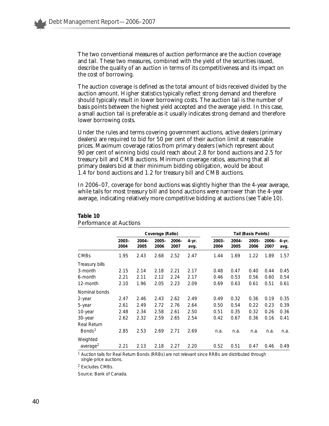The two conventional measures of auction performance are the auction coverage and tail. These two measures, combined with the yield of the securities issued, describe the quality of an auction in terms of its competitiveness and its impact on the cost of borrowing.

The auction coverage is defined as the total amount of bids received divided by the auction amount. Higher statistics typically reflect strong demand and therefore should typically result in lower borrowing costs. The auction tail is the number of basis points between the highest yield accepted and the average yield. In this case, a small auction tail is preferable as it usually indicates strong demand and therefore lower borrowing costs.

Under the rules and terms covering government auctions, active dealers (primary dealers) are required to bid for 50 per cent of their auction limit at reasonable prices. Maximum coverage ratios from primary dealers (which represent about 90 per cent of winning bids) could reach about 2.8 for bond auctions and 2.5 for treasury bill and CMB auctions. Minimum coverage ratios, assuming that all primary dealers bid at their minimum bidding obligation, would be about 1.4 for bond auctions and 1.2 for treasury bill and CMB auctions.

In 2006–07, coverage for bond auctions was slightly higher than the 4-year average, while tails for most treasury bill and bond auctions were narrower than the 4-year average, indicating relatively more competitive bidding at auctions (see Table 10).

|                                                                                    | Coverage (Ratio)                     |                                      |                                      |                                      |                                      | Tail (Basis Points)                  |                                      |                                      |                                      |                                      |
|------------------------------------------------------------------------------------|--------------------------------------|--------------------------------------|--------------------------------------|--------------------------------------|--------------------------------------|--------------------------------------|--------------------------------------|--------------------------------------|--------------------------------------|--------------------------------------|
|                                                                                    | $2003 -$<br>2004                     | $2004 -$<br>2005                     | $2005 -$<br>2006                     | $2006 -$<br>2007                     | $4 - yr.$<br>avg.                    | $2003 -$<br>2004                     | $2004 -$<br>2005                     | $2005 -$<br>2006                     | $2006 -$<br>2007                     | 4-yr.<br>avg.                        |
| <b>CMBs</b>                                                                        | 1.95                                 | 2.43                                 | 2.68                                 | 2.52                                 | 2.47                                 | 1.44                                 | 1.69                                 | 1.22                                 | 1.89                                 | 1.57                                 |
| Treasury bills<br>3-month<br>6-month                                               | 2.15<br>2.21                         | 2.14<br>2.11                         | 2.18<br>2.12                         | 2.21<br>2.24                         | 2.17<br>2.17                         | 0.48<br>0.46                         | 0.47<br>0.53                         | 0.40<br>0.56                         | 0.44<br>0.60                         | 0.45<br>0.54                         |
| 12-month                                                                           | 2.10                                 | 1.96                                 | 2.05                                 | 2.23                                 | 2.09                                 | 0.69                                 | 0.63                                 | 0.61                                 | 0.51                                 | 0.61                                 |
| Nominal bonds                                                                      |                                      |                                      |                                      |                                      |                                      |                                      |                                      |                                      |                                      |                                      |
| 2-year<br>5-year<br>10-year<br>30-year<br><b>Real Return</b><br>Bonds <sup>1</sup> | 2.47<br>2.61<br>2.48<br>2.62<br>2.85 | 2.46<br>2.49<br>2.34<br>2.32<br>2.53 | 2.43<br>2.72<br>2.58<br>2.59<br>2.69 | 2.62<br>2.76<br>2.61<br>2.65<br>2.71 | 2.49<br>2.64<br>2.50<br>2.54<br>2.69 | 0.49<br>0.50<br>0.51<br>0.42<br>n.a. | 0.32<br>0.54<br>0.35<br>0.67<br>n.a. | 0.36<br>0.22<br>0.32<br>0.36<br>n.a. | 0.19<br>0.23<br>0.26<br>0.16<br>n.a. | 0.35<br>0.39<br>0.36<br>0.41<br>n.a. |
| Weighted<br>average <sup>2</sup>                                                   | 2.21                                 | 2.13                                 | 2.18                                 | 2.27                                 | 2.20                                 | 0.52                                 | 0.51                                 | 0.47                                 | 0.46                                 | 0.49                                 |

#### **Table 10** *Performance at Auctions*

<sup>1</sup> Auction tails for Real Return Bonds (RRBs) are not relevant since RRBs are distributed through single-price auctions.

<sup>2</sup> Excludes CMBs.

Source: Bank of Canada.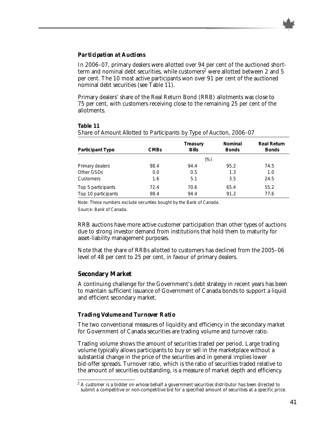#### *Participation at Auctions*

In 2006–07, primary dealers were allotted over 94 per cent of the auctioned shortterm and nominal debt securities, while customers<sup>2</sup> were allotted between 2 and 5 per cent. The 10 most active participants won over 91 per cent of the auctioned nominal debt securities (see Table 11).

Primary dealers' share of the Real Return Bond (RRB) allotments was close to 75 per cent, with customers receiving close to the remaining 25 per cent of the allotments.

| Table 11                                                             |  |
|----------------------------------------------------------------------|--|
| Share of Amount Allotted to Participants by Type of Auction, 2006-07 |  |

| <b>Participant Type</b> | <b>CMBs</b> | Treasury<br><b>Bills</b> | Nominal<br><b>Bonds</b> | <b>Real Return</b><br><b>Bonds</b> |
|-------------------------|-------------|--------------------------|-------------------------|------------------------------------|
|                         |             | (%)                      |                         |                                    |
| Primary dealers         | 98.4        | 94.4                     | 95.2                    | 74.5                               |
| Other GSDs              | 0.0         | 0.5                      | 1.3                     | 1.0                                |
| Customers               | 1.6         | 5.1                      | 3.5                     | 24.5                               |
| Top 5 participants      | 72.4        | 70.6                     | 65.4                    | 55.2                               |
| Top 10 participants     | 98.4        | 94.4                     | 91.2                    | 77.6                               |

Note: These numbers exclude securities bought by the Bank of Canada.

Source: Bank of Canada.

RRB auctions have more active customer participation than other types of auctions due to strong investor demand from institutions that hold them to maturity for asset-liability management purposes.

Note that the share of RRBs allotted to customers has declined from the 2005–06 level of 48 per cent to 25 per cent, in favour of primary dealers.

## **Secondary Market**

A continuing challenge for the Government's debt strategy in recent years has been to maintain sufficient issuance of Government of Canada bonds to support a liquid and efficient secondary market.

## *Trading Volume and Turnover Ratio*

The two conventional measures of liquidity and efficiency in the secondary market for Government of Canada securities are trading volume and turnover ratio.

Trading volume shows the amount of securities traded per period. Large trading volume typically allows participants to buy or sell in the marketplace without a substantial change in the price of the securities and in general implies lower bid-offer spreads. Turnover ratio, which is the ratio of securities traded relative to the amount of securities outstanding, is a measure of market depth and efficiency.

 $2$  A customer is a bidder on whose behalf a government securities distributor has been directed to submit a competitive or non-competitive bid for a specified amount of securities at a specific price.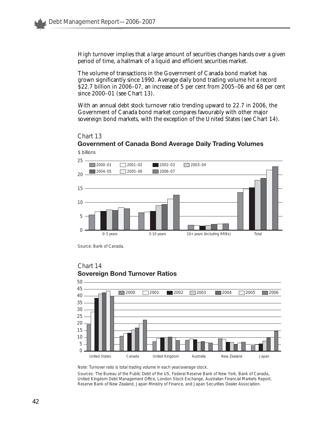High turnover implies that a large amount of securities changes hands over a given period of time, a hallmark of a liquid and efficient securities market.

The volume of transactions in the Government of Canada bond market has grown significantly since 1990. Average daily bond trading volume hit a record \$22.7 billion in 2006–07, an increase of 5 per cent from 2005–06 and 68 per cent since 2000–01 (see Chart 13).

With an annual debt stock turnover ratio trending upward to 22.7 in 2006, the Government of Canada bond market compares favourably with other major sovereign bond markets, with the exception of the United States (see Chart 14).

#### Chart 13



## **Government of Canada Bond Average Daily Trading Volumes** \$ billions

Source: Bank of Canada.

Chart 14



## **Sovereign Bond Turnover Ratios**

Note: Turnover ratio is total trading volume in each year/average stock.

Sources: The Bureau of the Public Debt of the US, Federal Reserve Bank of New York, Bank of Canada, United Kingdom Debt Management Office, London Stock Exchange, *Australian Financial Markets Report,* Reserve Bank of New Zealand, Japan Ministry of Finance, and Japan Securities Dealer Association.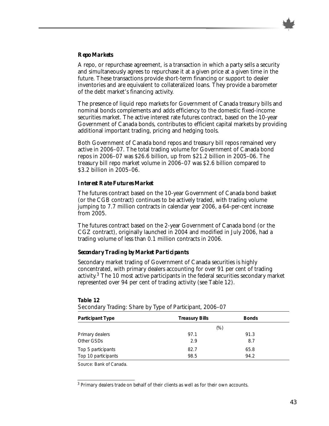

## *Repo Markets*

A repo, or repurchase agreement, is a transaction in which a party sells a security and simultaneously agrees to repurchase it at a given price at a given time in the future. These transactions provide short-term financing or support to dealer inventories and are equivalent to collateralized loans. They provide a barometer of the debt market's financing activity.

The presence of liquid repo markets for Government of Canada treasury bills and nominal bonds complements and adds efficiency to the domestic fixed-income securities market. The active interest rate futures contract, based on the 10-year Government of Canada bonds, contributes to efficient capital markets by providing additional important trading, pricing and hedging tools.

Both Government of Canada bond repos and treasury bill repos remained very active in 2006–07. The total trading volume for Government of Canada bond repos in 2006–07 was \$26.6 billion, up from \$21.2 billion in 2005–06. The treasury bill repo market volume in 2006–07 was \$2.6 billion compared to \$3.2 billion in 2005–06.

### *Interest Rate Futures Market*

The futures contract based on the 10-year Government of Canada bond basket (or the CGB contract) continues to be actively traded, with trading volume jumping to 7.7 million contracts in calendar year 2006, a 64-per-cent increase from 2005.

The futures contract based on the 2-year Government of Canada bond (or the CGZ contract), originally launched in 2004 and modified in July 2006, had a trading volume of less than 0.1 million contracts in 2006.

## *Secondary Trading by Market Participants*

Secondary market trading of Government of Canada securities is highly concentrated, with primary dealers accounting for over 91 per cent of trading activity.<sup>3</sup> The 10 most active participants in the federal securities secondary market represented over 94 per cent of trading activity (see Table 12).

#### **Table 12**

| <b>Participant Type</b> | <b>Treasury Bills</b> | <b>Bonds</b> |
|-------------------------|-----------------------|--------------|
|                         | (%)                   |              |
| Primary dealers         | 97.1                  | 91.3         |
| Other GSDs              | 2.9                   | 8.7          |
| Top 5 participants      | 82.7                  | 65.8         |
| Top 10 participants     | 98.5                  | 94.2         |

*Secondary Trading: Share by Type of Participant, 2006–07*

Source: Bank of Canada.

<sup>3</sup> Primary dealers trade on behalf of their clients as well as for their own accounts.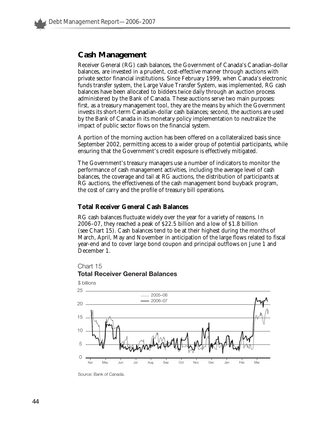## **Cash Management**

Receiver General (RG) cash balances, the Government of Canada's Canadian-dollar balances, are invested in a prudent, cost-effective manner through auctions with private sector financial institutions. Since February 1999, when Canada's electronic funds transfer system, the Large Value Transfer System, was implemented, RG cash balances have been allocated to bidders twice daily through an auction process administered by the Bank of Canada. These auctions serve two main purposes: first, as a treasury management tool, they are the means by which the Government invests its short-term Canadian-dollar cash balances; second, the auctions are used by the Bank of Canada in its monetary policy implementation to neutralize the impact of public sector flows on the financial system.

A portion of the morning auction has been offered on a collateralized basis since September 2002, permitting access to a wider group of potential participants, while ensuring that the Government's credit exposure is effectively mitigated.

The Government's treasury managers use a number of indicators to monitor the performance of cash management activities, including the average level of cash balances, the coverage and tail at RG auctions, the distribution of participants at RG auctions, the effectiveness of the cash management bond buyback program, the cost of carry and the profile of treasury bill operations.

### **Total Receiver General Cash Balances**

RG cash balances fluctuate widely over the year for a variety of reasons. In 2006–07, they reached a peak of \$22.5 billion and a low of \$1.8 billion (see Chart 15). Cash balances tend to be at their highest during the months of March, April, May and November in anticipation of the large flows related to fiscal year-end and to cover large bond coupon and principal outflows on June 1 and December 1.



#### **Total Receiver General Balances**



Source: Bank of Canada.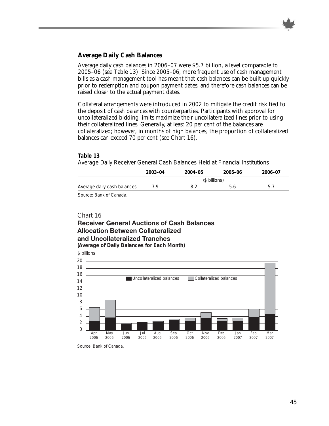

## **Average Daily Cash Balances**

Average daily cash balances in 2006–07 were \$5.7 billion, a level comparable to 2005–06 (see Table 13). Since 2005–06, more frequent use of cash management bills as a cash management tool has meant that cash balances can be built up quickly prior to redemption and coupon payment dates, and therefore cash balances can be raised closer to the actual payment dates.

Collateral arrangements were introduced in 2002 to mitigate the credit risk tied to the deposit of cash balances with counterparties. Participants with approval for uncollateralized bidding limits maximize their uncollateralized lines prior to using their collateralized lines. Generally, at least 20 per cent of the balances are collateralized; however, in months of high balances, the proportion of collateralized balances can exceed 70 per cent (see Chart 16).

#### **Table 13**

*Average Daily Receiver General Cash Balances Held at Financial Institutions*

|                             | 2003-04       | 2004-05 | 2005-06 | 2006-07 |  |  |
|-----------------------------|---------------|---------|---------|---------|--|--|
|                             | (\$ billions) |         |         |         |  |  |
| Average daily cash balances | 7 Q           |         |         | 5.      |  |  |

Source: Bank of Canada.

### Chart 16

## **Receiver General Auctions of Cash Balances Allocation Between Collateralized and Uncollateralized Tranches**

**(Average of Daily Balances for Each Month)**

\$ billions Uncollateralized balances Collateralized balances 0 2 4 6 8 10 12 14  $16 -$ 18 20 Apr 2006 May 2006 Jun 2006 Jul 2006 Aug 2006 Sep 2006 Oct 2006 Nov 2006 Dec 2006 Jan 2007 Feb 2007 Mar 2007

Source: Bank of Canada.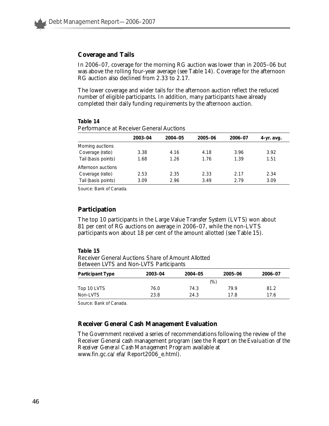#### **Coverage and Tails**

In 2006–07, coverage for the morning RG auction was lower than in 2005–06 but was above the rolling four-year average (see Table 14). Coverage for the afternoon RG auction also declined from 2.33 to 2.17.

The lower coverage and wider tails for the afternoon auction reflect the reduced number of eligible participants. In addition, many participants have already completed their daily funding requirements by the afternoon auction.

#### **Table 14**

|                     | 2003-04 | 2004-05 | 2005-06 | 2006-07 | 4-yr. avg. |
|---------------------|---------|---------|---------|---------|------------|
| Morning auctions    |         |         |         |         |            |
| Coverage (ratio)    | 3.38    | 4.16    | 4.18    | 3.96    | 3.92       |
| Tail (basis points) | 1.68    | 1.26    | 1.76    | 1.39    | 1.51       |
| Afternoon auctions  |         |         |         |         |            |
| Coverage (ratio)    | 2.53    | 2.35    | 2.33    | 2.17    | 2.34       |
| Tail (basis points) | 3.09    | 2.96    | 3.49    | 2.79    | 3.09       |
|                     |         |         |         |         |            |

*Performance at Receiver General Auctions*

Source: Bank of Canada.

## **Participation**

The top 10 participants in the Large Value Transfer System (LVTS) won about 81 per cent of RG auctions on average in 2006–07, while the non-LVTS participants won about 18 per cent of the amount allotted (see Table 15).

#### **Table 15**

*Receiver General Auctions Share of Amount Allotted Between LVTS and Non-LVTS Participants* 

| <b>Participant Type</b> | 2003-04 | 2004-05 | 2005-06 | 2006-07 |
|-------------------------|---------|---------|---------|---------|
|                         |         |         | (%)     |         |
| Top 10 LVTS             | 76.0    | 74.3    | 79.9    | 81.2    |
| Non-LVTS                | 23.8    | 24.3    | 17 R    | 17.6    |

Source: Bank of Canada.

## **Receiver General Cash Management Evaluation**

The Government received a series of recommendations following the review of the Receiver General cash management program (see the *Report on the Evaluation of the Receiver General Cash Management Program* available at www.fin.gc.ca/efa/Report2006\_e.html).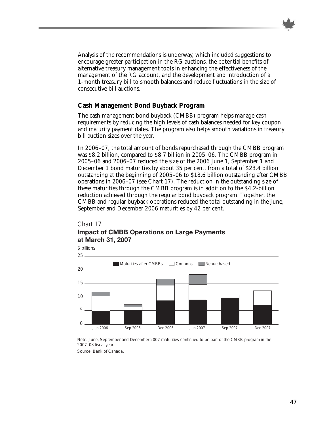

Analysis of the recommendations is underway, which included suggestions to encourage greater participation in the RG auctions, the potential benefits of alternative treasury management tools in enhancing the effectiveness of the management of the RG account, and the development and introduction of a 1-month treasury bill to smooth balances and reduce fluctuations in the size of consecutive bill auctions.

## **Cash Management Bond Buyback Program**

The cash management bond buyback (CMBB) program helps manage cash requirements by reducing the high levels of cash balances needed for key coupon and maturity payment dates. The program also helps smooth variations in treasury bill auction sizes over the year.

In 2006–07, the total amount of bonds repurchased through the CMBB program was \$8.2 billion, compared to \$8.7 billion in 2005–06. The CMBB program in 2005–06 and 2006–07 reduced the size of the 2006 June 1, September 1 and December 1 bond maturities by about 35 per cent, from a total of \$28.4 billion outstanding at the beginning of 2005–06 to \$18.6 billion outstanding after CMBB operations in 2006–07 (see Chart 17). The reduction in the outstanding size of these maturities through the CMBB program is in addition to the \$4.2-billion reduction achieved through the regular bond buyback program. Together, the CMBB and regular buyback operations reduced the total outstanding in the June, September and December 2006 maturities by 42 per cent.

## Chart 17 **Impact of CMBB Operations on Large Payments at March 31, 2007**



Note: June, September and December 2007 maturities continued to be part of the CMBB program in the 2007–08 fiscal year.

Source: Bank of Canada.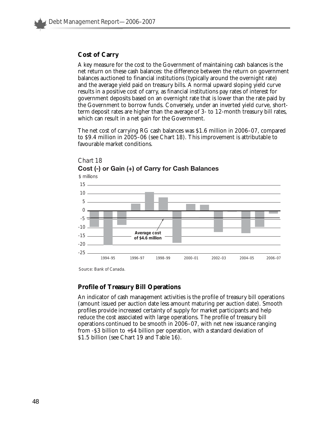## **Cost of Carry**

A key measure for the cost to the Government of maintaining cash balances is the net return on these cash balances: the difference between the return on government balances auctioned to financial institutions (typically around the overnight rate) and the average yield paid on treasury bills. A normal upward sloping yield curve results in a positive cost of carry, as financial institutions pay rates of interest for government deposits based on an overnight rate that is lower than the rate paid by the Government to borrow funds. Conversely, under an inverted yield curve, shortterm deposit rates are higher than the average of 3- to 12-month treasury bill rates, which can result in a net gain for the Government.

The net cost of carrying RG cash balances was \$1.6 million in 2006–07, compared to \$9.4 million in 2005–06 (see Chart 18). This improvement is attributable to favourable market conditions.



## Chart 18 **Cost (-) or Gain (+) of Carry for Cash Balances**

Source: Bank of Canada.

## **Profile of Treasury Bill Operations**

An indicator of cash management activities is the profile of treasury bill operations (amount issued per auction date less amount maturing per auction date). Smooth profiles provide increased certainty of supply for market participants and help reduce the cost associated with large operations. The profile of treasury bill operations continued to be smooth in 2006–07, with net new issuance ranging from -\$3 billion to +\$4 billion per operation, with a standard deviation of \$1.5 billion (see Chart 19 and Table 16).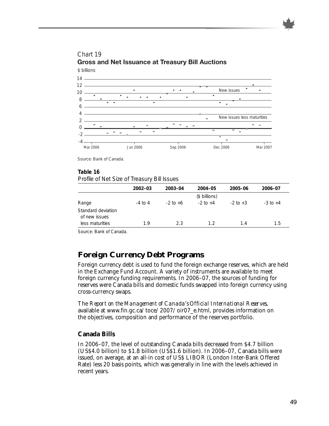

# **Gross and Net Issuance at Treasury Bill Auctions**

Source: Bank of Canada.

#### **Table 16**

*Profile of Net Size of Treasury Bill Issues*

|                    | $2002 - 03$ | 2003-04      | 2004-05       | 2005-06      | 2006-07      |
|--------------------|-------------|--------------|---------------|--------------|--------------|
|                    |             |              | (\$ billions) |              |              |
| Range              | $-4$ to $4$ | $-2$ to $+6$ | $-2$ to $+4$  | $-2$ to $+3$ | $-3$ to $+4$ |
| Standard deviation |             |              |               |              |              |
| of new issues      |             |              |               |              |              |
| less maturities    | 1.9         | 2.3          | 1.2           | 14           | 1.5          |

Source: Bank of Canada.

## **Foreign Currency Debt Programs**

Foreign currency debt is used to fund the foreign exchange reserves, which are held in the Exchange Fund Account. A variety of instruments are available to meet foreign currency funding requirements. In 2006–07, the sources of funding for reserves were Canada bills and domestic funds swapped into foreign currency using cross-currency swaps.

The *Report on the Management of Canada's Official International Reserves*, available at www.fin.gc.ca/toce/2007/oir07\_e.html, provides information on the objectives, composition and performance of the reserves portfolio.

## **Canada Bills**

In 2006–07, the level of outstanding Canada bills decreased from \$4.7 billion (US\$4.0 billion) to \$1.8 billion (US\$1.6 billion). In 2006–07, Canada bills were issued, on average, at an all-in cost of US\$ LIBOR (London Inter-Bank Offered Rate) less 20 basis points, which was generally in line with the levels achieved in recent years.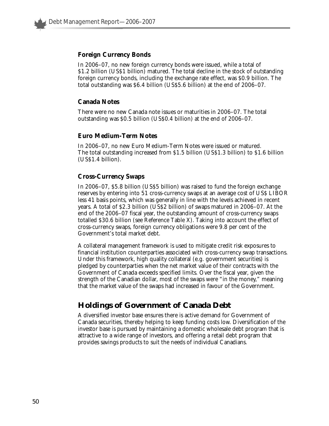## **Foreign Currency Bonds**

In 2006–07, no new foreign currency bonds were issued, while a total of \$1.2 billion (US\$1 billion) matured. The total decline in the stock of outstanding foreign currency bonds, including the exchange rate effect, was \$0.9 billion. The total outstanding was \$6.4 billion (US\$5.6 billion) at the end of 2006–07.

## **Canada Notes**

There were no new Canada note issues or maturities in 2006–07. The total outstanding was \$0.5 billion (US\$0.4 billion) at the end of 2006–07.

### **Euro Medium-Term Notes**

In 2006–07, no new Euro Medium-Term Notes were issued or matured. The total outstanding increased from \$1.5 billion (US\$1.3 billion) to \$1.6 billion (US\$1.4 billion).

### **Cross-Currency Swaps**

In 2006–07, \$5.8 billion (US\$5 billion) was raised to fund the foreign exchange reserves by entering into 51 cross-currency swaps at an average cost of US\$ LIBOR less 41 basis points, which was generally in line with the levels achieved in recent years. A total of \$2.3 billion (US\$2 billion) of swaps matured in 2006–07. At the end of the 2006–07 fiscal year, the outstanding amount of cross-currency swaps totalled \$30.6 billion (see Reference Table X). Taking into account the effect of cross-currency swaps, foreign currency obligations were 9.8 per cent of the Government's total market debt.

A collateral management framework is used to mitigate credit risk exposures to financial institution counterparties associated with cross-currency swap transactions. Under this framework, high quality collateral (e.g. government securities) is pledged by counterparties when the net market value of their contracts with the Government of Canada exceeds specified limits. Over the fiscal year, given the strength of the Canadian dollar, most of the swaps were "in the money," meaning that the market value of the swaps had increased in favour of the Government.

## **Holdings of Government of Canada Debt**

A diversified investor base ensures there is active demand for Government of Canada securities, thereby helping to keep funding costs low. Diversification of the investor base is pursued by maintaining a domestic wholesale debt program that is attractive to a wide range of investors, and offering a retail debt program that provides savings products to suit the needs of individual Canadians.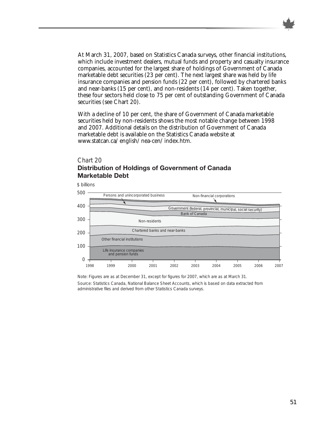

At March 31, 2007, based on Statistics Canada surveys, other financial institutions, which include investment dealers, mutual funds and property and casualty insurance companies, accounted for the largest share of holdings of Government of Canada marketable debt securities (23 per cent). The next largest share was held by life insurance companies and pension funds (22 per cent), followed by chartered banks and near-banks (15 per cent), and non-residents (14 per cent). Taken together, these four sectors held close to 75 per cent of outstanding Government of Canada securities (see Chart 20).

With a decline of 10 per cent, the share of Government of Canada marketable securities held by non-residents shows the most notable change between 1998 and 2007. Additional details on the distribution of Government of Canada marketable debt is available on the Statistics Canada website at www.statcan.ca/english/nea-cen/index.htm.

#### Chart 20

## **Distribution of Holdings of Government of Canada Marketable Debt**



Note: Figures are as at December 31, except for figures for 2007, which are as at March 31.

Source: Statistics Canada, *National Balance Sheet Accounts*, which is based on data extracted from administrative files and derived from other Statistics Canada surveys.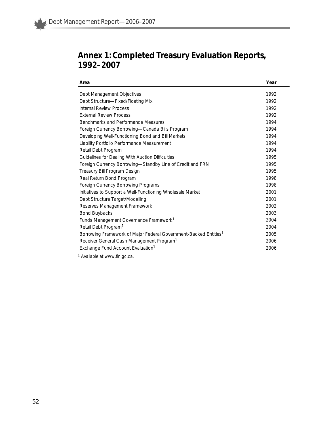

## **Annex 1: Completed Treasury Evaluation Reports, 1992–2007**

| Area                                                                         | Year |
|------------------------------------------------------------------------------|------|
|                                                                              | 1992 |
| Debt Management Objectives                                                   |      |
| Debt Structure-Fixed/Floating Mix                                            | 1992 |
| Internal Review Process                                                      | 1992 |
| <b>External Review Process</b>                                               | 1992 |
| Benchmarks and Performance Measures                                          | 1994 |
| Foreign Currency Borrowing-Canada Bills Program                              | 1994 |
| Developing Well-Functioning Bond and Bill Markets                            | 1994 |
| Liability Portfolio Performance Measurement                                  | 1994 |
| Retail Debt Program                                                          | 1994 |
| Guidelines for Dealing With Auction Difficulties                             | 1995 |
| Foreign Currency Borrowing-Standby Line of Credit and FRN                    | 1995 |
| Treasury Bill Program Design                                                 | 1995 |
| Real Return Bond Program                                                     | 1998 |
| Foreign Currency Borrowing Programs                                          | 1998 |
| Initiatives to Support a Well-Functioning Wholesale Market                   | 2001 |
| Debt Structure Target/Modelling                                              | 2001 |
| Reserves Management Framework                                                | 2002 |
| <b>Bond Buybacks</b>                                                         | 2003 |
| Funds Management Governance Framework <sup>1</sup>                           | 2004 |
| Retail Debt Program <sup>1</sup>                                             | 2004 |
| Borrowing Framework of Major Federal Government-Backed Entities <sup>1</sup> | 2005 |
| Receiver General Cash Management Program <sup>1</sup>                        | 2006 |
| Exchange Fund Account Evaluation <sup>1</sup>                                | 2006 |

<sup>1</sup> Available at www.fin.gc.ca.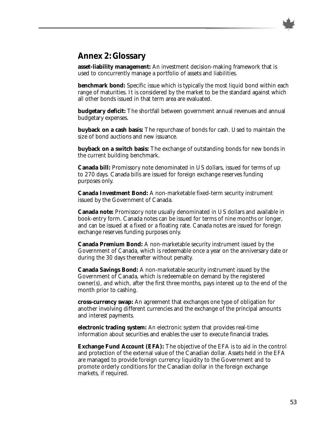

## **Annex 2: Glossary**

**asset-liability management:** An investment decision-making framework that is used to concurrently manage a portfolio of assets and liabilities.

**benchmark bond:** Specific issue which is typically the most liquid bond within each range of maturities. It is considered by the market to be the standard against which all other bonds issued in that term area are evaluated.

**budgetary deficit:** The shortfall between government annual revenues and annual budgetary expenses.

**buyback on a cash basis:** The repurchase of bonds for cash. Used to maintain the size of bond auctions and new issuance.

**buyback on a switch basis:** The exchange of outstanding bonds for new bonds in the current building benchmark.

**Canada bill:** Promissory note denominated in US dollars, issued for terms of up to 270 days. Canada bills are issued for foreign exchange reserves funding purposes only.

**Canada Investment Bond:** A non-marketable fixed-term security instrument issued by the Government of Canada.

**Canada note:** Promissory note usually denominated in US dollars and available in book-entry form. Canada notes can be issued for terms of nine months or longer, and can be issued at a fixed or a floating rate. Canada notes are issued for foreign exchange reserves funding purposes only.

**Canada Premium Bond:** A non-marketable security instrument issued by the Government of Canada, which is redeemable once a year on the anniversary date or during the 30 days thereafter without penalty.

**Canada Savings Bond:** A non-marketable security instrument issued by the Government of Canada, which is redeemable on demand by the registered owner(s), and which, after the first three months, pays interest up to the end of the month prior to cashing.

**cross-currency swap:** An agreement that exchanges one type of obligation for another involving different currencies and the exchange of the principal amounts and interest payments.

**electronic trading system:** An electronic system that provides real-time information about securities and enables the user to execute financial trades.

**Exchange Fund Account (EFA):** The objective of the EFA is to aid in the control and protection of the external value of the Canadian dollar. Assets held in the EFA are managed to provide foreign currency liquidity to the Government and to promote orderly conditions for the Canadian dollar in the foreign exchange markets, if required.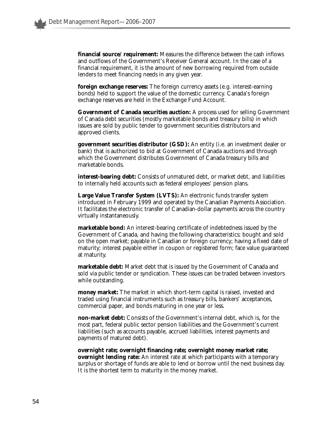**financial source/requirement:** Measures the difference between the cash inflows and outflows of the Government's Receiver General account. In the case of a financial requirement, it is the amount of new borrowing required from outside lenders to meet financing needs in any given year.

**foreign exchange reserves:** The foreign currency assets (e.g. interest-earning bonds) held to support the value of the domestic currency. Canada's foreign exchange reserves are held in the Exchange Fund Account.

**Government of Canada securities auction:** A process used for selling Government of Canada debt securities (mostly marketable bonds and treasury bills) in which issues are sold by public tender to government securities distributors and approved clients.

**government securities distributor (GSD):** An entity (i.e. an investment dealer or bank) that is authorized to bid at Government of Canada auctions and through which the Government distributes Government of Canada treasury bills and marketable bonds.

**interest-bearing debt:** Consists of unmatured debt, or market debt, and liabilities to internally held accounts such as federal employees' pension plans.

**Large Value Transfer System (LVTS):** An electronic funds transfer system introduced in February 1999 and operated by the Canadian Payments Association. It facilitates the electronic transfer of Canadian-dollar payments across the country virtually instantaneously.

**marketable bond:** An interest-bearing certificate of indebtedness issued by the Government of Canada, and having the following characteristics: bought and sold on the open market; payable in Canadian or foreign currency; having a fixed date of maturity; interest payable either in coupon or registered form; face value guaranteed at maturity.

**marketable debt:** Market debt that is issued by the Government of Canada and sold via public tender or syndication. These issues can be traded between investors while outstanding.

**money market:** The market in which short-term capital is raised, invested and traded using financial instruments such as treasury bills, bankers' acceptances, commercial paper, and bonds maturing in one year or less.

**non-market debt:** Consists of the Government's internal debt, which is, for the most part, federal public sector pension liabilities and the Government's current liabilities (such as accounts payable, accrued liabilities, interest payments and payments of matured debt).

**overnight rate; overnight financing rate; overnight money market rate; overnight lending rate:** An interest rate at which participants with a temporary surplus or shortage of funds are able to lend or borrow until the next business day. It is the shortest term to maturity in the money market.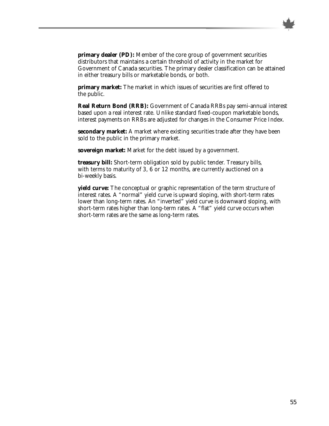

**primary dealer (PD):** Member of the core group of government securities distributors that maintains a certain threshold of activity in the market for Government of Canada securities. The primary dealer classification can be attained in either treasury bills or marketable bonds, or both.

**primary market:** The market in which issues of securities are first offered to the public.

**Real Return Bond (RRB):** Government of Canada RRBs pay semi-annual interest based upon a real interest rate. Unlike standard fixed-coupon marketable bonds, interest payments on RRBs are adjusted for changes in the Consumer Price Index.

**secondary market:** A market where existing securities trade after they have been sold to the public in the primary market.

**sovereign market:** Market for the debt issued by a government.

**treasury bill:** Short-term obligation sold by public tender. Treasury bills, with terms to maturity of 3, 6 or 12 months, are currently auctioned on a bi-weekly basis.

**yield curve:** The conceptual or graphic representation of the term structure of interest rates. A "normal" yield curve is upward sloping, with short-term rates lower than long-term rates. An "inverted" yield curve is downward sloping, with short-term rates higher than long-term rates. A "flat" yield curve occurs when short-term rates are the same as long-term rates.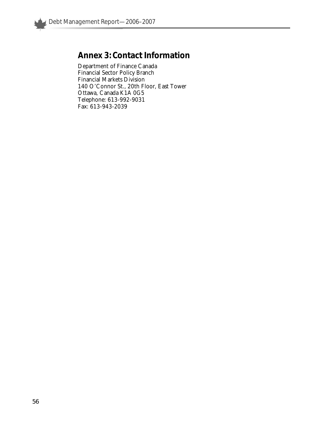

# **Annex 3: Contact Information**

Department of Finance Canada Financial Sector Policy Branch Financial Markets Division 140 O'Connor St., 20th Floor, East Tower Ottawa, Canada K1A 0G5 Telephone: 613-992-9031 Fax: 613-943-2039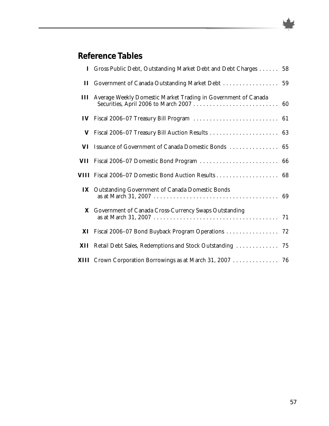

# **Reference Tables**

|               | I Gross Public Debt, Outstanding Market Debt and Debt Charges  58         |  |
|---------------|---------------------------------------------------------------------------|--|
| $\mathbf{H}$  | Government of Canada Outstanding Market Debt  59                          |  |
|               | <b>III</b> Average Weekly Domestic Market Trading in Government of Canada |  |
| $\mathbf{IV}$ |                                                                           |  |
| V             |                                                                           |  |
| VI            | Issuance of Government of Canada Domestic Bonds  65                       |  |
|               | VII Fiscal 2006-07 Domestic Bond Program  66                              |  |
|               |                                                                           |  |
|               | <b>IX</b> Outstanding Government of Canada Domestic Bonds                 |  |
| X             | Government of Canada Cross-Currency Swaps Outstanding                     |  |
|               | XI Fiscal 2006-07 Bond Buyback Program Operations  72                     |  |
|               | XII Retail Debt Sales, Redemptions and Stock Outstanding  75              |  |
|               | XIII Crown Corporation Borrowings as at March 31, 2007  76                |  |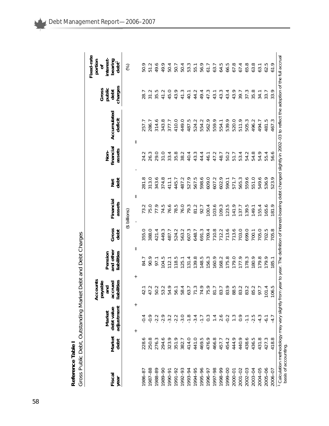| Reference Table | ross Public Debt, Outstanding Market Debt and Debt Charges |
|-----------------|------------------------------------------------------------|
|                 |                                                            |

| Fiscal              | Market    | debt value<br>Market     | Accounts<br>payable<br>accrued<br>ᅙ<br>Έ | and other<br>Pension | Gross | Financial                   | Net<br>debt | financial<br>Non- | Accumulated                                                                                                                                                                               | public<br>Gross<br>debt | Fixed-rate<br>portion<br>bearing<br>interest<br>ð |
|---------------------|-----------|--------------------------|------------------------------------------|----------------------|-------|-----------------------------|-------------|-------------------|-------------------------------------------------------------------------------------------------------------------------------------------------------------------------------------------|-------------------------|---------------------------------------------------|
| year                | debt      | adjustment               | liabilities                              | liabilities          | debt  | assets                      |             | assets            | deficit                                                                                                                                                                                   | charges                 | $det^T$                                           |
|                     |           |                          |                                          |                      |       | (\$ billions)               |             |                   |                                                                                                                                                                                           |                         | (%)                                               |
|                     |           | $^{+}$<br>$^{+}$         |                                          | $\, \parallel$       |       | $\mathbf{I}$<br>$\mathbf I$ |             |                   |                                                                                                                                                                                           |                         |                                                   |
| 986-8               | ◡<br>228. |                          |                                          | 84.7                 | 355.0 | 73.2                        | 281.8       | 24.2              | 257.7                                                                                                                                                                                     | 28.7                    | 50.9                                              |
| 987-88              | 250.8     | $-0.9$                   | $\sim$<br>47                             | 90.9                 | 388.0 | 75.0                        | 313.0       | 26.3              | 286.7                                                                                                                                                                                     | 31.2                    | 51.2                                              |
| 1988-89             | 276.3     | $-2.2$                   | $\sim$<br>50                             | 97.1                 | 421.4 | 77.9                        | 343.6       | 29.0              | 314.6                                                                                                                                                                                     | 35.5                    | 49.6                                              |
| 1989-90             | 294.6     | $-2.9$                   | C<br>53                                  | 104.5                | 449.3 | 74.5                        | 374.8       | 31.0              | 343.8                                                                                                                                                                                     | 41.2                    | 49.9                                              |
| 1990-9              | 323.9     | $-3.2$                   | σ<br>54                                  | 112.1                | 487.7 | 76.6                        | 411.1       | 33.4              | 377.7                                                                                                                                                                                     | 45.0                    | 50.4                                              |
| 1991-92             | 351.9     | $-2.2$                   | 56                                       | 118.5                | 524.2 | 78.5                        | 445.7       | 35.8              | 410.0                                                                                                                                                                                     | 43.9                    | 50.7                                              |
| 992-93              | 382.7     | $-3.0$                   | 58                                       | 125.1                | 563.2 | 76.0                        | 487.2       | 38.2              | 449.0                                                                                                                                                                                     | 41.3                    | 50.4                                              |
| 1993-94             | 414.0     | $-1.8$                   | 63                                       | 131.4                | 607.3 | 79.3                        | 527.9       | 40.4              | 487.5                                                                                                                                                                                     | 40.1                    | 53.3                                              |
| 1994-95             | 441.0     | $-3.4$                   |                                          | 139.8                | 648.7 | 81.2                        | 567.5       | 43.3              | 524.2                                                                                                                                                                                     | 44.2                    | 55.1                                              |
| 1995-96             | 469.5     | $\overline{\phantom{0}}$ | ○<br>74                                  | 148.5                | 691.3 | 92.7                        | 598.6       | 44.4              | 554.2                                                                                                                                                                                     | 49.4                    | 56.9                                              |
| 1996-97             | 476.9     | $0.\overline{3}$         | σ<br>75                                  | 56.3                 | 709.4 | 00.4                        | 609.0       | 46.1              | 562.9                                                                                                                                                                                     | 47.3                    | 61.7                                              |
| 86-7661             | 466.8     | $\overline{1}$ .4        | $\overline{\circ}$                       | 160.9                | 710.8 | 103.6                       | 607.2       | 47.2              | 559.9                                                                                                                                                                                     | 43.1                    | 63.7                                              |
| 1998-99             | 457.7     | 2.6                      | 83                                       | 168.2                | 112.2 | 109.3                       | 602.9       | 48.7              | 554.1                                                                                                                                                                                     | 43.3                    | 64.5                                              |
| 00-666              | 454.2     | $-0.2$                   | σ<br>83                                  | 175.8                | 113.6 | 123.5                       | 590.1       | 50.2              | 539.9                                                                                                                                                                                     | 43.4                    | 66.5                                              |
| 2000-01             | 444.9     | $\frac{3}{2}$            | S<br>88                                  | 179.0                | 713.6 | 141.9                       | 571.7       | 51.7              | 520.0                                                                                                                                                                                     | 43.9                    | 67.8                                              |
| $2001 - 02$         | 440.9     | 0.9                      | ۲<br>83                                  | 177.9                | 703.0 | 37.7                        | 565.3       | 53.4              | 511.9                                                                                                                                                                                     | 39.7                    | 67.4                                              |
| 2002-03             | 438.6     | $\sum_{i=1}^{n}$         | 83                                       | 178.3                | 699.0 | 39.5                        | 559.6       | 54.2              | 505.3                                                                                                                                                                                     | 37.3                    | 65.8                                              |
| 2003-04             | 436.5     | $-2.5$                   | 85                                       | 180.9                | 700.1 | 149.1                       | 551.0       | 54.8              | 496.2                                                                                                                                                                                     | 35.8                    | 63.8                                              |
| 2004-05             | 431.8     | $-4.3$                   | 97                                       | 179.8                | 705.0 | 155.4                       | 549.6       | 54.9              | 494.7                                                                                                                                                                                     | 34.1                    | 63.1                                              |
| $2005 - 06$         | 427.3     | $-6.1$                   | 4<br>101                                 | 179.9                | 702.5 | 165.6                       | 536.9       | 55.4              | 481.5                                                                                                                                                                                     | 33.7                    | 62.5                                              |
| 2006-07             | 418.8     | $-4.7$                   | ഥ<br>106                                 | 185.1                | 705.8 | 81.9                        | 523.9       | 56.6              | 467.3                                                                                                                                                                                     | 33.9                    | 61.9                                              |
| basis of accounting |           |                          |                                          |                      |       |                             |             |                   | <sup>1</sup> Calculation methodology may vary slightly from year to year. The definition of interest-bearing debt changed slightly in 2002-03 to reflect the adoption of the full accrual |                         |                                                   |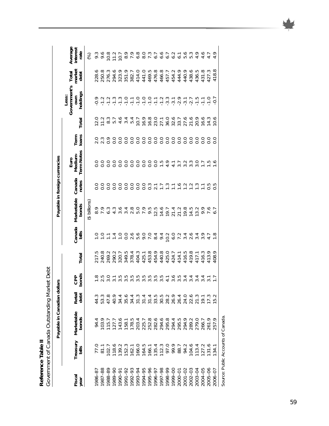Reference Table II<br>Government of Canada Outstanding Market Debt *Government of Canada Outstanding Market Debt* **Reference Table II**

|                                   |                   | Payable in Canadian dollars                                                                                                      |                |                         |                |                             |                        |                                              | Payable in foreign currencies        |                |                  |                                                                                        |                         |                             |
|-----------------------------------|-------------------|----------------------------------------------------------------------------------------------------------------------------------|----------------|-------------------------|----------------|-----------------------------|------------------------|----------------------------------------------|--------------------------------------|----------------|------------------|----------------------------------------------------------------------------------------|-------------------------|-----------------------------|
| Fiscal<br>year                    | Treasury<br>bills | Marketable<br>bonds                                                                                                              | Retail<br>debt | bonds<br><b>CPP</b>     | Total          | Canada<br>bills             | Marketable<br>bonds    | Canada<br>notes                              | <b>Term Notes</b><br>Euro<br>Medium- | loans<br>Term  | Total            | Government's<br>holdings<br>Less:<br>OWN                                               | market<br>Total<br>debt | Average<br>interest<br>rate |
|                                   |                   |                                                                                                                                  |                |                         |                |                             | (\$ billions)          |                                              |                                      |                |                  |                                                                                        |                         | $\mathcal{\mathcal{E}}$     |
| 986-87                            |                   | 94.4                                                                                                                             |                |                         |                |                             | 8.9                    | $\frac{0}{0}$                                |                                      |                |                  |                                                                                        | 228.6                   |                             |
| 1987-88                           | 77.0<br>81.1      | 103.9                                                                                                                            |                | P<br>$\sim$             | 217.5<br>240.8 | $\frac{1}{1}$ $\frac{1}{1}$ | 7.9                    | O.0                                          |                                      | OMOO<br>NNOO   | $12.0$<br>$11.2$ | $-0.9$                                                                                 | 250.8                   | 9.3<br>9.6                  |
| 988-89                            |                   |                                                                                                                                  |                |                         |                | $\sum$                      | 6.3                    |                                              |                                      |                | $8.\overline{3}$ |                                                                                        |                         |                             |
| 06-6861                           |                   | 115.7<br>127.7                                                                                                                   |                |                         | 269.2          | 1.4                         | $4.\overline{3}$       | 0.0                                          | O.0                                  |                | 5.7              | $\begin{array}{ccc}\n 7 & 1 & 1 & 1 \\  1 & 1 & 1 & 1 \\  1 & 1 & 1 & 1\n \end{array}$ | 276.3<br>294.6<br>323.9 | $10.8$<br>$11.2$            |
| 1990-91                           |                   |                                                                                                                                  |                | ഥ                       | 320.7          | $\frac{1}{2}$               |                        | $\frac{0}{0}$                                | O.0                                  | 0.0            |                  |                                                                                        |                         | 10.7                        |
| 1991-92                           |                   |                                                                                                                                  |                |                         | 349.5          | $\frac{0}{0}$               |                        |                                              | O.0                                  |                |                  |                                                                                        | 351.9                   | ᡋ<br>$\infty$ $\sim$        |
| $992 - 93$                        |                   | A T E R A L B A A A B A H B A C<br>A B B B A H A H B A B A B A B A<br>T F F R A R A R A R A R A R<br>A F F R A R A R A R A R A R |                | nnmnnnnnnn <del>i</del> | 378.4          |                             | a a a o o<br>d 4 a o o | $\begin{array}{c}\n0 \\ 0 \\ 0\n\end{array}$ | O.0                                  | $rac{0}{0}$    | $4944$<br>$044$  |                                                                                        | 382.7<br>414.0<br>441.0 | ᡋ                           |
| 993-94                            |                   |                                                                                                                                  |                | ഥ                       | 404.3          |                             |                        |                                              | O.0                                  |                | 10.7             |                                                                                        |                         | $6.0$<br>8.0                |
| 1994-95                           |                   |                                                                                                                                  |                | ഥ                       | 425.1          |                             |                        | O.0                                          | O.0                                  |                | 16.9             |                                                                                        |                         |                             |
| 1995-96                           |                   |                                                                                                                                  |                | ro ro ro                | 453.8<br>454.9 |                             | 9.5                    | $0.\overline{3}$                             | 0000                                 | 00000<br>00000 |                  |                                                                                        |                         | 7.3                         |
| 16-966                            |                   |                                                                                                                                  |                |                         |                | $\frac{4}{9}$ 4             | 12.5                   |                                              |                                      |                |                  |                                                                                        |                         |                             |
| 1997-98                           |                   |                                                                                                                                  |                |                         | 440.8          |                             | 14.6                   | $\frac{1}{1}$ . 3                            |                                      |                |                  |                                                                                        |                         | 6.7                         |
| 66-8661                           |                   |                                                                                                                                  |                | $\overline{ }$          | 425.0          | 10.2                        | 19.7                   |                                              | 4.9                                  |                |                  |                                                                                        |                         |                             |
| 00-666                            |                   |                                                                                                                                  |                | ∾                       | 424.7          | $6.0$<br>7.2                | 21.4                   | $\sum$                                       | 4.1                                  | 0.0            |                  |                                                                                        |                         |                             |
| 2000-01                           |                   |                                                                                                                                  |                | ഥ<br>mmmm               | 414.1          |                             | 21.2                   | $\overline{6}$                               | 3.7                                  |                |                  |                                                                                        |                         | $2000000000000$             |
| $2001 - 02$                       | 94.2              |                                                                                                                                  |                | 4                       | 416.5          | $340$<br>2.6                | 19.8                   |                                              | 3.2                                  | $rac{0}{0}$    |                  |                                                                                        | 440.9                   |                             |
| 2002-03                           | 104.6             |                                                                                                                                  |                | 4                       | 419.8          |                             | 14.5                   | $7.20$<br>$-7.20$                            | $3.\overline{3}$                     |                |                  |                                                                                        | 438.6                   |                             |
| 2003-04                           | 113.4<br>127.2    | 279.0                                                                                                                            |                |                         | 417.1          | 3.4                         | 13.2                   |                                              | 3.0                                  | 0.0            | 20.9             |                                                                                        | 436.5                   |                             |
| 2004-05                           |                   | 266.7                                                                                                                            |                | 3447                    | 416.3          | 3.9                         | 9.9                    |                                              | $\geq$                               | O.0            | 16.6             | $-1.1$                                                                                 | œ<br>431                |                             |
| $2005 - 06$                       | 131.6             | 261.9                                                                                                                            |                |                         | 413.9          |                             | $\sim$                 | 0.5                                          |                                      | O.0            | 14.3             | $-1.0$                                                                                 | نى<br>427               |                             |
| 2006-07                           | 134.1             | 257.9                                                                                                                            |                |                         | 408.9          |                             | 6.7                    | r.                                           | $\frac{6}{1}$                        | $\frac{0}{0}$  | 10.6             | $-0.7$                                                                                 | $\infty$<br>418.        | 4.9                         |
| Source: Public Accounts of Canada |                   |                                                                                                                                  |                |                         |                |                             |                        |                                              |                                      |                |                  |                                                                                        |                         |                             |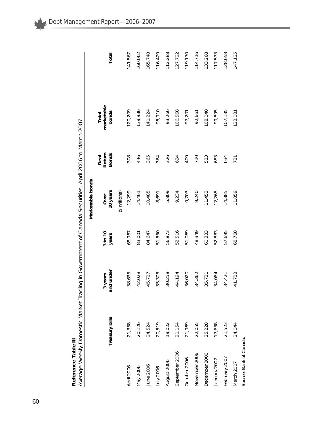| Reference Table III     | Average Weekly Domestic Market Trading in Government of Canada Securities, April 2006 to March 2007 |                      |                  |                     |                                |                              |         |
|-------------------------|-----------------------------------------------------------------------------------------------------|----------------------|------------------|---------------------|--------------------------------|------------------------------|---------|
|                         |                                                                                                     |                      |                  | Marketable bonds    |                                |                              |         |
|                         | Treasury bills                                                                                      | and under<br>3 years | 3 to 10<br>years | 10 years<br>Over    | Return<br><b>Bonds</b><br>Real | marketable<br>bonds<br>Total | Total   |
|                         |                                                                                                     |                      |                  | $($ \$ millions $)$ |                                |                              |         |
| April 2006              | 21,358                                                                                              | 38,635               | 68,967           | 12,299              | 308                            | 120,209                      | 141,567 |
| May 2006                | 20,126                                                                                              | 42,028               | 83,001           | 14,461              | 446                            | 139,936                      | 160,062 |
| June 2006               | 24,524                                                                                              | 45,727               | 84,647           | 10,485              | 365                            | 141,224                      | 165,748 |
| <b>July 2006</b>        | 20,519                                                                                              | 35,305               | 51,550           | 8,691               | 364                            | 95,910                       | 116,429 |
| August 2006             | 19,022                                                                                              | 30,258               | 56,873           | 5,809               | 326                            | 93,266                       | 112,288 |
| September 2006          | 21,154                                                                                              | 44,194               | 52,516           | 9,234               | 624                            | 106,568                      | 127,722 |
| October 2006            | 21,969                                                                                              | 36,020               | 51,069           | 9,703               | 409                            | 97,201                       | 119,170 |
| November 2006           | 22,055                                                                                              | 34,362               | 48,349           | 9,240               | 710                            | 92,661                       | 114,716 |
| December 2006           | 25,228                                                                                              | 35,731               | 60,333           | 11,453              | 523                            | 108,040                      | 133,268 |
| January 2007            | 17,638                                                                                              | 34,064               | 52,883           | 12,265              | 683                            | 99,895                       | 117,533 |
| February 2007           | 21,523                                                                                              | 34,421               | 57,695           | 14,385              | 634                            | 107,135                      | 128,658 |
| March 2007              | 24,044                                                                                              | 41,723               | 68,768           | 11,859              | 731                            | 123,081                      | 147,125 |
| Source: Bank of Canada. |                                                                                                     |                      |                  |                     |                                |                              |         |

Debt Management Report—2006–2007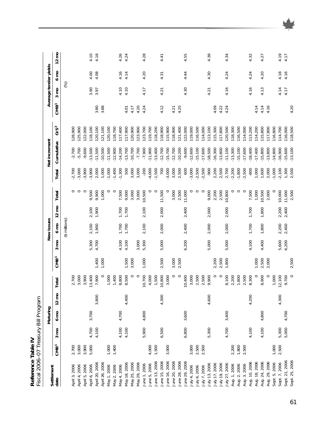| Fiscal 2006-07 Treasury Bill Program<br>Reference Table IV |                  |               |                  |                 |         |                  |                 |                |                 |         |                |               |                 |                  |                       |                |                 |
|------------------------------------------------------------|------------------|---------------|------------------|-----------------|---------|------------------|-----------------|----------------|-----------------|---------|----------------|---------------|-----------------|------------------|-----------------------|----------------|-----------------|
|                                                            |                  |               | Maturing         |                 |         |                  |                 | New issues     |                 |         |                | Net increment |                 |                  | Average tender yields |                |                 |
| Settlement<br>date                                         | CMB <sup>1</sup> | ξ<br>$\infty$ | $6 \, \text{mO}$ | $12 \text{ mo}$ | Total   | CMB <sup>1</sup> | 3 <sub>mo</sub> | $6 \text{ mo}$ | $12 \text{ mo}$ | Total   | Total          | Cumulative    | OS <sup>2</sup> | CMB <sup>1</sup> | $3 \text{ mO}$        | $6 \text{ mO}$ | $12 \text{ mo}$ |
|                                                            |                  |               |                  |                 |         |                  |                 | (\$ millions)  |                 |         |                |               |                 |                  | (%)                   |                |                 |
| April 3, 2006                                              | 2,700            |               |                  |                 | 2,700   |                  |                 |                |                 | $\circ$ | $-2,700$       | $-2,700$      | 128,900         |                  |                       |                |                 |
| April 4, 2006                                              | 3,000            |               |                  |                 | 3,000   |                  |                 |                |                 | $\circ$ | 3,000          | $-5,700$      | 125,900         |                  |                       |                |                 |
| April 5, 2006                                              |                  |               |                  |                 | 3,900   |                  |                 |                |                 | $\circ$ | $-3,900$       | $-9,600$      | 122,000         |                  |                       |                |                 |
| April 6, 2006                                              | 3,900<br>5,000   | 4,700         | 3,700            |                 | 3,400   |                  | 5,300           | 2,100          | 2,100           | 9,500   | $-3,900$       | $-13,500$     | 118,100         |                  | 3.90                  | 4.00           | 4.10            |
| April 20, 2006                                             |                  | 4,100         |                  | 3,800           | 7,900   | 1,400            | 4,700           | 1,900          | 1,900           | 9,900   | 2,000          | $-11,500$     | 20,100          | 3.80             | 3.97                  | 4.08           | 4.18            |
| April 26, 2006                                             |                  |               |                  |                 | $\circ$ | 1,000            |                 |                |                 | 1,000   | 1,000          | $-10,500$     | 21,100          | 3.88             |                       |                |                 |
| May 1, 2006                                                | 1,000            |               |                  |                 | 1,000   |                  |                 |                |                 | $\circ$ | $-1,000$       | $-11,500$     | 120,100         |                  |                       |                |                 |
| May 2, 2006                                                | 1,400            |               |                  |                 | 1,400   |                  |                 |                |                 | $\circ$ | $-1,400$       | $-12,900$     | 18,700          |                  |                       |                |                 |
| May 4, 2006                                                |                  | 4,100         | 4,700            |                 | 8,800   |                  | 4,100           | 1,700          | 1,700           | 7,500   | $-1,300$       | $-14,200$     | 117,400         |                  | 4.10                  | 4.16           | 4.26            |
| May 18, 2006                                               |                  | 4,100         |                  | 4,400           | 8,500   | 1,500            | 4,100           | 1,700          | 1,700           | 9,000   | 500            | $-13,700$     | 117,900         | 4.01             | 4.10                  | 4.14           | 4.24            |
| May 25, 2006                                               |                  |               |                  |                 | $\circ$ | 3,000            |                 |                |                 | 3,000   | 3,000          | $-10,700$     | 120,900         | 4.17             |                       |                |                 |
| May 29, 2006                                               |                  |               |                  |                 | $\circ$ |                  | 3,000           |                |                 | 3,000   | 3,000          | $-7,700$      | 23,900          | 4.20             |                       |                |                 |
| June 1, 2006                                               |                  | 5,900         | 4,800            |                 | 10,700  | 1,000            | 5,300           | 2,100          | 2,100           | 10,500  | $-200$         | $-7,900$      | 123,700         | 4.24             | 4.17                  | 4.20           | 4.28            |
| June 5, 2006                                               | 4,000            |               |                  |                 | 4,000   |                  |                 |                |                 | $\circ$ | $-4,000$       | $-11,900$     | 119,700         |                  |                       |                |                 |
| June 13, 2006                                              | 1,500            |               |                  |                 | 1,500   |                  |                 |                |                 | $\circ$ | $-1,500$       | $-13,400$     | 18,200          |                  |                       |                |                 |
| June 15, 2006                                              |                  | 6,500         |                  | 4,300           | 10,800  | 2,500            | 5,000           | 2,000          | 2,000           | 11,500  | 700            | $-12,700$     | 18,900          | 4.12             | 4.21                  | 4.31           | 4.41            |
| June 16, 2006                                              | 3,000            |               |                  |                 | 3,000   |                  |                 |                |                 | $\circ$ | $-3,000$       | $-15,700$     | 115,900         |                  |                       |                |                 |
| June 20, 2006                                              |                  |               |                  |                 | 0       | 3,000            |                 |                |                 | 3,000   | 3,000          | $-12,700$     | 18,900          | 4.21             |                       |                |                 |
| June 28, 2006                                              |                  |               |                  |                 | $\circ$ | 2,500            |                 |                |                 | 2,500   | 2,500          | $-10,200$     | 21,400          | 4.25             |                       |                |                 |
| June 29, 2006                                              |                  | 6,800         | 3,600            |                 | 10,400  |                  | 6,200           | 2,400          | 2,400           | 11,000  | 600            | $-9,600$      | 122,000         |                  | 4.30                  | 4.44           | 4.55            |
| July 4, 2006                                               | 3,000            |               |                  |                 | 3,000   |                  |                 |                |                 | $\circ$ | $-3,000$       | $-12,600$     | 19,000          |                  |                       |                |                 |
| July 6, 2006                                               | 2,500            |               |                  |                 | 2,500   |                  |                 |                |                 | $\circ$ | $-2,500$       | $-15,100$     | 116,500         |                  |                       |                |                 |
| July 7, 2006                                               | 2,500            |               |                  |                 | 2,500   |                  |                 |                |                 | $\circ$ | $-2,500$       | $-17,600$     | 14,000          |                  |                       |                |                 |
| July 13, 2006                                              |                  | 5,300         |                  | 4,600           | 9,900   |                  | 5,000           | 2,000          | 2,000           | 9,000   | -900           | $-18,500$     | 113,100         |                  | 4.21                  | 4.30           | 4.38            |
| July 17, 2006                                              |                  |               |                  |                 | $\circ$ | 2,200            |                 |                |                 | 2,200   | 2,200          | $-16,300$     | 115,300         | 4.09             |                       |                |                 |
| July 19, 2006                                              |                  |               |                  |                 | $\circ$ | 2,500            |                 |                |                 | 2,500   | 2,500          | $-13,800$     | 117,800         | 4.22             |                       |                |                 |
| July 27, 2006                                              |                  | 4,700         | 3,400            |                 | 8,100   | 1,800            | 5,000           | 2,000          | 2,000           | 10,800  | 2,700          | $-11,100$     | 120,500         | 4.24             | 4.16                  | 4.24           | 4.34            |
| Aug. 1, 2006                                               | 2,200            |               |                  |                 | 2,200   |                  |                 |                |                 | $\circ$ | $-2,200$       | $-13,300$     | 118,300         |                  |                       |                |                 |
| Aug. 2, 2006                                               | 1,800            |               |                  |                 | 1,800   |                  |                 |                |                 | $\circ$ | $-1,800$       | $-15,100$     | 16,500          |                  |                       |                |                 |
| Aug. 3, 2006                                               | 2,500            |               |                  |                 | 2,500   |                  |                 |                |                 | $\circ$ | $-2,500$       | $-17,600$     | 114,000         |                  |                       |                |                 |
| Aug. 10, 2006                                              |                  | 4,100         |                  | 4,200           | 8,300   |                  | 4,100           | 1,700          | 1,700           | 7,500   | $-800$         | $-18,400$     | 113,200         |                  | 4.16                  | 4.24           | 4.32            |
| Aug. 18, 2006                                              |                  |               |                  |                 | $\circ$ | 1,000            |                 |                |                 | 1,000   | 1,000          | $-17,400$     | 14,200          | 4.14             |                       |                |                 |
| Aug. 24, 2006                                              |                  | 4,100         | 4,800            |                 | 8,900   | 2,500            | 4,400           | 1,800          | 1,800           | 10,500  | 1,600          | $-15,800$     | 115,800         | 4.14             | 4.13                  | 4.20           | 4.27            |
| Aug. 29, 2006                                              |                  |               |                  |                 | $\circ$ | 2,000            |                 |                |                 | 2,000   | 2,000          | $-13,800$     | 17,800          | 4.16             |                       |                |                 |
| Sept. 5, 2006                                              | 1,000            |               |                  |                 | 1,000   |                  |                 |                |                 | $\circ$ | $-1,000$       | $-14,800$     | 16,800          |                  |                       |                |                 |
| Sept. 7, 2006                                              | 2,500            | 5,300         |                  | 4,300           | 12,100  |                  | 5,600           | 2,200          | 2,200           | 10,000  | $-2,100$       | $-16,900$     | 14,700          |                  | 4.14                  | 4.18           | 4.19            |
| Sept. 21, 2006                                             |                  | 5,000         | 4,700            |                 | 9,700   |                  | 6,200           | 2,400          | 2,400           | 11,000  | 1,300<br>2,500 | $-15,600$     | 16,000          |                  | 4.17                  | 4.16           | 4.17            |
| Sept. 25, 2006                                             |                  |               |                  |                 | $\circ$ | 2,500            |                 |                |                 | 2,500   |                | $-13,100$     | 118,500         | 4.20             |                       |                |                 |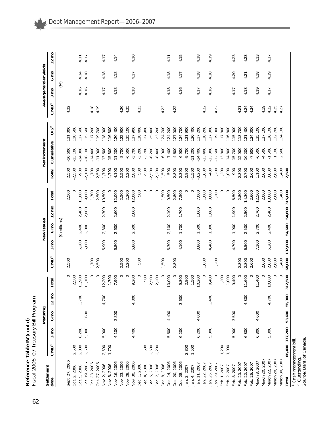| $\ddot{\phantom{a}}$<br>ーパー<br>2 | monnon<br>$\mathbf{r}$<br>-<br>-<br>-<br>-<br>$T_{r \cap n}$<br>ا<br>^ |
|----------------------------------|------------------------------------------------------------------------|
| ć<br>י<br>היי היי ה<br>፡<br>1    | ς<br>ς                                                                 |
|                                  |                                                                        |

| Settlement                         |                  |               | Maturing |                 |                         |                  |         | New issues    |                 |                   |                  | Net increment          |                   |                  | Average tender yields |                |                 |
|------------------------------------|------------------|---------------|----------|-----------------|-------------------------|------------------|---------|---------------|-----------------|-------------------|------------------|------------------------|-------------------|------------------|-----------------------|----------------|-----------------|
| date                               | CMB <sup>1</sup> | ε<br>$\infty$ | 6 mo     | $12 \text{ mo}$ | ial<br>۳                | CMB <sup>1</sup> | ξ<br>3  | $6 \text{ m}$ | $12 \text{ mo}$ | Total             | Total            | Cumulative             | OS <sup>2</sup>   | CMB <sup>1</sup> | $3 \text{ mO}$        | $6 \text{ mO}$ | $12 \text{ mo}$ |
|                                    |                  |               |          |                 |                         |                  |         | (\$ millions) |                 |                   |                  |                        |                   |                  | (%)                   |                |                 |
| Sept. 27, 2006                     |                  |               |          |                 | $\circ$                 | 2,500            |         |               |                 | 2,500             | 2,500            | $-10,600$              | 121,000           | 4.22             |                       |                |                 |
| Oct. 2, 2006<br>Oct. 5, 2006       | 2,000<br>2,500   | 6,200         |          | 3,700           | 2,500<br>11,900         |                  | 6,200   | 2,400         | 2,400           | 11,000<br>$\circ$ | $-2,500$<br>006- | $-13,100$<br>$-14,000$ | 118,500<br>17,600 |                  | 4.16                  | 4.14           | 4.11            |
| Oct. 19, 2006                      | 2,500            | 5,000         | 3,600    |                 | 1,100                   |                  | 5,000   | 2,000         | 2,000           | 9,000             | 2,100            | $-16,100$              | 115,500           |                  | 4.16                  | 4.18           | 4.17            |
| Oct. 23, 2006                      |                  |               |          |                 | $\circ$                 | 1,700            |         |               |                 | 1,700             | 1,700            | $-14,400$              | 117,200           | 4.18             |                       |                |                 |
| Oct. 27, 2006                      |                  |               |          |                 | $\circ$                 | 2,500            |         |               |                 | 2,500             | 2,500            | $-11,900$              | 119,700           | 4.19             |                       |                |                 |
| Nov. 2, 2006                       | 2,500            | 5,000         |          | 4,700           | 12,200                  |                  | 5,900   | 2,300         | 2,300           | 10,500            | $-1,700$         | $-13,600$              | 118,000           |                  | 4.17                  | 4.18           | 4.17            |
| Nov. 3, 2006                       | 1,700            |               |          |                 | 1,700                   |                  |         |               |                 | $\circ$           | $-1,700$         | $-15,300$              | 116,300           |                  |                       |                |                 |
| Nov. 16, 2006                      |                  | 4,100         | 3,800    |                 | 7,900                   |                  | 6,800   | 2,600         | 2,600           | 12,000            | 4,100            | $-11,200$              | 120,400           |                  | 4.18                  | 4.18           | 4.14            |
| Nov. 23, 2006                      |                  |               |          |                 | $\circ$                 | 2,500            |         |               |                 | 2,500             | 2,500            | $-8,700$               | 122,900           | 4.20             |                       |                |                 |
| Nov. 28, 2006                      |                  |               |          |                 | $\circ$                 | 2,200            |         |               |                 | 2,200             | 2,200            | $-6,500$               | 125,100           | 4.25             |                       |                |                 |
| Nov. 30, 2006                      |                  | 4,400         |          | 4,800           | 9,200                   |                  | 6,800   | 2,600         | 2,600           | 12,000            | 2,800            | $-3,700$               | 127,900           |                  | 4.18                  | 4.17           | 4.10            |
| Dec. 1, 2006                       |                  |               |          |                 | $\circ$                 | 500              |         |               |                 | 500               | 500              | $-3,200$               | 28,400            | 4.23             |                       |                |                 |
| Dec. 4, 2006                       | 500              |               |          |                 | 500                     |                  |         |               |                 | $\circ$           | $-500$           | $-3,700$               | 127,900           |                  |                       |                |                 |
| 5,2006<br>Dec.                     | 2,500            |               |          |                 | 2,500                   |                  |         |               |                 | $\circ$           | $-2,500$         | $-6,200$               | 25,400            |                  |                       |                |                 |
| Dec. 7, 2006                       | 2,200            |               |          |                 | 2,200                   |                  |         |               |                 | $\circ$           | $-2,200$         | $-8,400$               | 123,200           |                  |                       |                |                 |
| Dec. 8, 2006                       |                  |               |          |                 | $\circ$                 | 1,500            |         |               |                 | 1,500             | 1,500            | $-6,900$               | 124,700           | 4.22             |                       |                |                 |
| Dec. 14, 2006                      |                  | 5,600         | 4,400    |                 | 10,000                  |                  | 5,300   | 2,100         | 2,100           | 9,500             | $-500$           | $-7,400$               | 124,200           |                  | 4.18                  | 4.18           | 4.11            |
| Dec. 20, 2006                      |                  |               |          |                 | $\circ$                 | 2,800            |         |               |                 | 2,800             | 2,800            | $-4,600$               | 127,000           | 4.22             |                       |                |                 |
| Dec. 28, 2006                      |                  | 6,200         |          | 3,600           | 9,800                   |                  | 4,100   | 1,700         | 1,700           | 7,500             | $-2,300$         | $-6,900$               | 24,700            |                  | 4.16                  | 4.17           | 4.15            |
| Jan. 3, 2007                       | 2,800            |               |          |                 | 2,800                   |                  |         |               |                 | $\circ$           | $-2,800$         | $-9,700$               | 121,900           |                  |                       |                |                 |
| Jan. 4, 2007                       | 1,500            |               |          |                 | 1,500                   |                  |         |               |                 | $\circ$           | $-1,500$         | $-11,200$              | 20,400            |                  |                       |                |                 |
| Jan. 11, 2007                      |                  | 6,200         | 4,000    |                 | 10,200                  |                  | 3,800   | 1,600         | 1,600           | 7,000             | $-3,200$         | $-14,400$              | 117,200           |                  | 4.17                  | 4.18           | 4.18            |
| Jan. 22, 2007                      |                  |               |          |                 | $\circ$                 | 1,000            |         |               |                 | 1,000             | 1,000            | $-13,400$              | 18,200            | 4.22             |                       |                |                 |
| Jan. 25, 2007                      |                  | 5,000         |          | 3,400           | 8,400                   |                  | 4,400   | 1,800         | 1,800           | 8,000             | $-400$           | $-13,800$              | 117,800           |                  | 4.16                  | 4.18           | 4.19            |
| Jan. 29, 2007                      |                  |               |          |                 | $\circ$                 | 1,200            |         |               |                 | 1,200             | 1,200            | $-12,600$              | 119,000           | 4.22             |                       |                |                 |
| Feb. 1, 2007                       | 1,200            |               |          |                 | 1,200                   |                  |         |               |                 | $\circ$           | $-1,200$         | $-13,800$              | 117,800           |                  |                       |                |                 |
| Feb. 2, 2007                       | 1,000            |               |          |                 | 1,000                   |                  |         |               |                 | $\circ$           | $-1,000$         | $-14,800$              | 16,800            |                  |                       |                |                 |
| Feb. 8, 2007                       |                  | 5,900         | 3,500    |                 | 9,400                   |                  | 4,700   | 1,900         | 1,900           | 8,500             | 006-             | $-15,700$              | 115,900           |                  | 4.17                  | 4.20           | 4.23            |
| Feb. 20, 2007                      |                  |               |          |                 | $\circ$                 | 2,800            |         |               |                 | 2,800             | 2,800            | $-12,900$              | 118,700           | 4.21             |                       |                |                 |
| Feb. 22, 2007                      |                  | 6,800         |          | 4,800           | 1,600                   | 2,800            | 6,500   | 2,500         | 2,500           | 14,300            | 2,700            | $-10,200$              | 121,400           | 4.24             | 4.18                  | 4.21           | 4.23            |
| Feb. 26, 2007                      |                  |               |          |                 | $\circ$                 | 2,600            |         |               |                 | 2,600             | 2,600            | $-7,600$               | 124,000           | 4.24             |                       |                |                 |
| March 8, 2007                      |                  | 6,800         | 4,600    |                 | 1,400                   |                  | 7,100   | 2,700         | 2,700           | 12,500            | 1,100            | $-6,500$               | 125,100           |                  | 4.19                  | 4.18           | 4.13            |
| March 20, 2007                     |                  |               |          |                 | $\circ$                 | 2,000            |         |               |                 | 2,000             | 2,000            | $-4,500$               | 127,100           | 4.19             |                       |                |                 |
| March 22, 2007                     |                  | 5,300         |          | 4,700           | 0,000                   | 2,000            | 6,200   | 2,400         | 2,400           | 13,000            | 3,000            | $-1,500$               | 130,100           | 4.22             | 4.17                  | 4.19           | 4.17            |
| March 28, 2007                     |                  |               |          |                 | $\circ$                 | 2,600            |         |               |                 | 2,600             | 2,600            | 1,100                  | 132,700           | 4.25             |                       |                |                 |
| March 30, 2007                     |                  |               |          |                 | $\circ$                 | 1,400            |         |               |                 | 1,400             | 1,400            | 2,500                  | 134,100           | 4.27             |                       |                |                 |
| Total                              | 66,400 137,200   |               | 53,600   | 55,300          | 2,500<br>$\overline{5}$ | 68,000           | 137,800 | 54,600        | 54,600          | 315,000           | 2,500            |                        |                   |                  |                       |                |                 |
| <sup>1</sup> Cash management bill. |                  |               |          |                 |                         |                  |         |               |                 |                   |                  |                        |                   |                  |                       |                |                 |

ب ب

Outstanding.

Source: Bank of Canada.

Debt Management Report—2006–2007

62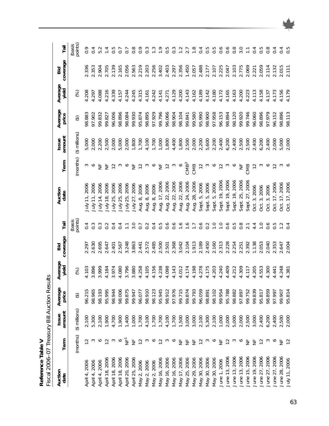Reference Table V<br>Fiscal 2006-07 Treasury Bill Auction Results *Fiscal 2006–07 Treasury Bill Auction Results* **Reference Table V**

| Auction<br>date   | Term               | amount<br>Issue     | Average<br>price | Average<br>yield | coverage<br>Bid | Tail              | Auction<br>date       | Term             | amount<br>Issue | Average<br>price | Average<br>yield | coverage<br>Bid | Tail              |
|-------------------|--------------------|---------------------|------------------|------------------|-----------------|-------------------|-----------------------|------------------|-----------------|------------------|------------------|-----------------|-------------------|
|                   | (months)           | $($ \$ millions $)$ | $\bigoplus$      | $\circledast$    |                 | (basis<br>points) |                       | (months)         | (\$ millions)   | $\bigoplus$      | $\mathcal{E}$    |                 | (basis<br>points) |
| April 4, 2006     | $\frac{1}{2}$      | 2,100               | 96.215           | 4.103            | 2.297           | 0.4               | 2006<br>ylul          | S                | 5,000           | 98.883           | 4.208            | 336             | 0.9               |
| April 4, 2006     |                    | 5,300               | 98.965           | 3.896            | 2.630           | $0.\overline{3}$  | July 11, 2006         | $\circ$          | 2,000           | 97.902           | 4.297            | 2.353           | 0.4               |
| April 4, 2006     | $\mathbf{\hat{o}}$ | 2,100               | 98.193           | 3.999            | 2.695           | $0.\overline{3}$  | 14, 2006<br>July      | $\frac{1}{2}$    | 2,200           | 99.832           | 4.088            | 2.904           | 5.2               |
| April 18, 2006    | $\frac{1}{2}$      | 1,900               | 95.995           | 4.184            | 2.647           | 0.2               | 18,2006<br>ylnr       | 岂                | 2,500           | 99.827           | 4.216            | 2.705           |                   |
| April 18, 2006    | က                  | 4,700               | 98.944           | 3.974            | 2.401           | 0.4               | 25, 2006<br>.<br>Nuly |                  | 2,000           | 96.006           | 4.339            | 2.139           | 0.5               |
| April 18, 2006    | $\circ$            | 1,900               | 98.006           | 4.080            | 2.567           | $\overline{0.4}$  | 25, 2006<br>. KInr    |                  | 5,000           | 98.896           | 4.157            | 2.165           | $\overline{0}$ .  |
| April 20, 2006    | È                  | 1,400               | 99.875           | 3.796            | 3.248           |                   | 25,2006<br>July.      | ◡                | 2,000           | 98.084           | 4.244            | 2.056           | $\overline{0}$ .  |
| April 25, 2006    | $\frac{L}{Z}$      | 1,000               | 99.947           | 3.880            | 3.863           | $\frac{0}{3}$     | 27,2006<br>win        | 능                | 1,800           | 99.930           | 4.245            | 2.563           | $\frac{8}{2}$     |
| 2,2006<br>May:    | $\overline{12}$    | 1,700               | 96.077           | 4.258            | 2.441           | $\overline{O}$    | 2006<br>Aug. 8, 2     |                  | 1,700           | 95.874           | 4.315            | 2.219           | $\frac{6}{2}$     |
| May 2, 2006       | 3                  | 4,100               | 98.910           | 4.105            | 2.572           | $\frac{2}{2}$     | Aug. 8, 2006          |                  | 4,100           | 98.895           | 4.161            | 2.203           | $\frac{3}{2}$     |
| May 2, 2006       | $\circ$            | 1,700               | 98.123           | 4.156            | 2.485           | 0.4               | 8,2006<br>Aug.        |                  | 1,700           | 97.929           | 4.242            | 2.256           |                   |
| May 16, 2006      | $\approx$          | 1,700               | 95.945           | 4.238            | 2.500           | 0.5               | 17,2006<br>Aug.       | 岂                | 1,000           | 99.796           | 4.141            | 3.402           | $\frac{0}{1}$     |
| May 16, 2006      | S                  | 4,100               | 98.912           | 4.098            | 2.501           | $0.\overline{6}$  | 22,2006<br>Aug.       |                  | 1,800           | 96.066           | 4.271            | 2.403           | 0.5               |
| May 16, 2006      | ∾                  | 1,700               | 97.976           | 4.143            | 2.368           | $0.\overline{6}$  | 22, 2006<br>Aug.      |                  | 4,400           | 98.904           | 4.129            | 2.297           | $0.\overline{3}$  |
| May 17, 2006      | 岂                  | 1,500               | 99.715           | 4.012            | 3.042           | $\overline{9}$    | 22, 2006<br>Aug.      | ◡                | 1,800           | 98.104           | 4.200            | 2.356           |                   |
| May 25, 2006      | 岂                  | 3,000               | 99.874           | 4.174            | 2.104           | $\frac{6}{1}$     | 24, 2006<br>Aug.      | CMB <sup>2</sup> | 2,500           | 99.841           | 4.143            | 1.450           | 2.7               |
| 29, 2006<br>. VeW | 岂                  | 3,000               | 99.793           | 4.198            | 1.913           | $\overline{1.7}$  | 28, 2006<br>Aug.      | CMB              | 2,000           | 99.580           | 4.162            | 2.057           | $\frac{8}{1}$     |
| May 30, 2006      | $\frac{2}{1}$      | 2,100               | 96.059           | 4.278            | 2.189           |                   | 5,2006<br>Sept.       | $\approx$        | 2,200           | 95.990           | 4.189            | 2.488           | 0.4               |
| May 30, 2006      |                    | 5,300               | 98.891           | 4.175            | 2.450           | 0.2               | 5,2006<br>Sept.       | S                | 5,600           | 98.900           | 4.142            | 2.177           | 0.5               |
| May 30, 2006      | ∾                  | 2,100               | 98.102           | 4.203            | 2.160           | $\overline{C}$    | 5,2006<br>Sept.       |                  | 2,200           | 97.958           | 4.180            | 2.107           | $0.\overline{5}$  |
| June 1, 2006      | $\frac{1}{2}$      | 1,000               | 99.954           | 4.240            | 2.313           | $\overline{C}$    | Sept. 19, 2006        |                  | 2,400           | 96.153           | 4.172            | 2.225           | $0.\overline{6}$  |
| June 13, 2006     | $\frac{1}{2}$      | 2,000               | 95.788           | 4.409            | 2.228           | $0.\dot{6}$       | 19, 2006<br>Sept.     |                  | 6,200           | 98.894           | 4.165            | 2.047           | $0.\overline{6}$  |
| June 13, 2006     |                    | 5,000               | 98.882           | 4.212            | 2.254           | 5<br>0.8<br>0.0   | Sept. 19, 2006        |                  | 2,400           | 98.120           | 4.163            | 2.103           | $0.\overline{8}$  |
| June 13, 2006     | ↷                  | 2,000               | 97.897           | 4.309            | 2.251           |                   | Sept. 25, 2006        | $\overline{z}$   | 2,500           | 99.920           | 4.200            | 2.775           | 3.0               |
| June 15, 2006     | $\frac{1}{2}$      | 2,500               | 99.752           | 4.117            | 2.392           | 2.1               | Sept. 27, 2006        | CMB              | 2,500           | 99.746           | 4.223            | 2.069           |                   |
| June 19, 2006     | 岂                  | 3,000               | 99.839           | 205<br>4         | 1.138           | 4.4               | Oct. 3, 2006          |                  | 2,400           | 96.060           | 4.113            | 2.221           | 0.4               |
| June 27, 2006     | $\overline{12}$    | 2,400               | 95.817           | .553<br>4        | 2.053           | $\frac{0}{1}$     | Oct. 3, 2006          |                  | 6,200           | 98.896           | 4.158            | 2.059           | 0.5               |
| June 27, 2006     |                    | 6,200               | 98.859           | 300<br>4         | 2.040           | 0.6               | 3,2006<br>Öct.        | ◡                | 2,400           | 97.979           | 4.137            | 2.114           | $\frac{8}{2}$     |
| June 27, 2006     |                    | 2,400               | 97.997           | 4.441            | 2.353           | 0.5               | 17,2006<br>Oct.       | $\approx$        | 2,000           | 96.152           | 4.173            | 2.132           | $\overline{0}$    |
| June 28, 2006     | ₩                  | 2,500               | 99.907           | 4.248            | 2.647           |                   | 17,2006<br>ot.        |                  | 5,000           | 98.896           | 4.156            | 2.015           | 0.4               |
| July 11, 2006     | $\overline{12}$    | 2,000               | 95.814           | 4.381            | 2.004           |                   | 17,2006<br>Öct.       |                  | 2,000           | 98.113           | 4.179            | 2.111           |                   |

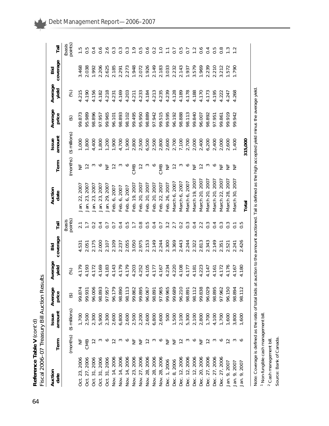| Auction<br>date                | Term                      | amount<br>Issue | Average<br>price | Average<br>yield        | coverage<br>Bid | Tāil              | Auction<br>date                | Term           | amount<br>Issue                           | Average<br>price | Average<br>yield                 | coverage<br>Bid | Tāil              |
|--------------------------------|---------------------------|-----------------|------------------|-------------------------|-----------------|-------------------|--------------------------------|----------------|-------------------------------------------|------------------|----------------------------------|-----------------|-------------------|
|                                | (months)                  | (\$ millions)   | $\bigoplus$      | $\circledS$             |                 | (basis<br>points) |                                | (months)       | $($ \$ millions $)$                       | $\bigoplus$      | $\bigotimes$                     |                 | (basis<br>points) |
| Oct. 23, 2006                  | 늘                         | 1,700           | 99.874           | 4.179                   | 4.531           |                   | 22, 2007<br>Jan.               | ž              | 1,000                                     | 99.873           | 4.215                            | 3.468           |                   |
| 27, 2006<br>Ö.                 | CMB                       | 2,500           | 99.931           |                         | 2.051           | $\mathbb{Z}$      | 23, 2007<br>Jan.               |                | 1,800                                     | 95.989           | 4.190                            | 2.038           |                   |
| 31,2006<br>Oct.                | $\approx$                 | 2,300           | 96.006           | 4.193<br>4.172          | 2.175           | $\sim$            | 23, 2007<br>Jan.               |                | 4,400                                     | 98.896           | 4.156                            | 1.992           |                   |
| Öct.                           |                           | 5,900           | 98.893           |                         | 2.000           |                   | 23, 2007<br>Jan.               |                | 1,800                                     | 97.957           | 4.182                            | 2.206           |                   |
| 31, 2006<br>31, 2006<br>Oct.   |                           | 2,300           | 97.957           | 4.169<br>4.183          | 2.107           | $\overline{C}$    | Jan. 29, 2007                  | $E \n\geq 2$   | 1,200                                     | 99.965           | 4.218                            | 2.625           |                   |
| Nov. 14, 2006                  | $\widetilde{\phantom{a}}$ | 2,600           | 96.179           |                         | 2.109           | $\overline{0}$ .  | Feb. 6, 2007                   |                | 1,900                                     | 96.101           | 4.231                            | 2.185           |                   |
| Nov. 14, 2006                  |                           | 6,800           | 98.890           | 4.143<br>4.179<br>4.179 | 2.237           | 0.4               | Feb. 6, 2007                   |                | 4,700                                     | 98.893           | 4.169                            | 2.291           |                   |
| Nov. 14, 2006                  |                           | 2,600           | 98.113           |                         | 2.055           | $0.\overline{5}$  | Feb. 6, 2007                   |                | 1,900                                     | 98.102           | 4.203                            | 2.273           |                   |
|                                | 兰                         | 2,500           | 99.862           |                         | 3.050           | $\overline{1}$ .  | Feb. 19, 2007                  | CMB            | 2,800                                     | 99.495           | 4.211                            | 1.948           |                   |
| Nov. 23, 2006<br>Nov. 27, 2006 | 岂                         | 2,200           | 99.895           |                         | 2.975           | $0.\overline{8}$  | Feb. 20, 2007                  | $\overline{c}$ | 2,500<br>6,500                            | 95.950           | 4.233                            | 2.072           |                   |
| Nov. 28, 2006                  |                           | 2,600           | 96.067           |                         | 2.153           | 5.O               |                                |                |                                           | 98.889           |                                  |                 |                   |
| Nov. 28, 2006                  |                           | 6,800           | 98.891           |                         | 2.149           | $\overline{0.4}$  | Feb. 20, 2007<br>Feb. 20, 2007 |                | 2,500                                     | 97.942           | 4.184<br>4.213                   | 1.926<br>2.149  |                   |
| Nov. 28, 2006                  |                           | 2,600           | 97.965           |                         | 2.244           | $\overline{O}$    | Feb. 22, 2007                  | CMB            | 2,800                                     | 99.515           |                                  | 2.183           | $\frac{1}{2}$     |
| Dec. 1, 2006                   | 능                         | 500             | 99.965           |                         | 2.300           | 3.2               | Feb. 26, 2007                  | ž              |                                           | 99.595           |                                  | 3.033           | $\sum$            |
| Dec. 8, 2006                   | 岂                         | 1,500           | 99.689           |                         | 3.369           | 2.7               |                                |                | 2,600<br>2,700<br>7,100<br>2,700<br>2,000 | 96.192           | 4.235<br>4.239<br>4.128<br>4.178 | 2.232           | $\overline{O}$ .  |
| Dec. 12, 2006                  |                           | 2,100           | 96.210           |                         | 2.443           | 0.2               | March 6, 2007<br>March 6, 2007 |                |                                           | 98.888           |                                  | 2.143           | 0.5               |
| Dec. 12, 2006                  |                           | 5,300           | 98.891           |                         | 2.244           | $0.\overline{3}$  | March 6, 2007                  |                |                                           | 98.113           |                                  | 1.937           |                   |
| Dec. 12, 2006                  | $\circ$                   | 2,100           | 98.112           |                         | 2.322           | 0.4               | March 19, 2007                 |                |                                           | 99.840           | 4.188<br>4.170                   | 3.579           |                   |
| 20, 2006<br>Dec.               | $\frac{1}{2}$             | 2,800           | 99.838           |                         | 2.813           |                   | March 20, 2007                 |                | 2,400                                     | 96.007           |                                  | 1.969           |                   |
| 27, 2006<br>Dec.               | $\approx$                 | 1,700           | 96.029           |                         | 2.343           | $0.\overline{3}$  | March 20, 2007                 |                | 6,200                                     | 98.892           | 4.173                            | 2.239           |                   |
| Dec. 27, 2006                  |                           | 4,100           | 98.895           |                         | 2.149           | 0.4               | March 20, 2007                 |                | 2,400                                     | 97.951           | 4.195                            | 2.210           |                   |
| Dec. 27, 2006                  | ∾                         | 1,700           | 97.962           |                         | 2.351           | $0.\overline{3}$  | 2007<br>Vlarch 22,             |                | 2,000                                     | 99.861           | 4.222                            | 212             |                   |
| Jan. 9, 2007                   |                           | 1,600           | 96.150           |                         | 2.521           |                   | 2007<br>March 28,              | 늘 날            | 2,600                                     | 99.919           | 4.247                            | 1.572           |                   |
| Jan. 9, 2007                   |                           | 3,800           | 98.894           | 1.167                   | 2.241           | $\overline{C}$    | March 30, 2007                 | 岂              | 1,400                                     | 99.942           | 4.268                            | 1.790           |                   |
| Jan. 9, 2007                   |                           | 1,600           | 98.112           | 4.180                   | 2.426           |                   | Total                          |                | 315,000                                   |                  |                                  |                 |                   |
|                                |                           |                 |                  |                         |                 |                   |                                |                |                                           |                  |                                  |                 |                   |

Note: Coverage is defined as the ratio of total bids at auction to the amount auctioned. Tail is defined as the high accepted yield minus the average yield. Note: Coverage is defined as the ratio of total bids at auction to the amount auctioned. Tail is defined as the high accepted yield minus the average yield.

1 Non-fungible cash management bill. Non-fungible cash management bill.

<sup>2</sup> Cash management bill. Source: Bank of Canada. Source: Bank of Canada.Cash management bill.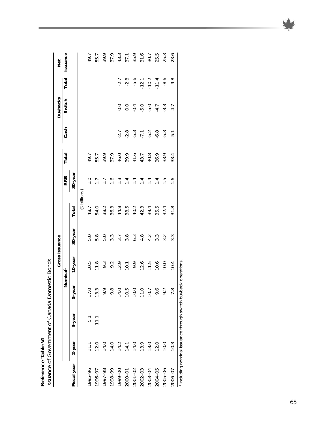|                                                       | rana situ<br>$\overline{ }$                     |
|-------------------------------------------------------|-------------------------------------------------|
|                                                       |                                                 |
| in ablah"<br>ך<br>מ<br>$\frac{2}{2}$<br>1<br><u>ز</u> | suance of Government of Canada L<br>)<br>)<br>) |

| )<br>2<br>2<br>2<br>2<br>2 |             |                                                              |                    |                      |                  |                  |                             |              |                  |                                              |                                         |                                                                |
|----------------------------|-------------|--------------------------------------------------------------|--------------------|----------------------|------------------|------------------|-----------------------------|--------------|------------------|----------------------------------------------|-----------------------------------------|----------------------------------------------------------------|
|                            |             |                                                              |                    |                      | Gross issuance   |                  |                             |              |                  | <b>Buybacks</b>                              |                                         | Net                                                            |
|                            |             |                                                              |                    | Nominal <sup>1</sup> |                  |                  | <b>RRB</b>                  | Total        | Cash             | Switch                                       | Total                                   | issuance                                                       |
| Fiscal year                | $2 - y$ ear | $3-year$                                                     | 5-year             | 10-year              | 30-year          | Total            | 30-year                     |              |                  |                                              |                                         |                                                                |
|                            |             |                                                              |                    |                      |                  | $($ \$ billions) |                             |              |                  |                                              |                                         |                                                                |
| 1995-96                    |             | 51                                                           | 17.0               | 10.5                 | 5.0              | 48.7             | $\overline{C}$              | 49.7         |                  |                                              |                                         | 49.7                                                           |
| 1996-97                    | 12.0        | $\frac{1}{1}$                                                | S<br>$\frac{1}{2}$ | 11.8                 | 5.8              | 54.0             | $7.7$<br>$7.7$              | 55.7         |                  |                                              |                                         | 55.7                                                           |
| 1997-98                    | 14.0        |                                                              | 9.9                | 9.3<br>9.2           | 5.0              | 38.2             |                             | 39.9         |                  |                                              |                                         | 39.9                                                           |
| 66-8661                    | 14.0        |                                                              | 9.8                |                      | $3.\overline{3}$ | 36.3             |                             | 37.9         |                  |                                              |                                         | 37.9                                                           |
| 00-6661                    | 14.2        |                                                              | 14.0               | 12.9                 | 3.7              | 44.8             | $\frac{1}{1}$ $\frac{4}{1}$ | 46.0         | $-2.7$           |                                              | $-2.7$                                  |                                                                |
| 2000-01                    | 14.1        |                                                              | 10.5               | 10.1                 | $3.\overline{8}$ | 38.5             |                             | 39.9         | $-2.8$           | $\begin{array}{c}\n0 \\ 0 \\ 0\n\end{array}$ | $-2.8$                                  |                                                                |
| $2001 - 02$                | 14.0        |                                                              | 10.0               | 9.9                  | $6.\overline{3}$ | 40.2             | $14$<br>$14$<br>$14$        | 41.6<br>43.7 | $-5.7$<br>$-7.2$ |                                              | $-5.6$<br>$-12.1$<br>$-10.2$<br>$-11.4$ | $43.79$<br>$55.79$<br>$69.79$<br>$75.79$<br>$75.79$<br>$75.79$ |
| 2002-03                    | 13.9        |                                                              | 11.0               | 12.6                 | $4.\overline{8}$ | 42.3             |                             |              |                  |                                              |                                         |                                                                |
| 2003-04                    | 13.0        |                                                              | 10.7               | 11.5                 | 4.2              | 39.4             |                             | 40.8         |                  |                                              |                                         |                                                                |
| 2004-05                    | 12.0        |                                                              | 9.6                | 10.6                 | .<br>ვ.          | 35.5             | $\overline{1}$              | 36.9         | $-6.8$           |                                              |                                         |                                                                |
| $2005 - 06$                | 10.0        |                                                              | 9.2                | 10.0                 | $3.\overline{2}$ | 32.4             | $\frac{5}{1}$               | 33.9         | -5.3             | $-0.50777777777777$                          | $-8.6$                                  | 25.3                                                           |
| 2006-07                    | 10.3        |                                                              | 7.8                | 10.4                 | $3.\overline{3}$ | 31.8             | $\frac{9}{1}$               | 33.4         | $-5.1$           |                                              | $-9.8$                                  | 23.6                                                           |
|                            |             | Including nominal issuance through switch buyback operations |                    |                      |                  |                  |                             |              |                  |                                              |                                         |                                                                |

65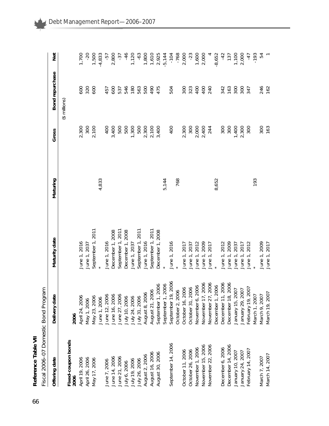| ٢<br>2 |
|--------|
|        |

| -------<br>١                                  |
|-----------------------------------------------|
| C<br>C<br>C<br>í                              |
| $\frac{1}{2}$<br>:<br>:<br>$\frac{1}{2}$<br>ı |
| -<br>ר<br>ג<br>.<br>.<br>.<br>.               |
| ہ<br>ہ<br>Í                                   |

| Offering date                 | Delivery date                                                                                                                                                                                                                                        | Maturity date     | Maturing | Gross          | Bond repurchase     | <b>Del</b> |
|-------------------------------|------------------------------------------------------------------------------------------------------------------------------------------------------------------------------------------------------------------------------------------------------|-------------------|----------|----------------|---------------------|------------|
|                               |                                                                                                                                                                                                                                                      |                   |          |                | $($ \$ millions $)$ |            |
| Fixed-coupon bonds<br>2006    | 2006                                                                                                                                                                                                                                                 |                   |          |                |                     |            |
| April 19, 2006                | April 24, 2006                                                                                                                                                                                                                                       | June 1, 2016      |          | 2,300          | 500                 | 1,700      |
| April 26, 2006                | May 1, 2006                                                                                                                                                                                                                                          | June 1, 2037      |          | 300            | 320                 | $-20$      |
| May 17, 2006                  |                                                                                                                                                                                                                                                      | September 1, 2011 |          | 2,100          | 600                 | 1,500      |
|                               |                                                                                                                                                                                                                                                      |                   | 4,833    |                |                     | $-4,833$   |
| June 7, 2006<br>June 14, 2006 | May 23, 2006<br>June 1, 2006<br>June 12, 2006                                                                                                                                                                                                        | June 1, 2016      |          | 400            | 457                 | -57        |
|                               | June 16, 2006                                                                                                                                                                                                                                        | December 1, 2008  |          | 3,400          | 600                 | 2,800      |
| June 21, 2006                 | June 27, 2006                                                                                                                                                                                                                                        | September 1, 2011 |          | 500            | 537                 | $-37$      |
| July 6, 2006                  | July 10, 2006                                                                                                                                                                                                                                        | December 1, 2008  |          | 500            | 546                 | $-46$      |
| July 19, 2006                 | July 24, 2006<br>July 31, 2006                                                                                                                                                                                                                       | June 1, 2037      |          | 1,300          | 180                 | 1,120      |
| July 26, 2006                 |                                                                                                                                                                                                                                                      | September 1, 2011 |          | 500            | 563                 | $-63$      |
| August 2, 2006                | August 8, 2006                                                                                                                                                                                                                                       | June 1, 2016      |          |                | 500                 | 1,800      |
| August 16, 2006               | August 21, 2006                                                                                                                                                                                                                                      | September 1, 2011 |          | 2,300<br>2,100 | 067                 | 1,610      |
| August 30, 2006               | September 1, 2006                                                                                                                                                                                                                                    | December 1, 2008  |          | 3,400          | 475                 | 2,925      |
|                               | September 1, 2006                                                                                                                                                                                                                                    |                   | 5,144    |                |                     | $-5,144$   |
| September 14, 2006            | September 19, 2006                                                                                                                                                                                                                                   | June 1, 2016      |          | 400            | 504                 | $-104$     |
|                               | October 2, 2006                                                                                                                                                                                                                                      |                   | 768      |                |                     | $-768$     |
| October 11, 2006              |                                                                                                                                                                                                                                                      | June 1, 2017      |          | 2,300          | 300                 | 2,000      |
| October 26, 2006              |                                                                                                                                                                                                                                                      | June 1, 2037      |          | 300            | 323                 | $-23$      |
| November 1, 2006              | October 16, 2006<br>October 31, 2006<br>November 17, 2006<br>November 27, 2006<br>November 27, 2006<br>November 11, 2006<br>December 11, 2006<br>December 18, 2006<br>December 18, 2007<br>January 15, 2007<br>January 29, 2007<br>February 19, 2007 | 2012<br>June 1,   |          | 2,000          | 400                 | 1,600      |
| November 15, 2006             |                                                                                                                                                                                                                                                      | 2009<br>June 1,   |          | 2,400          | 400                 | 2,000      |
| November 22, 2006             |                                                                                                                                                                                                                                                      | 2017<br>June 1,   |          | 244            | 240                 |            |
|                               |                                                                                                                                                                                                                                                      |                   | 8,652    |                |                     | $-8,652$   |
| December 6, 2006              |                                                                                                                                                                                                                                                      | June 1, 2012      |          | 300            | 342                 | $-42$      |
| December 14, 2006             |                                                                                                                                                                                                                                                      | June 1, 2009      |          | 300            | 163                 | 137        |
| January 10, 2007              |                                                                                                                                                                                                                                                      | 2037<br>June 1,   |          | 1,400          | 300                 | 1,100      |
| January 24, 2007              |                                                                                                                                                                                                                                                      | 2017<br>June 1,   |          | 2,300          | 300                 | 2,000      |
| February 14, 2007             |                                                                                                                                                                                                                                                      | 2012<br>June 1,   |          | 300            | 347                 | $-47$      |
|                               | March 1, 2007                                                                                                                                                                                                                                        |                   | 193      |                |                     | $-193$     |
| March 7, 2007                 | March 9, 2007                                                                                                                                                                                                                                        | June 1, 2009      |          | 300            | 246                 | 54         |
| March 14, 2007                | March 19, 2007                                                                                                                                                                                                                                       | June 1, 2017      |          | 163            | 162                 |            |

۰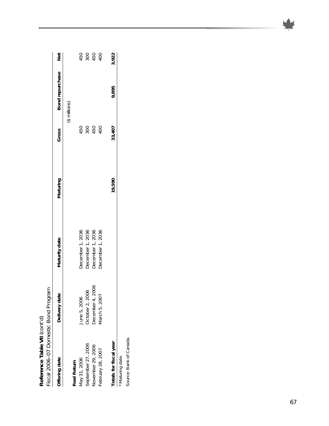Reference Table VII (cont'd)<br>Fiscal 2006-07 Domestic Bond Program *Fiscal 2006–07 Domestic Bond Program* **Reference Table VII** *(cont'd)*

| Offering date            | Delivery date    | Maturity date    | Maturing | Gross  | Bond repurchase | <b>Net</b> |
|--------------------------|------------------|------------------|----------|--------|-----------------|------------|
|                          |                  |                  |          |        | $$$ millions)   |            |
| Real Return              |                  |                  |          |        |                 |            |
| May 31, 2006             | June 5, 2006     | December 1, 2036 |          | 450    |                 | 450        |
| September 27, 2006       | October 2, 2006  | December 1, 2036 |          | 300    |                 | 300        |
| <b>November 29, 2006</b> | December 4, 2006 | December 1, 2036 |          | 450    |                 | 450        |
| February 28, 2007        | March 5, 2007    | December 1, 2036 |          | 400    |                 | 400        |
| Totals for fiscal year   |                  |                  | 19,590   | 33,407 | 9,895           | 3,922      |
|                          |                  |                  |          |        |                 |            |

\* Maturing date. \* Maturing date.

Source: Bank of Canada. Source: Bank of Canada.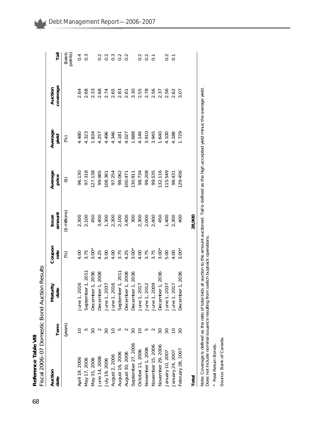|                    |                 | Fiscal 2006-07 Domestic Bond Auction Results                                                                                                                                                                                           |                |                 |                                                            |                                                                         |                                                                           |                                                                                       |
|--------------------|-----------------|----------------------------------------------------------------------------------------------------------------------------------------------------------------------------------------------------------------------------------------|----------------|-----------------|------------------------------------------------------------|-------------------------------------------------------------------------|---------------------------------------------------------------------------|---------------------------------------------------------------------------------------|
| Auction<br>date    | Term            | Maturity<br>date                                                                                                                                                                                                                       | Coupon<br>rate | Issue<br>amount | Average<br>price                                           | Average<br>yield                                                        | coverage<br>Auction                                                       | Tail                                                                                  |
|                    | (years)         |                                                                                                                                                                                                                                        | $\circledast$  | (\$ millions)   | $\widehat{\Theta}$                                         | $\circledS$                                                             |                                                                           | (basis<br>points)                                                                     |
| April 19, 2006     |                 |                                                                                                                                                                                                                                        |                | 2,300           |                                                            | 4.480                                                                   | 2.64                                                                      |                                                                                       |
| Vlay 17, 2006      |                 | June 1, 2016<br>September 1, 2011                                                                                                                                                                                                      | 4.00<br>3.75   |                 | 96.130<br>97.318                                           | 4.323                                                                   |                                                                           | $0.\overline{3}$                                                                      |
| Vlay 31, 2006      |                 | December 1, 2036<br>December 1, 2008<br>June 1, 2037<br>September 1, 2011<br>September 1, 2011<br>December 1, 2036<br>December 1, 2036<br>June 1, 2012<br>June 1, 2013<br>June 1, 2037<br>June 1, 2037<br>June 1, 2037<br>June 1, 2037 |                |                 |                                                            |                                                                         | 8<br>8 m 8 t 8 m 5 0 m 8 0 m 8 0 0<br>0 n 9 d 9 m 8 0 m 8 0 m 8 0 m 8 0 0 |                                                                                       |
| June 14, 2006      |                 |                                                                                                                                                                                                                                        |                |                 |                                                            |                                                                         |                                                                           |                                                                                       |
| July 19, 2006      |                 |                                                                                                                                                                                                                                        |                |                 |                                                            |                                                                         |                                                                           |                                                                                       |
| August 2, 2006     |                 |                                                                                                                                                                                                                                        |                |                 |                                                            |                                                                         |                                                                           |                                                                                       |
| August 16, 2006    |                 |                                                                                                                                                                                                                                        |                |                 | 127.138<br>99.985<br>108.361<br>97.254<br>98.062           |                                                                         |                                                                           | 2<br>2<br>2<br>2<br>2<br>2<br>2<br>2<br>2<br>2<br>2<br>2<br>2<br>2<br>2<br>2<br>2<br> |
| August 30, 2006    |                 |                                                                                                                                                                                                                                        |                |                 |                                                            |                                                                         |                                                                           |                                                                                       |
| September 27, 2006 |                 |                                                                                                                                                                                                                                        |                |                 |                                                            |                                                                         |                                                                           |                                                                                       |
| October 11, 2006   |                 |                                                                                                                                                                                                                                        |                |                 | 100.471<br>130.911<br>98.734<br>98.734<br>99.535<br>92.116 | 834<br>257 497 508 900<br>257 497 508 900 900<br>257 900 900 900 900 80 |                                                                           |                                                                                       |
| November 1, 2006   | ഥ               |                                                                                                                                                                                                                                        |                |                 |                                                            |                                                                         |                                                                           | $0.2$<br>$0.2$<br>$0.7$                                                               |
| Vovember 15, 2006  | $\sim$          |                                                                                                                                                                                                                                        |                |                 |                                                            |                                                                         |                                                                           |                                                                                       |
| Vovember 29, 2006  |                 |                                                                                                                                                                                                                                        |                |                 |                                                            |                                                                         |                                                                           |                                                                                       |
| January 10, 2007   |                 |                                                                                                                                                                                                                                        |                |                 | 115.549                                                    |                                                                         |                                                                           | $0.\overline{1}$                                                                      |
| January 24, 2007   | $\overline{C}$  |                                                                                                                                                                                                                                        |                |                 | 98.431                                                     |                                                                         |                                                                           |                                                                                       |
| February 28, 2007  | $\overline{30}$ | December 1, 2036                                                                                                                                                                                                                       |                |                 | 129.456                                                    | 1.729                                                                   |                                                                           |                                                                                       |
| Total              |                 |                                                                                                                                                                                                                                        |                | 28,900          |                                                            |                                                                         |                                                                           |                                                                                       |

Note: Coverage is defined as the ratio of total bids at auction to the amount auctioned. Tail is defined as the high accepted yield minus the average yield.<br>Does not include nominal issuance resulting from switch buyback o Note: Coverage is defined as the ratio of total bids at auction to the amount auctioned. Tail is defined as the high accepted yield minus the average yield. Does not include nominal issuance resulting from switch buyback operations.

\* Real Return Bonds. \* Real Return Bonds.

Source: Bank of Canada. Source: Bank of Canada.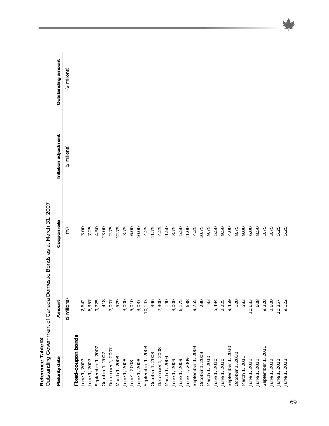| Reference Table IX                                            | Outstanding Government of Canada Domestic Bonds as at March 31, 2007 |             |                      |                    |
|---------------------------------------------------------------|----------------------------------------------------------------------|-------------|----------------------|--------------------|
| Maturity date                                                 | Amount                                                               | Coupon rate | Inflation adjustment | Outstanding amount |
|                                                               | $($ \$ millions $)$                                                  | (%)         | (\$ millions)        | (\$ millions)      |
| Fixed-coupon bonds                                            |                                                                      |             |                      |                    |
| June 1, 2007                                                  | 2,642                                                                | 3.00        |                      |                    |
| June 1, 2007                                                  |                                                                      | 7.25        |                      |                    |
| September 1, 2007                                             |                                                                      | 4.50        |                      |                    |
| October 1, 2007                                               | 6,357<br>9,725<br>418                                                | 13.00       |                      |                    |
| December 1, 2007                                              | 7,007                                                                | 2.75        |                      |                    |
| March 1, 2008                                                 | 579                                                                  | 12.75       |                      |                    |
| June 1, 2008                                                  | 3,000                                                                | 3.75        |                      |                    |
| June1, 2008                                                   | 5,010                                                                | 6.00        |                      |                    |
| June 1, 2008                                                  | 3,037                                                                | 10.00       |                      |                    |
| September 1, 2008                                             | 10,143                                                               | 4.25        |                      |                    |
| October 1, 2008                                               | 396                                                                  | 11.75       |                      |                    |
| December 1, 2008                                              | 7,300                                                                | 4.25        |                      |                    |
|                                                               | <b>140</b>                                                           | 11.50       |                      |                    |
| March 1, 2009<br>June 1, 2009<br>June 1, 2009<br>June 1, 2009 | 3,000                                                                | 3.75        |                      |                    |
|                                                               | 6,175                                                                | 5.50        |                      |                    |
|                                                               | 638                                                                  | 11.00       |                      |                    |
| September 1, 2009                                             | 9,755                                                                | 4.25        |                      |                    |
| October 1, 2009                                               | 230                                                                  | 10.75       |                      |                    |
| March 1, 2010                                                 | 83                                                                   | 9.75        |                      |                    |
| June 1, 2010                                                  | 5,494                                                                | 5.50        |                      |                    |
| June 1, 2010                                                  | 2,225                                                                | 9.50        |                      |                    |
| September 1, 2010                                             | 9,459                                                                | 4.00        |                      |                    |
| October 1, 2010                                               | 120                                                                  | 8.75        |                      |                    |
| March 1, 2011                                                 | 583                                                                  | 9.00        |                      |                    |
| June 1, 2011                                                  | 10,633                                                               | 6.00        |                      |                    |
| June 1, 2011                                                  | 608                                                                  | 8.50        |                      |                    |
| September 1, 2011                                             | 9,328                                                                | 3.75        |                      |                    |
|                                                               | 2,600                                                                | 3.75        |                      |                    |
| June 1, 2012<br>June 1, 2012<br>June 1, 2013                  | 10,357                                                               | 5.25        |                      |                    |
|                                                               | 9,122                                                                | 5.25        |                      |                    |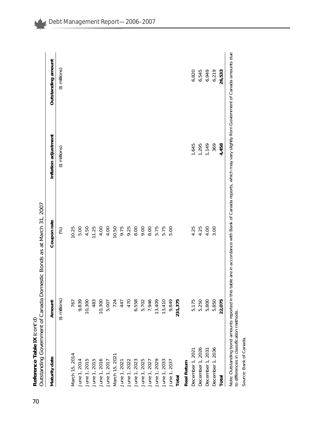| Maturity date                | Amount        | Coupon rate                                                               | Inflation adjustment | Outstanding amount |
|------------------------------|---------------|---------------------------------------------------------------------------|----------------------|--------------------|
|                              | (\$ millions) | $\begin{pmatrix} 0 \\ 0 \\ 0 \\ 0 \\ 0 \\ 0 \\ 0 \\ 0 \\ 0 \end{pmatrix}$ | (\$ millions)        | (\$ millions)      |
| March 15, 2014               | 767           | 10.25                                                                     |                      |                    |
| June 1, 2014                 | 9,839         | 5.00                                                                      |                      |                    |
| June 1, 2015                 | 10,300        | 4.50                                                                      |                      |                    |
| June 1, 2015                 | 483           | 11.25                                                                     |                      |                    |
|                              | 10,300        | 4.00                                                                      |                      |                    |
| June 1, 2016<br>June 1, 2017 | 5,007         | 4.00                                                                      |                      |                    |
| March 15, 2021               | 724           | 10.50                                                                     |                      |                    |
| June 1, 2021                 | 447           | 9.75                                                                      |                      |                    |
| June 1, 2022                 | 470           | 9.25                                                                      |                      |                    |
| June 1, 2023                 | 6,558         | 8.00                                                                      |                      |                    |
| June 1, 2025                 | 5,702         | 9.00                                                                      |                      |                    |
| June 1, 2027                 | 7,946         | 8.00                                                                      |                      |                    |
| June 1, 2029                 | 13,409        | 5.75                                                                      |                      |                    |
| June 1, 2033                 | 13,410        | 5.75                                                                      |                      |                    |
| June 1, 2037                 | 9,849         | 5.00                                                                      |                      |                    |
| Total                        | 231,375       |                                                                           |                      |                    |
| Real Return                  |               |                                                                           |                      |                    |
| December 1, 2021             | 5,175         | 4.25                                                                      | 1,645                | 6,820              |
| December 1, 2026             | 5,250         | 4.25                                                                      | 1,295                | 6,545              |
| December 1, 2031             | 5,800         | 4.00                                                                      | 1,149                | 6,949              |
| December 1, 2036             | 5,850         | 3.00                                                                      | 369                  | 6,219              |
| Total                        | 22,075        |                                                                           | 4,458                | 26,533             |

Note: Outstanding bond amounts reported in this table are in accordance with Bank of Canada reports, which may vary slightly from Government of Canada amounts due<br>to differences in classification methods. Note: Outstanding bond amounts reported in this table are in accordance with Bank of Canada reports, which may vary slightly from Government of Canada amounts due to differences in classification methods.

Source: Bank of Canada. Source: Bank of Canada.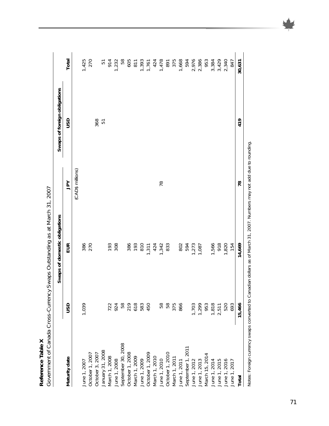Reference Table X **Reference Table X** 

|                                                                   |                                       | Government of Canada Cross-Currency Swaps Outstanding as at March 31, 2007 |                  |                              |                                                 |
|-------------------------------------------------------------------|---------------------------------------|----------------------------------------------------------------------------|------------------|------------------------------|-------------------------------------------------|
|                                                                   |                                       | Swaps of domestic obligations                                              |                  | Swaps of foreign obligations |                                                 |
| Maturity date                                                     | usp                                   | EUR                                                                        | $\geq$           | usp                          | Total                                           |
|                                                                   |                                       |                                                                            | (CAD\$ millions) |                              |                                                 |
| June 1, 2007                                                      | 1,039                                 |                                                                            |                  |                              |                                                 |
| October 1, 2007                                                   |                                       | 386<br>270                                                                 |                  |                              | 1,425<br>270                                    |
| October 3, 2007                                                   |                                       |                                                                            |                  | 368                          |                                                 |
| January 31, 2008                                                  |                                       |                                                                            |                  | $\overline{5}$               |                                                 |
| March 1, 2008<br>June 1, 2008                                     |                                       | <b>193</b><br>308                                                          |                  |                              | 51<br>914<br>1,232                              |
|                                                                   |                                       |                                                                            |                  |                              |                                                 |
| September 30, 2008<br>October 1, 2008                             |                                       |                                                                            |                  |                              | 58                                              |
|                                                                   |                                       |                                                                            |                  |                              |                                                 |
| March 1, 2009<br>June 1, 2009                                     | $724899830$<br>$724899830$<br>$75830$ | 386<br>193                                                                 |                  |                              | 605<br>811<br>1,761<br>1,478<br>1,478           |
|                                                                   |                                       |                                                                            |                  |                              |                                                 |
| October 1, 2009                                                   |                                       |                                                                            |                  |                              |                                                 |
|                                                                   |                                       |                                                                            |                  |                              |                                                 |
| March 1, 2010<br>June 1, 2010                                     | 58                                    | 810<br>1.311<br>1.342<br>1.333                                             | 78               |                              |                                                 |
|                                                                   | 58<br>375                             |                                                                            |                  |                              |                                                 |
| October 1, 2010<br>March 1, 2011                                  |                                       |                                                                            |                  |                              | 891<br>375<br>1,668<br>1,6786<br>2,386<br>2,386 |
| June 1, 2011<br>September 1, 2011<br>June 1, 2012<br>June 1, 2013 | 866                                   |                                                                            |                  |                              |                                                 |
|                                                                   |                                       |                                                                            |                  |                              |                                                 |
|                                                                   | 1,703                                 | 802<br>594<br>1,087<br>1,087                                               |                  |                              |                                                 |
|                                                                   | 1,299                                 |                                                                            |                  |                              |                                                 |
| March 15, 2014                                                    |                                       |                                                                            |                  |                              |                                                 |
|                                                                   |                                       |                                                                            |                  |                              |                                                 |
| June 1, 2014<br>June 1, 2015                                      |                                       |                                                                            |                  |                              |                                                 |
| June 1, 2016<br>June 1, 2017                                      | 953<br>1,818<br>2,511<br>520<br>693   | 1,566<br>918<br>1,820<br>154                                               |                  |                              | 3.384<br>3.420<br>2.340<br>2.347                |
|                                                                   |                                       |                                                                            |                  |                              |                                                 |

Notes: Foreign currency swaps converted to Canadian dollars as of March 31, 2007. Numbers may not add due to rounding. Notes: Foreign currency swaps converted to Canadian dollars as of March 31, 2007. Numbers may not add due to rounding.

**Total 15,466 14,669 78 419 30,631**

14,669

15,466

Total

78

30,631

419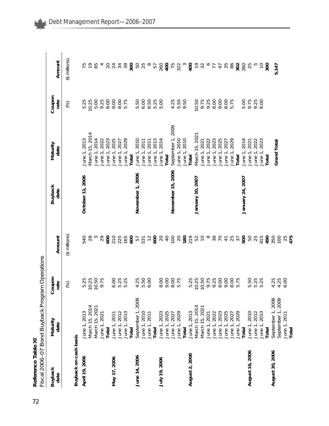| ממירה דורות<br>$\frac{1}{2}$<br>יי ההל בורטוב<br>$\frac{1}{2}$<br>;<br>}<br>-<br>כלונות ב<br>Í<br>I Rond I<br>$\frac{1}{2}$<br>i<br>C<br>۱<br>ノ ソソー<br>č<br>くく<br>L |
|---------------------------------------------------------------------------------------------------------------------------------------------------------------------|
|                                                                                                                                                                     |

|                        | Fiscal 2006-07 Bond Buyback Progra | m Operations   |                    |                        |                       |                |                       |
|------------------------|------------------------------------|----------------|--------------------|------------------------|-----------------------|----------------|-----------------------|
| <b>Buyback</b><br>date | Maturity<br>date                   | Coupon<br>rate | Amount             | <b>Buyback</b><br>date | Maturity<br>date      | Coupon<br>rate | Amount                |
|                        |                                    | (%)            | $$$ millions)      |                        |                       | (%)            | (\$ millions)         |
| Buyback on cash basis  |                                    |                |                    |                        |                       |                |                       |
| April 19, 2006         | June 1, 2013                       |                | 540                | October 11, 2006       | June 1, 2013          | 5.25           | 75                    |
|                        | March 15, 2014                     | 5.25<br>10.25  |                    |                        | Vlarch 15, 2014       | 10.25          |                       |
|                        | March 15, 2021                     | 10.50          | $^{28}$ $^{\circ}$ |                        | June 1, 2014          | 5.00           | 85                    |
|                        | June 1, 2021                       | 9.75           | 29                 |                        | June 1, 2022          | 9.25           |                       |
|                        | Total                              |                |                    |                        | June 1, 2023          | 8.00           |                       |
| May 17, 2006           | June 1, 2011                       | 6.00           |                    |                        | 2025<br>June 1,       | 9.00           | 24                    |
|                        | June 1, 2012                       | 5.25<br>5.25   | 877285772874       |                        | 2027<br>June 1        | 8.00           | $\frac{2}{3}$         |
|                        | June 1, 2013                       |                |                    |                        |                       | 5.75           | 58                    |
|                        | Total                              |                |                    |                        | June 1, 2029<br>Total |                | 300                   |
| June 14, 2006          | September 1, 2008                  | 4.25           |                    | November 1, 2006       | June 1, 2010          | 5.50           |                       |
|                        | June 1, 2010                       | 5.50           |                    |                        | June 1, 2011          | 6.00           | 50<br>25              |
|                        | June 1, 2011                       | 6.00           |                    |                        | June 1, 2011          | 8.50           | $\infty$              |
|                        | Total                              |                |                    |                        | June 1, 2013          | 5.25           | 57                    |
| July 19, 2006          | June 1, 2023                       | 8.00           |                    |                        | June 1, 2014          | 5.00           | 260                   |
|                        | June 1, 2025                       | 9.00           |                    |                        | Total                 |                | $405$<br>$75$<br>$32$ |
|                        | June 1, 2027                       | 8.00           | $\frac{50}{20}$    | November 15, 2006      | September 1, 2009     | 4.25           |                       |
|                        | June 1, 2029                       | 5.75           |                    |                        | June 1, 2010          | 5.50           |                       |
|                        | Total                              |                | $180$<br>$219$     |                        | June 1, 2010          | 9.50           | $\infty$              |
| August 2, 2006         | June 1, 2013                       | 5.25           |                    |                        | Total                 |                | $400$<br>$92$         |
|                        | March 15, 2014                     | 10.25          |                    | January 10, 2007       | March 15, 2021        | 10.50          |                       |
|                        | March 15, 2021                     | 10.50          | 520885             |                        | June 1, 2021          | 9.75           |                       |
|                        | June 1, 2021                       | 9.75<br>9.25   |                    |                        | 2022<br>June 1,       | 9.25           | $\circ$               |
|                        | June 1, 2022                       |                |                    |                        | 2023<br>June 1,       | 8.00           | 77                    |
|                        | June 1, 2023                       | 8.00           |                    |                        | 2025<br>June 1,       | 9.00           |                       |
|                        | June 1, 2025                       | 9.00           | 4787               |                        | 2027<br>June 1,       | 8.00           | $47$ $55$             |
|                        | June 1, 2027                       | 8.00           |                    |                        |                       | 5.75           | 86                    |
|                        | 2029<br>June 1,                    | 5.75           |                    |                        | June 1, 2029<br>Total |                | 302                   |
|                        | Total                              |                | 500                | January 24, 2007       | 2014<br>June 1,       | 5.00           | 260                   |
| August 16, 2006        | June 1, 2010                       | 5.50           | 50                 |                        | 2021<br>June 1,       | 9.75           | 25                    |
|                        | June 1, 2012                       | 5.25<br>5.25   | $25$<br>415        |                        | 2022<br>June 1,       | 9.25           |                       |
|                        | June 1, 2013                       |                |                    |                        | 2023<br>June 1,       | 8.00           | $\overline{C}$        |
|                        | Total                              |                | 490                |                        | Total                 |                | 300                   |
| August 30, 2006        | September 1, 2008                  | 4.25           | 350                |                        | Grand Total           |                |                       |
|                        | September 1, 2009                  | 4.25           | 100                |                        |                       |                | 5,147                 |
|                        | June 1, 2011                       | 6.00           | $25$<br>475        |                        |                       |                |                       |
|                        | Total                              |                |                    |                        |                       |                |                       |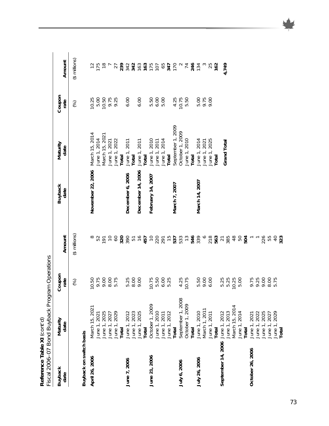| Reference Table XI (cont'd) | Fiscal 2006-07 Bond Buyback Progr | am Operations    |                |                        |                   |                   |               |
|-----------------------------|-----------------------------------|------------------|----------------|------------------------|-------------------|-------------------|---------------|
| <b>Buyback</b><br>date      | Maturity<br>date                  | Coupon<br>rate   | Amount         | <b>Buyback</b><br>date | Maturity<br>date  | Coupon<br>rate    | Amount        |
|                             |                                   | (%)              | (\$ millions)  |                        |                   | (%)               | (\$ millions) |
| Buyback on switch basis     |                                   |                  |                |                        |                   |                   |               |
| April 26, 2006              | March 15, 2021                    | 10.50            | $\infty$       | November 22, 2006      | March 15, 2014    | 10.25             | $\tilde{c}$   |
|                             | June 1, 2021                      | 9.75             | 52             |                        | June 1, 2014      | 5.00              |               |
|                             | June 1, 2025                      | 9.00             | 191            |                        | March 15, 2021    | 10.50             | $175$<br>$78$ |
|                             | June 1, 2027                      | 8.00             | $\overline{C}$ |                        | June 1, 2021      | 9.75<br>9.25      |               |
|                             | June 1, 2029                      | 5.75             | $\infty$       |                        | June 1, 2022      |                   | 27            |
|                             | Total                             |                  | 320            |                        | Total             |                   | 2342          |
| June 7, 2006                | June 1, 2012                      |                  | 390            | December 6, 2006       | June 1, 2011      | 6.00              |               |
|                             | June 1, 2023                      | 5.300            |                |                        | Total             |                   |               |
|                             | June 1, 2025                      |                  |                | December 14, 2006      | June 1, 2011      | 6.00              |               |
|                             | <b>Total</b>                      |                  |                |                        | Total             |                   |               |
| June 21, 2006               | October 1, 2009                   | 10.75            |                | February 14, 2007      | June 1, 2010      | 5.50              |               |
|                             | June 1, 2010                      | 5.50             |                |                        | June 1, 2011      | 6.00              |               |
|                             | June 1, 2011                      | $6.00$<br>$5.25$ |                |                        | June 1, 2014      | 5.00              |               |
|                             | June 1, 2012                      |                  |                |                        | Total             |                   |               |
|                             | Total                             |                  |                | March 7, 2007          | September 1, 2009 | 4.25              |               |
| July 6, 2006                | September 1, 2008                 | 4.25             |                |                        | October 1, 2009   | 10.75             |               |
|                             | October 1, 2009                   | 10.75            |                |                        | June 1, 2010      | 5.50              |               |
|                             | Total                             |                  |                |                        | Total             |                   | 246           |
| July 26, 2006               | June 1, 2010                      | 5.50<br>9.00     |                | March 14, 2007         | June 1, 2014      |                   | 134           |
|                             | March 1, 2011                     |                  |                |                        | June 1, 2021      | 00<br>0.75<br>0.9 |               |
|                             | June 1, 2011                      | 6.00             | $rac{6}{278}$  |                        | June 1, 2025      |                   | 25            |
|                             | <b>Total</b>                      |                  |                |                        | Total             |                   | 162           |
| September 14, 2006          | June 1, 2012                      | 5.25             | 78840          |                        | Grand Total       |                   | 4,749         |
|                             | June 1, 2013                      | 5.25             |                |                        |                   |                   |               |
|                             | March 15, 2014                    | 10.25            |                |                        |                   |                   |               |
|                             | lune 1, 2014                      | 5.00             |                |                        |                   |                   |               |
|                             | <b>Total</b>                      |                  |                |                        |                   |                   |               |
| October 26, 2006            | June 1, 2021                      | 9.75             | $50 - 705$     |                        |                   |                   |               |
|                             | June 1, 2022                      | 9.25             |                |                        |                   |                   |               |
|                             | June 1, 2025                      | 9.00             |                |                        |                   |                   |               |
|                             | June 1, 2027                      | 8.00             |                |                        |                   |                   |               |
|                             | June 1, 2029                      | 5.75             | $rac{40}{323}$ |                        |                   |                   |               |
|                             | <b>Total</b>                      |                  |                |                        |                   |                   |               |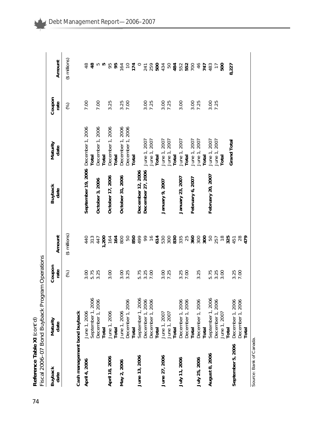Reference Table XI (cont'd)<br>Fiscal 2006–07 Bond Buyback Program Operations *Fiscal 2006–07 Bond Buyback Program Operations* **Reference Table XI** *(cont'd)*

|                              | י האבר ביני המוני המוני המוני המוני המוני המוני המוני המוני המוני המוני המוני המוני המוני המוני המוני המוני המ<br>מוני המוני המוני המוני המוני המוני המוני המוני המוני המוני המוני המוני המוני המוני המוני המוני המוני המוני המו |                |                              |                        |                       |                |                   |
|------------------------------|----------------------------------------------------------------------------------------------------------------------------------------------------------------------------------------------------------------------------------|----------------|------------------------------|------------------------|-----------------------|----------------|-------------------|
| <b>Buyback</b><br>date       | Maturity<br>date                                                                                                                                                                                                                 | Coupon<br>rate | Amount                       | <b>Buyback</b><br>date | Maturity<br>date      | Coupon<br>rate | Amount            |
|                              |                                                                                                                                                                                                                                  | (%)            | $($ \$ millions $)$          |                        |                       | (%)            | (\$ millions)     |
| Cash management bond buyback |                                                                                                                                                                                                                                  |                |                              |                        |                       |                |                   |
| April 4, 2006                | June 1, 2006                                                                                                                                                                                                                     | 3.00           |                              | September 19, 2006     | December 1, 2006      | 7.00           | $\frac{8}{4}$     |
|                              | September 1, 2006                                                                                                                                                                                                                | 5.75           | 4 10<br>4 10<br>4 10<br>4 10 |                        | Total                 |                | $\frac{8}{4}$     |
|                              | December 1, 2006                                                                                                                                                                                                                 | 3.25           |                              | October 3, 2006        | December 1, 2006      | 7.00           | ro ro             |
|                              | Total                                                                                                                                                                                                                            |                | 1,200                        |                        | Total                 |                |                   |
| April 18, 2006               | June 1, 2006                                                                                                                                                                                                                     | 3.00           | 164                          | October 17, 2006       | December 1, 2006      | 3.25           | 95                |
|                              | Total                                                                                                                                                                                                                            |                | 164                          |                        | Total                 |                | 95                |
| May 2, 2006                  | June 1, 2006                                                                                                                                                                                                                     | 3.00           | 800                          | October 31, 2006       | December 1, 2006      | 3.25           | 164               |
|                              | December 1, 2006                                                                                                                                                                                                                 | 3.25           | 50                           |                        | December 1, 2006      |                | $\overline{C}$    |
|                              | Total                                                                                                                                                                                                                            |                |                              |                        | Total                 |                | 174               |
| June 13, 2006                | September 1, 2006                                                                                                                                                                                                                | 5.75           | 850<br>499                   | December 12, 2006      |                       |                | $\circ$           |
|                              | December 1, 2006                                                                                                                                                                                                                 | 3.25           | 69                           | December 27, 2006      | June 1, 2007          | 3.00           |                   |
|                              | December 1, 2006                                                                                                                                                                                                                 |                |                              |                        |                       | 7.25           | 241<br>259<br>500 |
|                              | Total                                                                                                                                                                                                                            |                | 614                          |                        | June 1, 2007<br>Total |                |                   |
| June 27, 2006                | June 1, 2007<br>June 1, 2007<br><b>Total</b>                                                                                                                                                                                     | 3.00           |                              | January 9, 2007        | June 1, 2007          | 3.00           | 434<br>50         |
|                              |                                                                                                                                                                                                                                  | 7.25           |                              |                        | June 1, 2007          | 7.25           |                   |
|                              |                                                                                                                                                                                                                                  |                |                              |                        | Total                 |                | 484               |
| July 11, 2006                | December 1, 2006<br>December 1, 2006                                                                                                                                                                                             | 3.25<br>7.00   |                              | January 23, 2007       | June 1, 2007          | 3.00           | 552               |
|                              |                                                                                                                                                                                                                                  |                |                              |                        | Total                 |                | 552<br>700        |
|                              | Total                                                                                                                                                                                                                            |                |                              | February 6, 2007       | June 1, 2007          | 3.00           |                   |
| July 25, 2006                | December 1, 2006<br>Total                                                                                                                                                                                                        | 3.25           |                              |                        | June 1, 2007          | 7.25           | 46<br>747         |
|                              |                                                                                                                                                                                                                                  |                |                              |                        | <b>Total</b>          |                |                   |
| August 8, 2006               | September 1, 2006                                                                                                                                                                                                                | 5.75<br>3.25   |                              | February 20, 2007      | June 1, 2007          | 3.00<br>7.25   | 483               |
|                              | December 1, 2006<br>June 1, 2007                                                                                                                                                                                                 |                | 50<br>257<br>18              |                        | June 1, 2007          |                | $\overline{1}$    |
|                              |                                                                                                                                                                                                                                  | 3.00           |                              |                        | <b>Total</b>          |                | 500               |
|                              | Total                                                                                                                                                                                                                            |                |                              |                        |                       |                |                   |
| September 5, 2006            | December 1, 2006                                                                                                                                                                                                                 | 3.25           | 325                          |                        | Grand Total           |                | 8,227             |
|                              | December 1, 2006                                                                                                                                                                                                                 | 7.00           | $^{28}_{47}$                 |                        |                       |                |                   |
|                              | Total                                                                                                                                                                                                                            |                |                              |                        |                       |                |                   |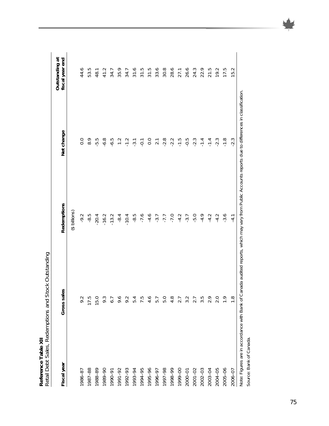|             | Retail Debt Sales, Redemptions and Stock Outstanding |                                      |                   |                                   |
|-------------|------------------------------------------------------|--------------------------------------|-------------------|-----------------------------------|
| Fiscal year | Gross sales                                          | Redemptions                          | Net change        | Outstanding at<br>fiscal year end |
|             |                                                      | (\$ billions)                        |                   |                                   |
| 1986-87     | 9.2                                                  | $-9.2$                               | 0.0               | 44.6                              |
| 1987-88     | 17.5                                                 | $-8.5$                               | $\overline{8}$ .  | 53.5                              |
| 1988-89     | 15.0                                                 | $-20.4$                              | $-5.5$            | 48.1                              |
| 1989-90     | 9.3                                                  | $-16.2$                              | $-6.8$            | 41.2                              |
| 1990-91     | 6.7                                                  | $-13.2$                              | $-6.5$            | 34.7                              |
| 1991-92     | 9.6                                                  | $-8.4$                               | $\frac{1}{2}$     | 35.9                              |
| 1992-93     | 9.2                                                  | $-10.4$                              |                   | 34.7                              |
| 1993-94     | 5.4                                                  | $-8.5$                               | $-1.2$<br>$-3.1$  | 31.6                              |
| 1994-95     | 7.5                                                  | $-7.6$                               | $-0.1$            | 31.5                              |
| 1995-96     | 4.6                                                  |                                      |                   | 31.5                              |
| 1996-97     | 5.7                                                  | $-4.6$<br>$-3.7$                     | $0.0$<br>2.1      | 33.6                              |
| 1997-98     | 5.0                                                  | $-7.7$<br>$-7.0$<br>$-1.7$<br>$-3.7$ | $-2.8$            | 30.8                              |
| 1998-99     | 4.8                                                  |                                      | $-2.2$            | 28.6                              |
| 1999-00     | 2.7                                                  |                                      | $-1.\overline{5}$ | 27.1                              |
| 2000-01     | 3.2                                                  |                                      | $-0.5$            | 26.6                              |
| $2001 - 02$ | 2.7                                                  | $-5.0$                               | $-2.3$            | 24.3                              |
| 2002-03     | $3.\overline{5}$                                     | $-4.9$                               | $-1.4$            | 22.9                              |
| 2003-04     | 2.9                                                  | $-4.2$                               | $-1.4$            | 21.5                              |
| 2004-05     | 2.0                                                  | $-4.2$                               | $-2.3$            | 19.2                              |
| 2005-06     | $\frac{6}{1}$                                        | $-3.6$                               | $-1.8$            | 17.5                              |
| 2006-07     | $\frac{8}{1}$                                        | $-4.1$                               | $-2.3$            | 15.2                              |
|             |                                                      |                                      |                   |                                   |

part Chatshing Mote Reference Table XII<br>Retail Debt Sales, Redemptions **Reference Table XII** 

Note: Figures are in accordance with Bank of Canada audited reports, which may vary from Public Accounts reports due to differences in classification. Note: Figures are in accordance with Bank of Canada audited reports, which may vary from Public Accounts reports due to differences in classification. Source: Bank of Canada. Source: Bank of Canada.